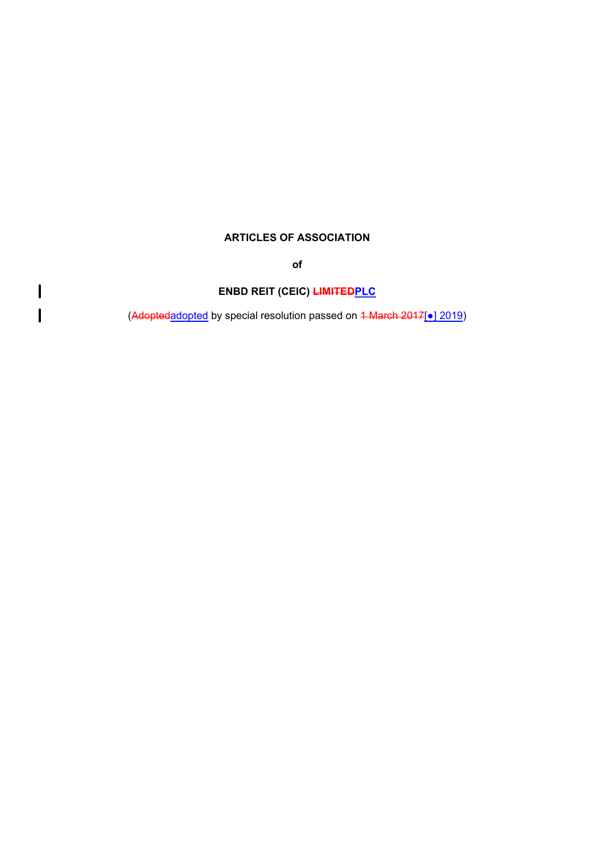# **ARTICLES OF ASSOCIATION**

**of**

# **ENBD REIT (CEIC) LIMITEDPLC**

 $\overline{\mathbf{I}}$ 

 $\overline{\mathsf{I}}$ 

(Adoptedadopted by special resolution passed on <del>1 March 2017</del>[●<u>] 2019</u>)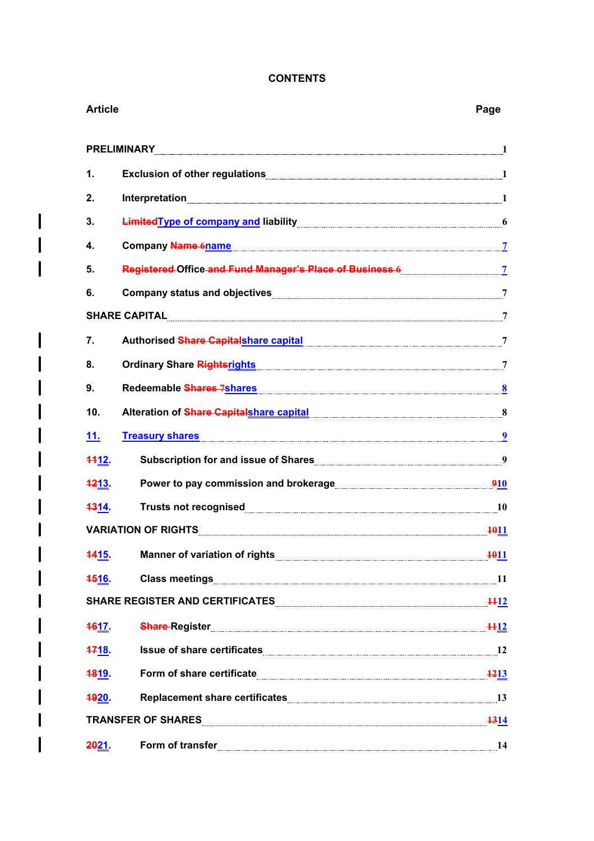# **CONTENTS**

I

| <b>Article</b> |                                                                                                                | Page        |
|----------------|----------------------------------------------------------------------------------------------------------------|-------------|
|                | <b>PRELIMINARY</b>                                                                                             |             |
| 1.             |                                                                                                                |             |
| 2.             |                                                                                                                |             |
| 3.             |                                                                                                                |             |
| 4.             |                                                                                                                |             |
| 5.             | Registered Office and Fund Manager's Place of Business 6 [111] Registered Office and T                         |             |
| 6.             | Company status and objectives Manual Company of Terms and Terms and Terms and Terms and Terms and Terms and Te |             |
|                | SHARE CAPITAL 7                                                                                                |             |
| 7.             | Authorised Share Capitalshare capital Manuscritti and Tauthorised Share Capital                                |             |
| 8.             |                                                                                                                |             |
| 9.             | Redeemable Shares 7shares Manual Communication of the Shares of the Manual Communication of the Shares of the  |             |
| 10.            |                                                                                                                |             |
| 11.            | <b>Treasury shares</b>                                                                                         |             |
| 1112.          | Subscription for and issue of Shares<br>9                                                                      |             |
| 1213.          | Power to pay commission and brokerage <b>EXALLE 2018</b>                                                       |             |
| 4314           | Trusts not recognised 10                                                                                       |             |
|                | <b>VARIATION OF RIGHTS</b>                                                                                     | <b>1011</b> |
| <b>1415</b>    | Manner of variation of rights <b>Manner of Service Contract Of Tights</b> Manner of variation of rights        | 1011        |
| <b>4516</b>    | Class meetings 11                                                                                              |             |
|                | SHARE REGISTER AND CERTIFICATES MANUAL CONTINUES AND SHARE REGISTER AND CERTIFICATES                           |             |
| <b>4617</b>    | <b>Share Register 1412</b>                                                                                     |             |
| 4718.          | Issue of share certificates 12                                                                                 |             |
| <b>1819.</b>   | Form of share certificate <b>Example 21</b> 1213                                                               |             |
| <b>1920.</b>   |                                                                                                                |             |
|                | TRANSFER OF SHARES 1314                                                                                        |             |
| <b>2021</b>    | Form of transfer                                                                                               | 14          |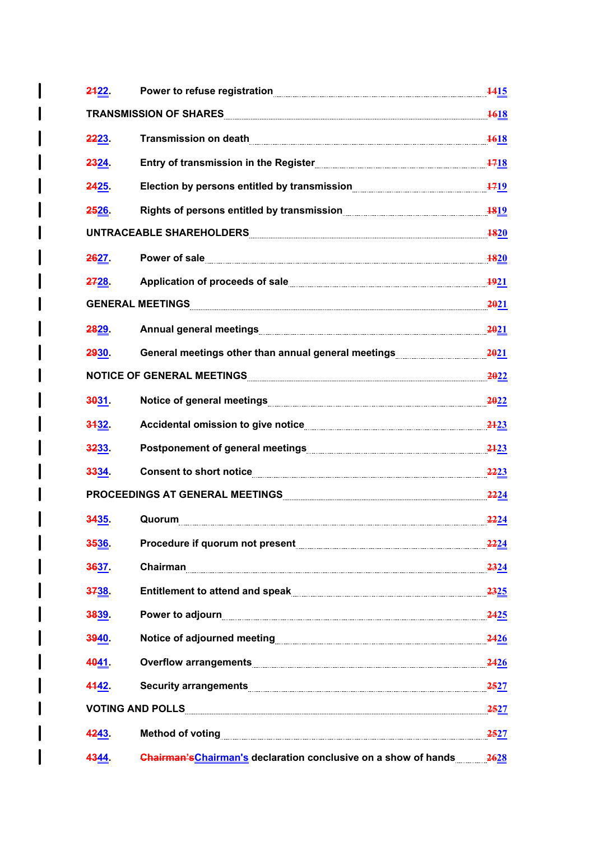| 2422.       | Power to refuse registration                                                                                                                                                                                                         | 1415        |
|-------------|--------------------------------------------------------------------------------------------------------------------------------------------------------------------------------------------------------------------------------------|-------------|
|             | TRANSMISSION OF SHARES <b>And the Construction of State of Second</b> Second State and Second State and Second State and                                                                                                             | 1618        |
| 2223.       | <b>Transmission on death</b>                                                                                                                                                                                                         | <b>1618</b> |
| 2324        | Entry of transmission in the Register                                                                                                                                                                                                | <b>1718</b> |
| 2425.       | Election by persons entitled by transmission                                                                                                                                                                                         | 1719        |
| <b>2526</b> |                                                                                                                                                                                                                                      |             |
|             | UNTRACEABLE SHAREHOLDERS                                                                                                                                                                                                             | <b>1820</b> |
| 2627        | Power of sale                                                                                                                                                                                                                        | <b>1820</b> |
| 2728        |                                                                                                                                                                                                                                      | 1921        |
|             |                                                                                                                                                                                                                                      | 2021        |
| 2829.       |                                                                                                                                                                                                                                      | 2021        |
| 2930.       | General meetings other than annual general meetings                                                                                                                                                                                  | 2021        |
|             | NOTICE OF GENERAL MEETINGS <b>And the Contract of Contract Contract Contract Contract Contract Contract Contract Contract Contract Contract Contract Contract Contract Contract Contract Contract Contract Contract Contract Con</b> | 2022        |
| 3031        |                                                                                                                                                                                                                                      | 2022        |
| 3432.       |                                                                                                                                                                                                                                      | 2123        |
| 3233        |                                                                                                                                                                                                                                      | 2123        |
| 3334.       | Consent to short notice                                                                                                                                                                                                              | 2223        |
|             |                                                                                                                                                                                                                                      | 2224        |
| 3435        | Quorum                                                                                                                                                                                                                               | <b>2224</b> |
| 3536.       |                                                                                                                                                                                                                                      | <u>2224</u> |
| 3637.       | Chairman                                                                                                                                                                                                                             | 2324        |
| 3738        |                                                                                                                                                                                                                                      | 2325        |
| 3839.       | Power to adjourn <b>contract to a set of the contract of the contract of the contract of the contract of the contract of the contract of the contract of the contract of the contract of the contract of the contract of the con</b> | <b>2425</b> |
| 3940.       |                                                                                                                                                                                                                                      | 2426        |
| 4041.       |                                                                                                                                                                                                                                      | 2426        |
| 4442.       |                                                                                                                                                                                                                                      | 2527        |
|             | <b>VOTING AND POLLS</b>                                                                                                                                                                                                              | <b>2527</b> |
| 4243.       |                                                                                                                                                                                                                                      | <u>2527</u> |
| 4344        | <b>Chairman's Chairman's declaration conclusive on a show of hands</b>                                                                                                                                                               | 2628        |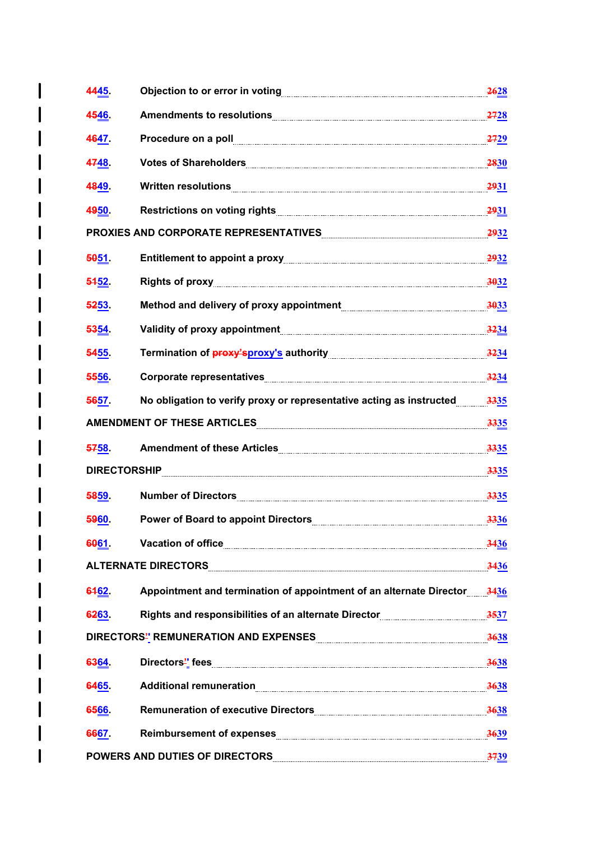| 4445.               | Objection to or error in voting [[11] The Content of the Content of the Content of The Content of The Content                                                                                                                        | 2628        |
|---------------------|--------------------------------------------------------------------------------------------------------------------------------------------------------------------------------------------------------------------------------------|-------------|
| 4546                | <b>Amendments to resolutions</b>                                                                                                                                                                                                     | 2728        |
| 4647                | Procedure on a poll                                                                                                                                                                                                                  | 2729        |
| 4748                |                                                                                                                                                                                                                                      | <b>2830</b> |
| 4849.               | Written resolutions                                                                                                                                                                                                                  | <b>2931</b> |
| 4950.               |                                                                                                                                                                                                                                      | <b>2931</b> |
|                     | PROXIES AND CORPORATE REPRESENTATIVES <b>And All Annual Proximan Contract Contract Contract Contract Contract Contr</b>                                                                                                              | 2932        |
| 5051                |                                                                                                                                                                                                                                      | 2932        |
| 5452.               |                                                                                                                                                                                                                                      | 3032        |
| 5253                | Method and delivery of proxy appointment <b>manually and the control of the contract of the control of the control</b>                                                                                                               | 3033        |
| 5354                |                                                                                                                                                                                                                                      | 3234        |
| 5455.               | Termination of <b>proxy'sproxy's</b> authority <b>with and the contract of proxy</b> substitution of <b>proxy's</b> authority                                                                                                        | 3234        |
| 5556                |                                                                                                                                                                                                                                      | 3234        |
| 5657.               | No obligation to verify proxy or representative acting as instructed                                                                                                                                                                 | 3335        |
|                     | AMENDMENT OF THESE ARTICLES <b>ARTICLES</b> And All Annual Article of the ATTICLES of the ATTICLES of the ATTICLES of the ATTICLES                                                                                                   | 3335        |
| 5758                | Amendment of these Articles <b>[1994]</b> Amendment of these Articles <b>[1994]</b>                                                                                                                                                  | 3335        |
| <b>DIRECTORSHIP</b> |                                                                                                                                                                                                                                      | 3335        |
| 5859                | Number of Directors                                                                                                                                                                                                                  | 3335        |
| 5960.               | Power of Board to appoint Directors [1982] [1983] [1983] [1984] [1984] [1984] [1984] [1984] [1984] [1984] [198                                                                                                                       | 3336        |
| 6061.               | Vacation of office <b>with the contract of the contract of the contract of the contract of the contract of the contract of the contract of the contract of the contract of the contract of the contract of the contract of the c</b> | 3436        |
|                     | <b>ALTERNATE DIRECTORS</b>                                                                                                                                                                                                           | 3436        |
| 6162.               | Appointment and termination of appointment of an alternate Director                                                                                                                                                                  | 3436        |
| 6263                | Rights and responsibilities of an alternate Director                                                                                                                                                                                 | 3537        |
|                     | DIRECTORS" REMUNERATION AND EXPENSES MANUSION CONTINUES.                                                                                                                                                                             | 3638        |
| 6364                |                                                                                                                                                                                                                                      | 3638        |
| 6465                |                                                                                                                                                                                                                                      | 3638        |
| 6566                | Remuneration of executive Directors <b>Executive Little Structure Programs</b>                                                                                                                                                       | 3638        |
| 6667                | Reimbursement of expenses                                                                                                                                                                                                            | 3639        |
|                     | <b>POWERS AND DUTIES OF DIRECTORS</b>                                                                                                                                                                                                | 3739        |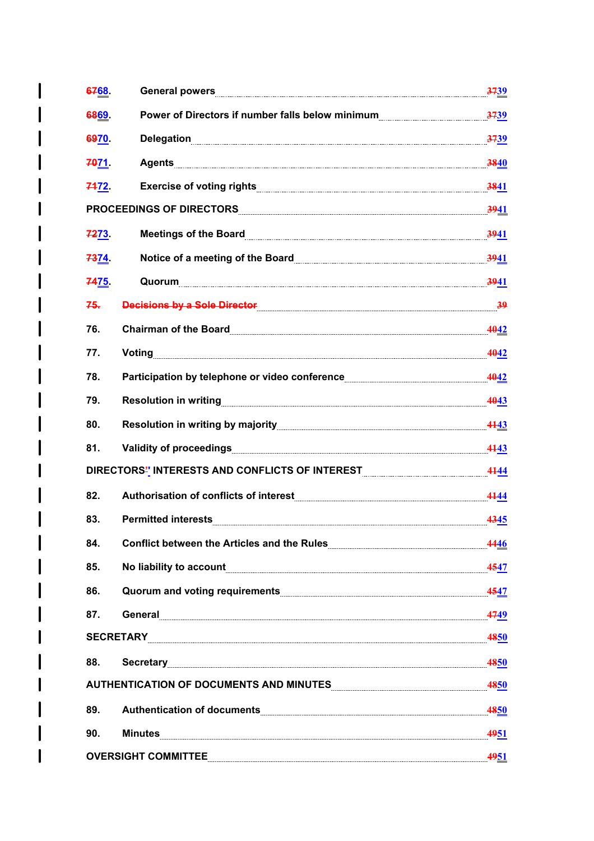| 6768.       | General powers <b>contract to the contract of the contract of the contract of the contract of the contract of the contract of the contract of the contract of the contract of the contract of the contract of the contract of th</b>   | 3739        |
|-------------|----------------------------------------------------------------------------------------------------------------------------------------------------------------------------------------------------------------------------------------|-------------|
| 6869        |                                                                                                                                                                                                                                        | 3739        |
| 6970        | <b>Delegation</b>                                                                                                                                                                                                                      | 3739        |
| 7071        | Agents <b>Manual Community of the Community of the Community of the Community of the Community of Texas and Section</b>                                                                                                                | 3840        |
| 7472.       |                                                                                                                                                                                                                                        | 3841        |
|             | PROCEEDINGS OF DIRECTORS PRODUCTION CONTINUES.                                                                                                                                                                                         | <u>3941</u> |
| 7273        | Meetings of the Board <b>Constitution of the Board Meetings</b> of the Board <b>Constitution Constitution</b> of the Constant Office of the Constant Office of the Constant Office of the Constant Office of the Constant Office of th | 3941        |
| <b>7374</b> | Notice of a meeting of the Board <b>Commens and Commensure of a meeting of the Board</b>                                                                                                                                               | 3941        |
| 7475.       | Quorum                                                                                                                                                                                                                                 | <b>3941</b> |
| 75.         | Decisions by a Sole Director 39                                                                                                                                                                                                        |             |
| 76.         | Chairman of the Board <b>Chairman of the Board</b>                                                                                                                                                                                     | 4042        |
| 77.         | Voting                                                                                                                                                                                                                                 | 4042        |
| 78.         |                                                                                                                                                                                                                                        | 4042        |
| 79.         | Resolution in writing <b>contract to the COVID-1000</b> Resolution in writing                                                                                                                                                          | 4043        |
| 80.         |                                                                                                                                                                                                                                        | 4143        |
| 81.         |                                                                                                                                                                                                                                        | 4443        |
|             | DIRECTORS" INTERESTS AND CONFLICTS OF INTEREST MANUTEREST AND RESERVE AND RESERVED AND RESERVED MANUTERS                                                                                                                               | 4144        |
| 82.         | Authorisation of conflicts of interest Manuscritting and Authorisation of conflicts of interest                                                                                                                                        | 4444        |
| 83.         |                                                                                                                                                                                                                                        | 4345        |
| 84.         | Conflict between the Articles and the Rules                                                                                                                                                                                            | 4446        |
| 85.         | No liability to account <b>contract of the contract of the contract of the contract of the contract of the contract of the contract of the contract of the contract of the contract of the contract of the contract of the contr</b>   | 4547        |
| 86.         |                                                                                                                                                                                                                                        | 4547        |
| 87.         | <b>General Contract Contract Contract Contract Contract Contract Contract Contract Contract Contract Contract Contract Contract Contract Contract Contract Contract Contract Contract Contract Contract Contract Contract Contra</b>   | 4749        |
|             |                                                                                                                                                                                                                                        | 4850        |
| 88.         | Secretary                                                                                                                                                                                                                              | 4850        |
|             | AUTHENTICATION OF DOCUMENTS AND MINUTES MARKET AND MINUTES AND MINUTES                                                                                                                                                                 | 4850        |
| 89.         | Authentication of documents                                                                                                                                                                                                            | 4850        |
| 90.         |                                                                                                                                                                                                                                        | 4951        |
|             | <b>OVERSIGHT COMMITTEE</b>                                                                                                                                                                                                             | 4951        |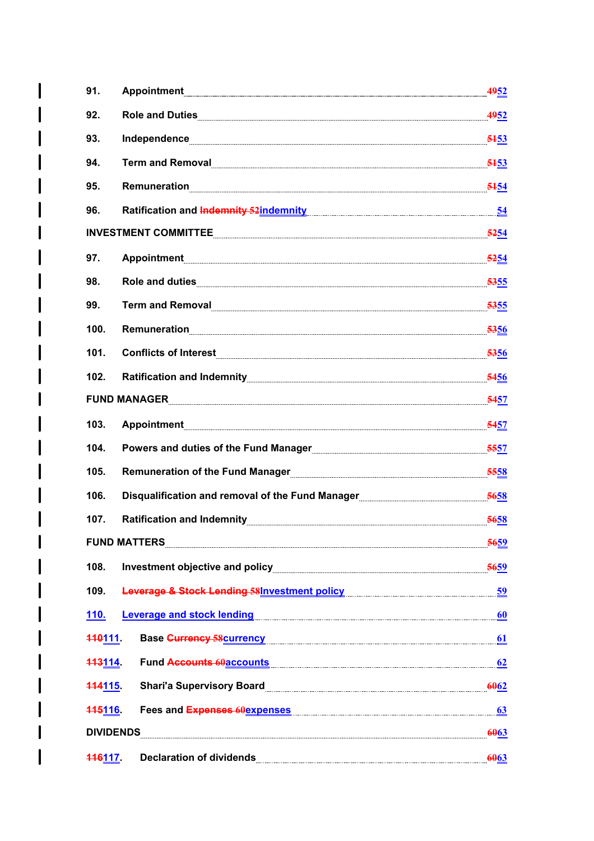| 91.                 | <b>Appointment</b>                                                                                                    | 4952             |
|---------------------|-----------------------------------------------------------------------------------------------------------------------|------------------|
| 92.                 |                                                                                                                       | 4952             |
| 93.                 |                                                                                                                       | 5453             |
| 94.                 | Term and Removal 5453                                                                                                 |                  |
| 95.                 | <b>Remuneration</b>                                                                                                   | 5154             |
| 96.                 | Ratification and Indemnity 52 indemnity contains and an analytic state of the Ratification and Indenture              |                  |
|                     | INVESTMENT COMMITTEE                                                                                                  | <u>5254</u>      |
| 97.                 |                                                                                                                       | 5254             |
| 98.                 | Role and duties                                                                                                       | 5355             |
| 99.                 | Term and Removal <b>Commission Commission</b> Commission Commission Commission Commission                             | 5355             |
| 100.                | Remuneration                                                                                                          | 5356             |
| 101.                | Conflicts of Interest <b>Conflicts</b> of Interest                                                                    | <b>5356</b>      |
| 102.                |                                                                                                                       |                  |
|                     | FUND MANAGER                                                                                                          | <b>5457</b>      |
| 103.                |                                                                                                                       | <del>54</del> 57 |
| 104.                | Powers and duties of the Fund Manager                                                                                 | <b>5557</b>      |
| 105.                | Remuneration of the Fund Manager                                                                                      | 5558             |
| 106.                | Disqualification and removal of the Fund Manager                                                                      | 5658             |
| 107.                | Ratification and Indemnity <b>Construction and Automobile Properties</b> and Automobile Properties and Automobile Pro | 5658             |
|                     | <b>FUND MATTERS</b>                                                                                                   | <b>5659</b>      |
| 108.                |                                                                                                                       | 5659             |
| 109.                | <b>Leverage &amp; Stock Lending 58 Investment policy</b>                                                              | 59               |
| <b>110.</b>         | <b>Leverage and stock lending</b>                                                                                     | 60               |
| <b>440111.</b>      | <b>Base Currency 58 currency</b>                                                                                      | 61               |
| <b>443114.</b>      | <b>Fund Accounts 60accounts</b>                                                                                       | 62               |
| <del>114115</del> . | <b>Shari'a Supervisory Board</b>                                                                                      | 6062             |
| <b>445116.</b>      | Fees and Expenses 60expenses                                                                                          | 63               |
| <b>DIVIDENDS</b>    |                                                                                                                       | 6063             |
| 116117.             | <b>Declaration of dividends</b>                                                                                       | 6063             |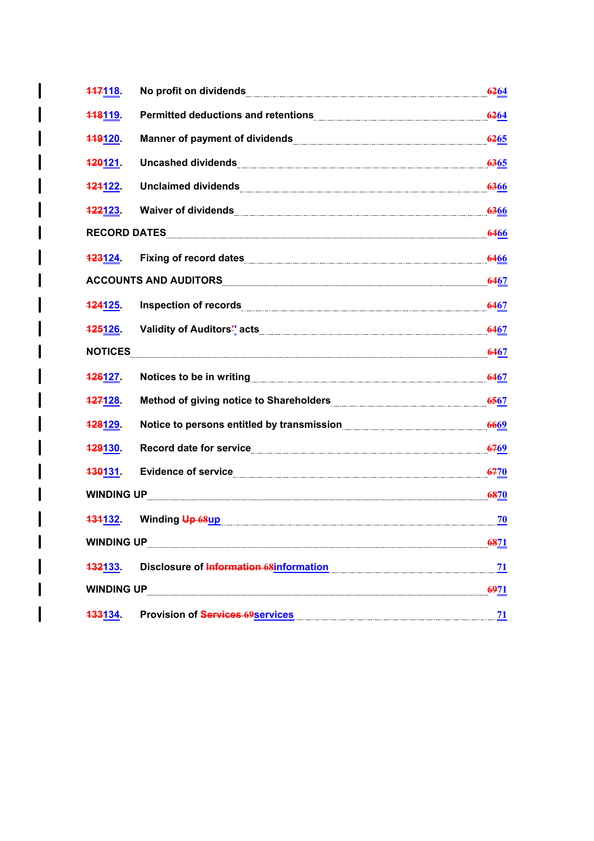| 447118.             | No profit on dividends                                                                                                                                                                                                         | 6264             |
|---------------------|--------------------------------------------------------------------------------------------------------------------------------------------------------------------------------------------------------------------------------|------------------|
| 118119              |                                                                                                                                                                                                                                | 6264             |
| <b>449120.</b>      |                                                                                                                                                                                                                                | 6265             |
| <del>120</del> 121. | Uncashed dividends [[11] Discovering the contract of the contract of the contract of the contract of the contract of the contract of the contract of the contract of the contract of the contract of the contract of the contr | 6365             |
| <u> 121122 - </u>   | Unclaimed dividends <b>Constitution and Constitution</b> and Constitution and Constitution and Constitution and Const                                                                                                          | <b>6366</b>      |
| <del>122</del> 123. | Waiver of dividends <b>Constitution Constitution</b> Constant Constant Construction Construction Construction Construction                                                                                                     | 6366             |
| <b>RECORD DATES</b> |                                                                                                                                                                                                                                | 6466             |
| <b>123124</b>       | Fixing of record dates                                                                                                                                                                                                         | 6466             |
|                     | <b>ACCOUNTS AND AUDITORS</b>                                                                                                                                                                                                   | <b>6467</b>      |
| <b>424125.</b>      | Inspection of records                                                                                                                                                                                                          | <b>6467</b>      |
| <b>425126.</b>      |                                                                                                                                                                                                                                | <b>6467</b>      |
| <b>NOTICES</b>      |                                                                                                                                                                                                                                | <b>6467</b>      |
| <b>426127.</b>      |                                                                                                                                                                                                                                | <b>6467</b>      |
| <b>427128.</b>      | Method of giving notice to Shareholders <b>Mathematical Contract Control</b> Method of giving notice to Shareholders                                                                                                           | <b>6567</b>      |
| <del>128</del> 129. | Notice to persons entitled by transmission                                                                                                                                                                                     | 6669             |
| <b>429130.</b>      | Record date for service <b>Commission and Service and Service and Service Contract and Service And Service Control</b>                                                                                                         | <del>67</del> 69 |
| <del>130131</del> . | Evidence of service                                                                                                                                                                                                            | <del>67</del> 70 |
| <b>WINDING UP</b>   |                                                                                                                                                                                                                                | 6870             |
| <del>131</del> 132. | Winding Up 68up                                                                                                                                                                                                                | 70               |
| <b>WINDING UP</b>   |                                                                                                                                                                                                                                | 6871             |
| <b>432133</b>       | Disclosure of Information 68information                                                                                                                                                                                        | 71               |
| <b>WINDING UP</b>   |                                                                                                                                                                                                                                | <u>6971</u>      |
|                     | <b>Provision of Services 69 services</b>                                                                                                                                                                                       |                  |
| <b>433134</b>       |                                                                                                                                                                                                                                | <u>71</u>        |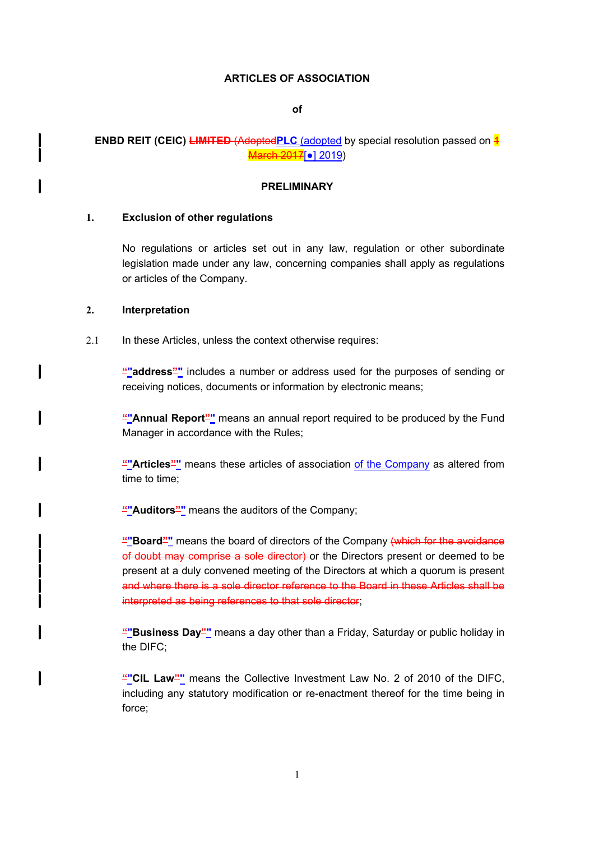#### **ARTICLES OF ASSOCIATION**

**of**

# **ENBD REIT (CEIC) LIMITED (Adopted PLC** (adopted by special resolution passed on  $\frac{4}{1}$ March 2017<sup>[•</sup>] 2019)

### **PRELIMINARY**

### **1. Exclusion of other regulations**

No regulations or articles set out in any law, regulation or other subordinate legislation made under any law, concerning companies shall apply as regulations or articles of the Company.

#### **2. Interpretation**

l

I

I

2.1 In these Articles, unless the context otherwise requires:

**""address""** includes a number or address used for the purposes of sending or receiving notices, documents or information by electronic means;

**""Annual Report""** means an annual report required to be produced by the Fund Manager in accordance with the Rules;

**""Articles""** means these articles of association of the Company as altered from time to time;

**""Auditors""** means the auditors of the Company;

**""Board""** means the board of directors of the Company (which for the avoidance of doubt may comprise a sole director) or the Directors present or deemed to be present at a duly convened meeting of the Directors at which a quorum is present and where there is a sole director reference to the Board in these Articles shall be interpreted as being references to that sole director;

**""Business Day""** means a day other than a Friday, Saturday or public holiday in the DIFC;

**""CIL Law""** means the Collective Investment Law No. 2 of 2010 of the DIFC, including any statutory modification or re-enactment thereof for the time being in force;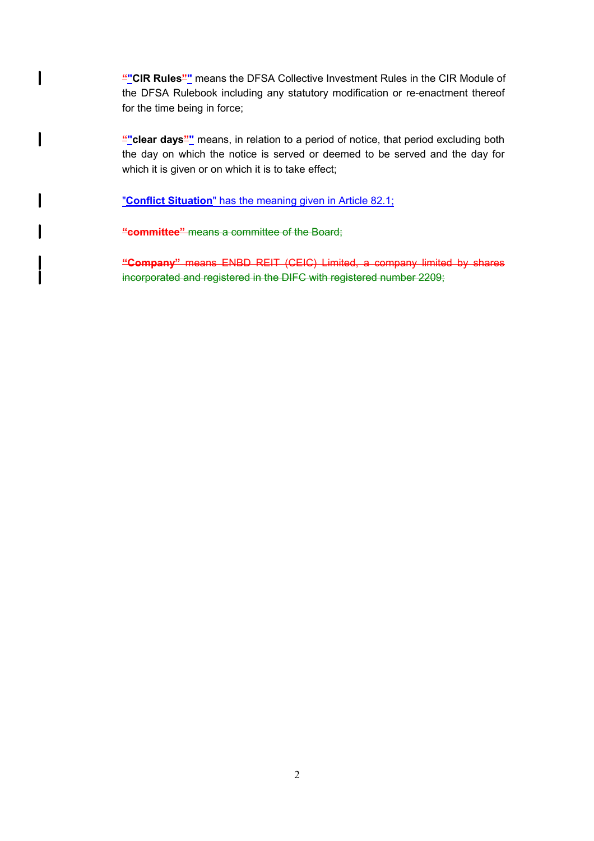**""CIR Rules""** means the DFSA Collective Investment Rules in the CIR Module of the DFSA Rulebook including any statutory modification or re-enactment thereof for the time being in force;

""clear days"" means, in relation to a period of notice, that period excluding both the day on which the notice is served or deemed to be served and the day for which it is given or on which it is to take effect;

"**Conflict Situation**" has the meaning given in Article 82.1;

**"committee"** means a committee of the Board;

 $\mathbf{I}$ 

 $\mathbf l$ 

 $\mathbf l$ 

I

**"Company"** means ENBD REIT (CEIC) Limited, a company limited by shares incorporated and registered in the DIFC with registered number 2209;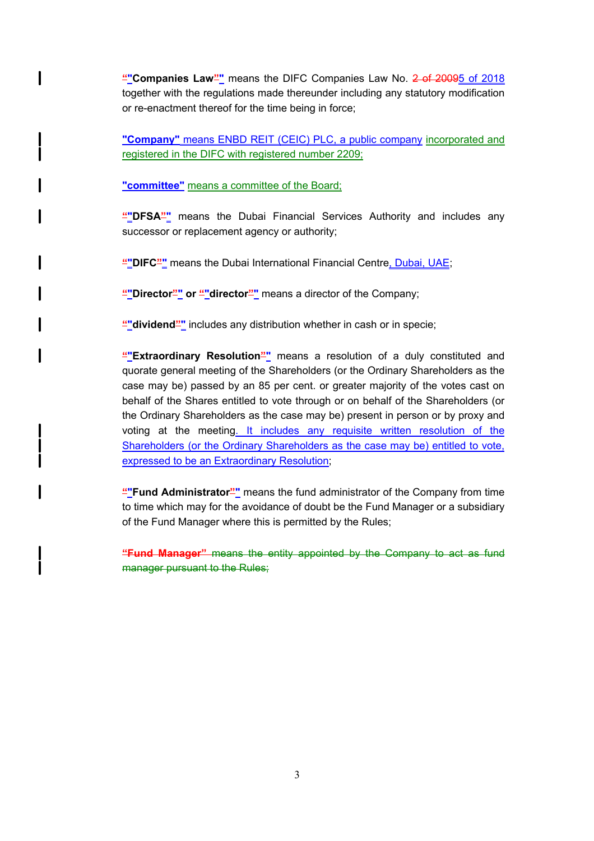**""Companies Law""** means the DIFC Companies Law No. 2 of 20095 of 2018 together with the regulations made thereunder including any statutory modification or re-enactment thereof for the time being in force;

**"Company"** means ENBD REIT (CEIC) PLC, a public company incorporated and registered in the DIFC with registered number 2209;

**"committee"** means a committee of the Board;

l

**""DFSA""** means the Dubai Financial Services Authority and includes any successor or replacement agency or authority;

**""DIFC""** means the Dubai International Financial Centre, Dubai, UAE;

""Director" or ""director"" means a director of the Company;

**""dividend""** includes any distribution whether in cash or in specie;

**""Extraordinary Resolution""** means a resolution of a duly constituted and quorate general meeting of the Shareholders (or the Ordinary Shareholders as the case may be) passed by an 85 per cent. or greater majority of the votes cast on behalf of the Shares entitled to vote through or on behalf of the Shareholders (or the Ordinary Shareholders as the case may be) present in person or by proxy and voting at the meeting. It includes any requisite written resolution of the Shareholders (or the Ordinary Shareholders as the case may be) entitled to vote, expressed to be an Extraordinary Resolution;

**""Fund Administrator""** means the fund administrator of the Company from time to time which may for the avoidance of doubt be the Fund Manager or a subsidiary of the Fund Manager where this is permitted by the Rules;

**"Fund Manager"** means the entity appointed by the Company to act as fund manager pursuant to the Rules: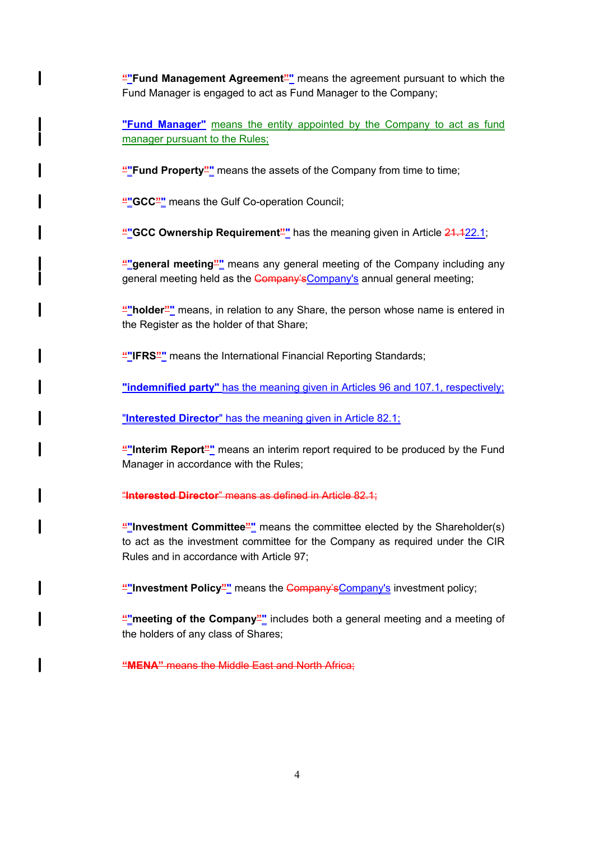**"**"Fund Management Agreement<sup>"</sup> means the agreement pursuant to which the Fund Manager is engaged to act as Fund Manager to the Company;

**"Fund Manager"** means the entity appointed by the Company to act as fund manager pursuant to the Rules;

**""Fund Property""** means the assets of the Company from time to time;

**""GCC""** means the Gulf Co-operation Council;

 $\mathbf l$ 

I

**""GCC Ownership Requirement"** has the meaning given in Article 21.122.1;

**""general meeting""** means any general meeting of the Company including any general meeting held as the Company's Company's annual general meeting;

**""holder""** means, in relation to any Share, the person whose name is entered in the Register as the holder of that Share;

**""IFRS""** means the International Financial Reporting Standards;

**"indemnified party"** has the meaning given in Articles 96 and 107.1, respectively;

"**Interested Director**" has the meaning given in Article 82.1;

**""Interim Report""** means an interim report required to be produced by the Fund Manager in accordance with the Rules;

#### "**Interested Director**" means as defined in Article 82.1;

**""Investment Committee""** means the committee elected by the Shareholder(s) to act as the investment committee for the Company as required under the CIR Rules and in accordance with Article 97;

**""Investment Policy""** means the Company'sCompany's investment policy;

**"** meeting of the Company" includes both a general meeting and a meeting of the holders of any class of Shares;

**"MENA"** means the Middle East and North Africa;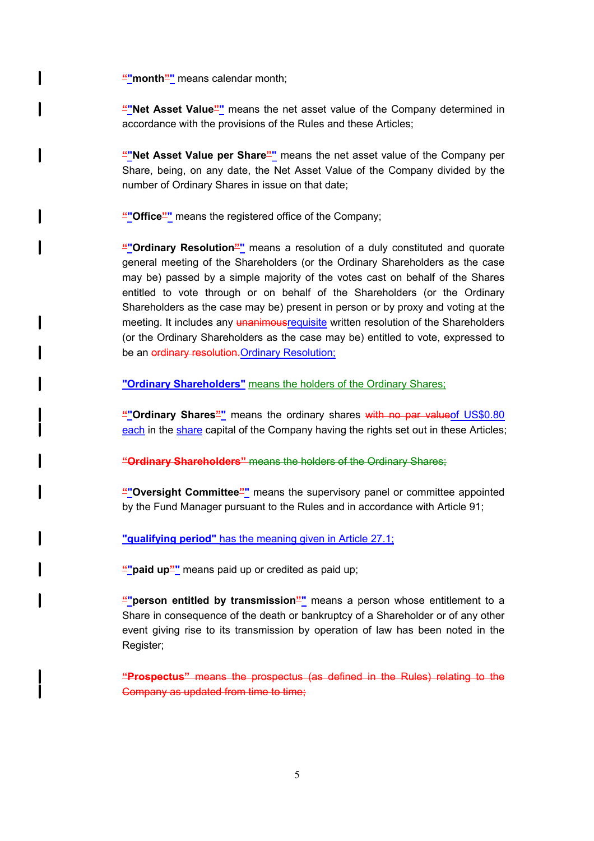**""month"** means calendar month;

I

I

l

I

**""Net Asset Value""** means the net asset value of the Company determined in accordance with the provisions of the Rules and these Articles;

**""Net Asset Value per Share""** means the net asset value of the Company per Share, being, on any date, the Net Asset Value of the Company divided by the number of Ordinary Shares in issue on that date;

**""Office""** means the registered office of the Company;

**""Ordinary Resolution""** means a resolution of a duly constituted and quorate general meeting of the Shareholders (or the Ordinary Shareholders as the case may be) passed by a simple majority of the votes cast on behalf of the Shares entitled to vote through or on behalf of the Shareholders (or the Ordinary Shareholders as the case may be) present in person or by proxy and voting at the meeting. It includes any unanimousrequisite written resolution of the Shareholders (or the Ordinary Shareholders as the case may be) entitled to vote, expressed to be an ordinary resolution. Ordinary Resolution;

**"Ordinary Shareholders"** means the holders of the Ordinary Shares;

**""Ordinary Shares""** means the ordinary shares with no par valueof US\$0.80 each in the share capital of the Company having the rights set out in these Articles;

**"Ordinary Shareholders"** means the holders of the Ordinary Shares;

**""Oversight Committee""** means the supervisory panel or committee appointed by the Fund Manager pursuant to the Rules and in accordance with Article 91;

**"qualifying period"** has the meaning given in Article 27.1;

"" paid up"" means paid up or credited as paid up;

**"**person entitled by transmission<sup>"</sup> means a person whose entitlement to a Share in consequence of the death or bankruptcy of a Shareholder or of any other event giving rise to its transmission by operation of law has been noted in the Register;

**"Prospectus"** means the prospectus (as defined in the Rules) relating to the Company as updated from time to time;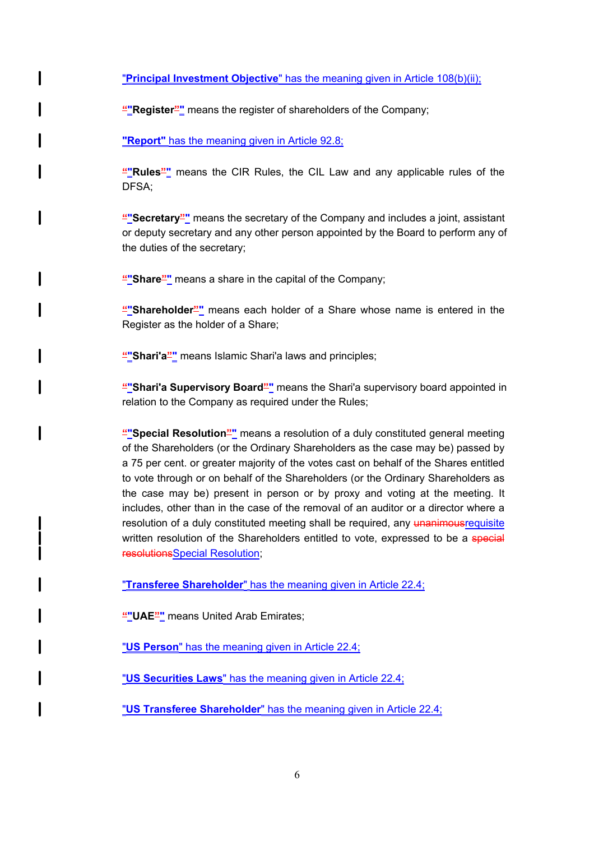"**Principal Investment Objective**" has the meaning given in Article 108(b)(ii);

""Register"" means the register of shareholders of the Company;

**"Report"** has the meaning given in Article 92.8;

I

I

I

I

 $\mathbf l$ 

l

**""Rules""** means the CIR Rules, the CIL Law and any applicable rules of the DFSA;

**""Secretary""** means the secretary of the Company and includes a joint, assistant or deputy secretary and any other person appointed by the Board to perform any of the duties of the secretary;

**""Share""** means a share in the capital of the Company;

**""Shareholder""** means each holder of a Share whose name is entered in the Register as the holder of a Share;

**""Shari'a""** means Islamic Shari'a laws and principles;

**"**"Shari'a Supervisory Board"" means the Shari'a supervisory board appointed in relation to the Company as required under the Rules;

**""Special Resolution""** means a resolution of a duly constituted general meeting of the Shareholders (or the Ordinary Shareholders as the case may be) passed by a 75 per cent. or greater majority of the votes cast on behalf of the Shares entitled to vote through or on behalf of the Shareholders (or the Ordinary Shareholders as the case may be) present in person or by proxy and voting at the meeting. It includes, other than in the case of the removal of an auditor or a director where a resolution of a duly constituted meeting shall be required, any unanimousrequisite written resolution of the Shareholders entitled to vote, expressed to be a special resolutionsSpecial Resolution;

"**Transferee Shareholder**" has the meaning given in Article 22.4;

**""UAE""** means United Arab Emirates;

"**US Person**" has the meaning given in Article 22.4;

"**US Securities Laws**" has the meaning given in Article 22.4;

"**US Transferee Shareholder**" has the meaning given in Article 22.4;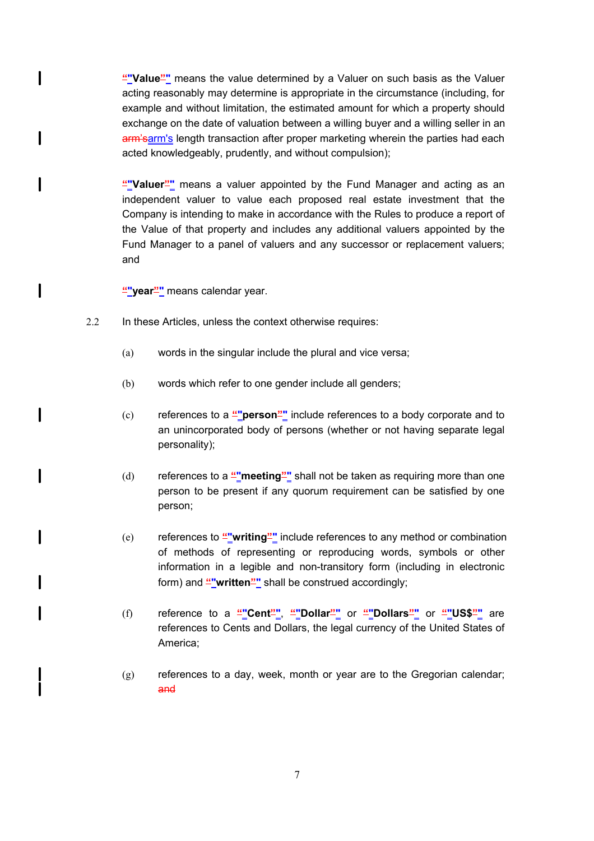**""Value""** means the value determined by a Valuer on such basis as the Valuer acting reasonably may determine is appropriate in the circumstance (including, for example and without limitation, the estimated amount for which a property should exchange on the date of valuation between a willing buyer and a willing seller in an arm'sarm's length transaction after proper marketing wherein the parties had each acted knowledgeably, prudently, and without compulsion);

**""Valuer""** means a valuer appointed by the Fund Manager and acting as an independent valuer to value each proposed real estate investment that the Company is intending to make in accordance with the Rules to produce a report of the Value of that property and includes any additional valuers appointed by the Fund Manager to a panel of valuers and any successor or replacement valuers; and

**""year""** means calendar year.

 $\mathsf{l}$ 

I

 $\mathbf l$ 

 $\mathbf{I}$ 

 $\mathbf l$ 

l

I

I

- 2.2 In these Articles, unless the context otherwise requires:
	- (a) words in the singular include the plural and vice versa;
	- (b) words which refer to one gender include all genders;
	- (c) references to a **""person""** include references to a body corporate and to an unincorporated body of persons (whether or not having separate legal personality);
	- (d) references to a **""meeting""** shall not be taken as requiring more than one person to be present if any quorum requirement can be satisfied by one person;
	- (e) references to **""writing""** include references to any method or combination of methods of representing or reproducing words, symbols or other information in a legible and non-transitory form (including in electronic form) and "written" shall be construed accordingly;
	- (f) reference to a **""Cent""**, **""Dollar""** or **""Dollars""** or **""US\$""** are references to Cents and Dollars, the legal currency of the United States of America;
	- $(g)$  references to a day, week, month or year are to the Gregorian calendar; and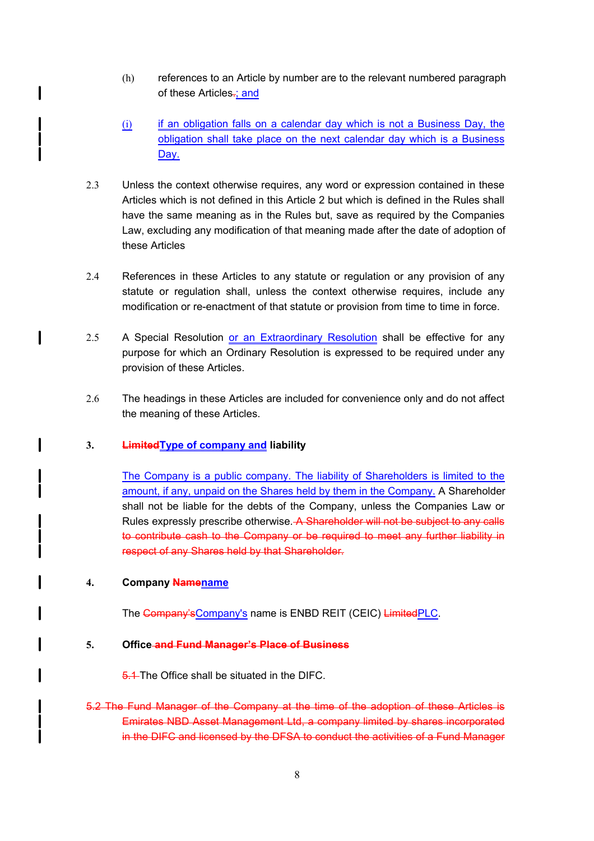- (h) references to an Article by number are to the relevant numbered paragraph of these Articles-; and
- $(i)$  if an obligation falls on a calendar day which is not a Business Day, the obligation shall take place on the next calendar day which is a Business Day.
- 2.3 Unless the context otherwise requires, any word or expression contained in these Articles which is not defined in this Article 2 but which is defined in the Rules shall have the same meaning as in the Rules but, save as required by the Companies Law, excluding any modification of that meaning made after the date of adoption of these Articles
- 2.4 References in these Articles to any statute or regulation or any provision of any statute or regulation shall, unless the context otherwise requires, include any modification or re-enactment of that statute or provision from time to time in force.
- 2.5 A Special Resolution or an Extraordinary Resolution shall be effective for any purpose for which an Ordinary Resolution is expressed to be required under any provision of these Articles.
- 2.6 The headings in these Articles are included for convenience only and do not affect the meaning of these Articles.

# **3. LimitedType of company and liability**

The Company is a public company. The liability of Shareholders is limited to the amount, if any, unpaid on the Shares held by them in the Company. A Shareholder shall not be liable for the debts of the Company, unless the Companies Law or Rules expressly prescribe otherwise. A Shareholder will not be subject to any calls to contribute cash to the Company or be required to meet any further liability in respect of any Shares held by that Shareholder.

### **4. Company Namename**

I

The Company's Company's name is ENBD REIT (CEIC) Limited PLC.

#### **5. Office and Fund Manager's Place of Business**

5.1 The Office shall be situated in the DIFC.

5.2 The Fund Manager of the Company at the time of the adoption of these Articles is Emirates NBD Asset Management Ltd, a company limited by shares incorporated in the DIFC and licensed by the DFSA to conduct the activities of a Fund Manager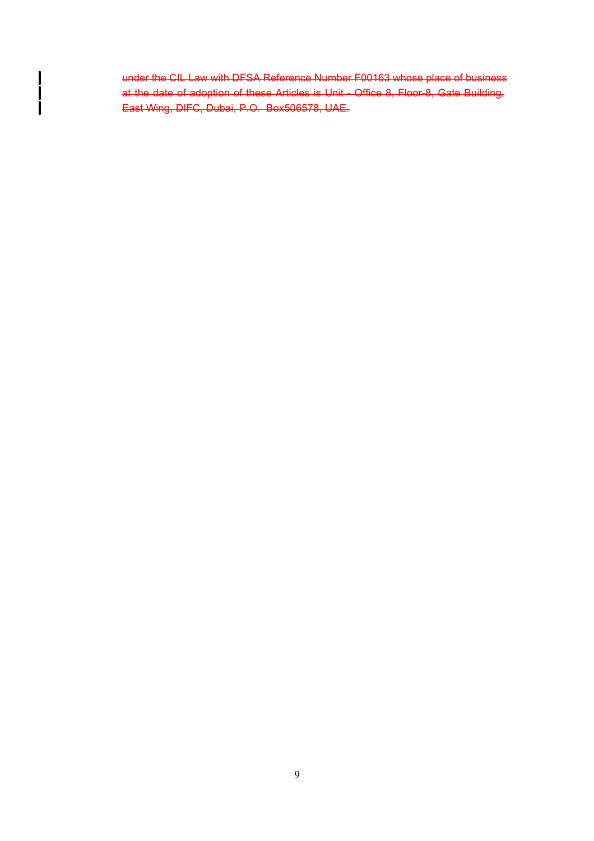under the CIL Law with DFSA Reference Number F00163 whose place of business at the date of adoption of these Articles is Unit - Office 8, Floor-8, Gate Building, East Wing, DIFC, Dubai, P.O. Box506578, UAE.

 $\begin{matrix} \mid \\ \mid \\ \mid \end{matrix}$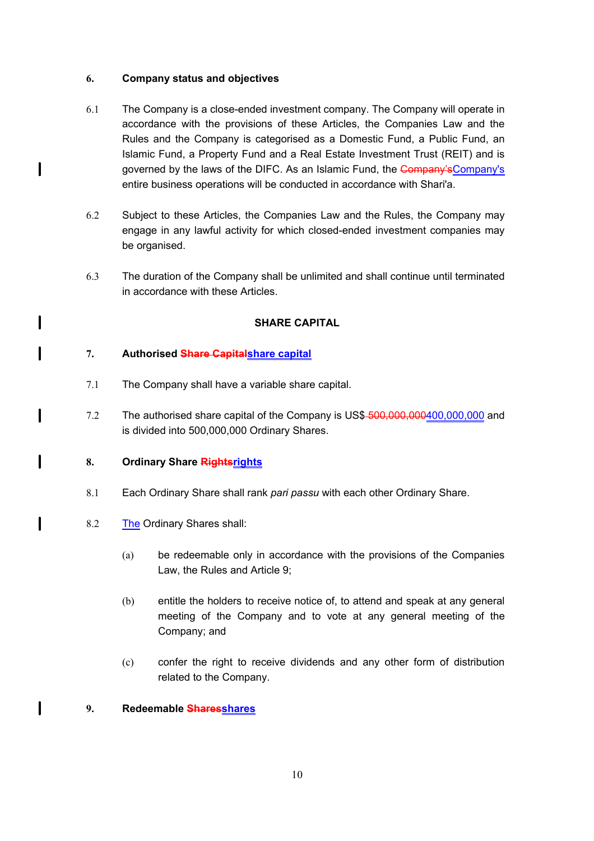# **6. Company status and objectives**

 $\mathbf l$ 

 $\mathbf{I}$ 

 $\mathbf l$ 

 $\mathbf{I}$ 

I

 $\mathbf l$ 

l

- 6.1 The Company is a close-ended investment company. The Company will operate in accordance with the provisions of these Articles, the Companies Law and the Rules and the Company is categorised as a Domestic Fund, a Public Fund, an Islamic Fund, a Property Fund and a Real Estate Investment Trust (REIT) and is governed by the laws of the DIFC. As an Islamic Fund, the Company's Company's entire business operations will be conducted in accordance with Shari'a.
- 6.2 Subject to these Articles, the Companies Law and the Rules, the Company may engage in any lawful activity for which closed-ended investment companies may be organised.
- 6.3 The duration of the Company shall be unlimited and shall continue until terminated in accordance with these Articles.

# **SHARE CAPITAL**

# **7. Authorised Share Capitalshare capital**

- 7.1 The Company shall have a variable share capital.
- 7.2 The authorised share capital of the Company is US\$-500,000,000,000,000,000 and is divided into 500,000,000 Ordinary Shares.

# **8. Ordinary Share Rightsrights**

- 8.1 Each Ordinary Share shall rank *pari passu* with each other Ordinary Share.
- 8.2 The Ordinary Shares shall:
	- (a) be redeemable only in accordance with the provisions of the Companies Law, the Rules and Article 9;
	- (b) entitle the holders to receive notice of, to attend and speak at any general meeting of the Company and to vote at any general meeting of the Company; and
	- (c) confer the right to receive dividends and any other form of distribution related to the Company.

# **9. Redeemable Sharesshares**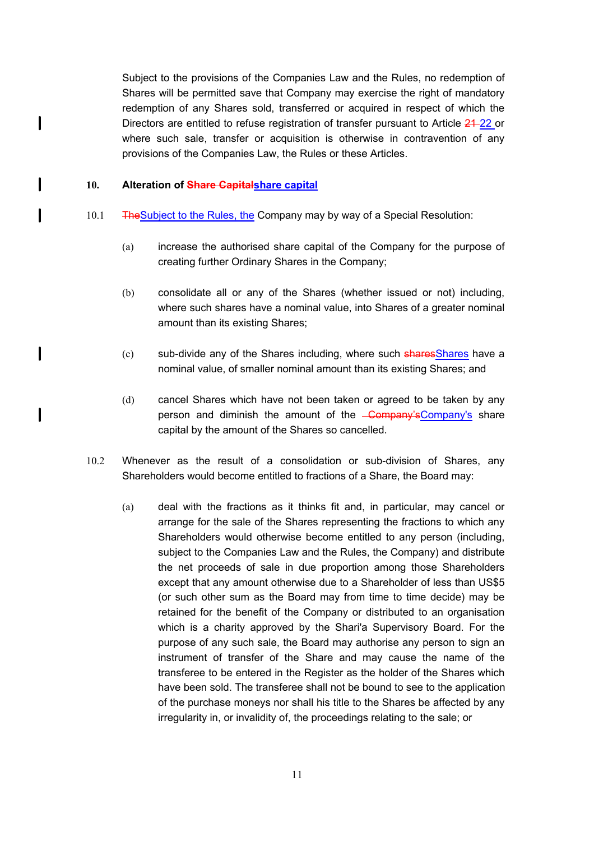Subject to the provisions of the Companies Law and the Rules, no redemption of Shares will be permitted save that Company may exercise the right of mandatory redemption of any Shares sold, transferred or acquired in respect of which the Directors are entitled to refuse registration of transfer pursuant to Article 24-22 or where such sale, transfer or acquisition is otherwise in contravention of any provisions of the Companies Law, the Rules or these Articles.

#### **10. Alteration of Share Capitalshare capital**

 $\mathbf{l}$ 

I

 $\mathbf l$ 

 $\mathbf l$ 

 $\mathbf{I}$ 

- 10.1 TheSubject to the Rules, the Company may by way of a Special Resolution:
	- (a) increase the authorised share capital of the Company for the purpose of creating further Ordinary Shares in the Company;
	- (b) consolidate all or any of the Shares (whether issued or not) including, where such shares have a nominal value, into Shares of a greater nominal amount than its existing Shares;
	- (c) sub-divide any of the Shares including, where such sharesShares have a nominal value, of smaller nominal amount than its existing Shares; and
	- (d) cancel Shares which have not been taken or agreed to be taken by any person and diminish the amount of the <del>Company'sCompany's</del> share capital by the amount of the Shares so cancelled.
- 10.2 Whenever as the result of a consolidation or sub-division of Shares, any Shareholders would become entitled to fractions of a Share, the Board may:
	- (a) deal with the fractions as it thinks fit and, in particular, may cancel or arrange for the sale of the Shares representing the fractions to which any Shareholders would otherwise become entitled to any person (including, subject to the Companies Law and the Rules, the Company) and distribute the net proceeds of sale in due proportion among those Shareholders except that any amount otherwise due to a Shareholder of less than US\$5 (or such other sum as the Board may from time to time decide) may be retained for the benefit of the Company or distributed to an organisation which is a charity approved by the Shari'a Supervisory Board. For the purpose of any such sale, the Board may authorise any person to sign an instrument of transfer of the Share and may cause the name of the transferee to be entered in the Register as the holder of the Shares which have been sold. The transferee shall not be bound to see to the application of the purchase moneys nor shall his title to the Shares be affected by any irregularity in, or invalidity of, the proceedings relating to the sale; or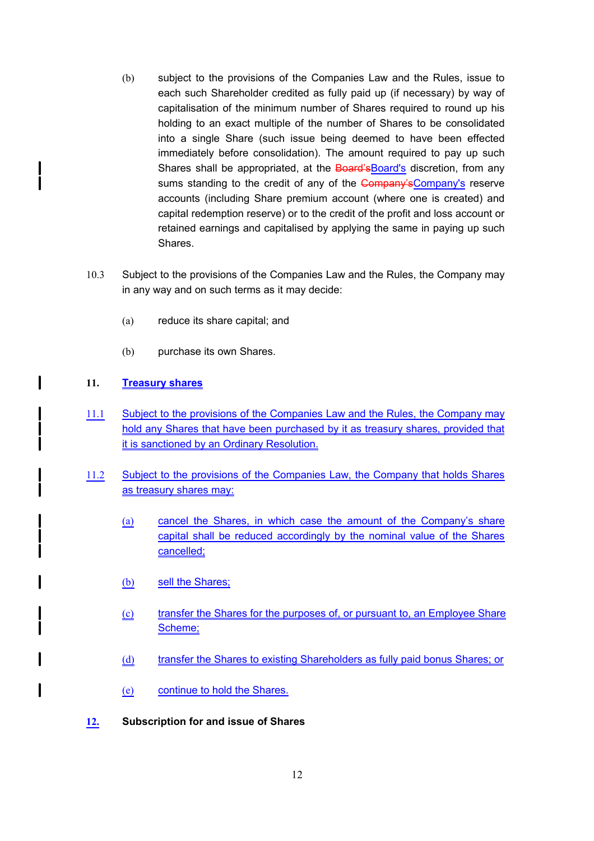- (b) subject to the provisions of the Companies Law and the Rules, issue to each such Shareholder credited as fully paid up (if necessary) by way of capitalisation of the minimum number of Shares required to round up his holding to an exact multiple of the number of Shares to be consolidated into a single Share (such issue being deemed to have been effected immediately before consolidation). The amount required to pay up such Shares shall be appropriated, at the Board's Board's discretion, from any sums standing to the credit of any of the Company's Company's reserve accounts (including Share premium account (where one is created) and capital redemption reserve) or to the credit of the profit and loss account or retained earnings and capitalised by applying the same in paying up such Shares.
- 10.3 Subject to the provisions of the Companies Law and the Rules, the Company may in any way and on such terms as it may decide:
	- (a) reduce its share capital; and
	- (b) purchase its own Shares.

# **11. Treasury shares**

 $\mathbf l$ 

I

- 11.1 Subject to the provisions of the Companies Law and the Rules, the Company may hold any Shares that have been purchased by it as treasury shares, provided that it is sanctioned by an Ordinary Resolution.
- 11.2 Subject to the provisions of the Companies Law, the Company that holds Shares as treasury shares may:
	- (a) cancel the Shares, in which case the amount of the Company's share capital shall be reduced accordingly by the nominal value of the Shares cancelled;
	- (b) sell the Shares;
	- (c) transfer the Shares for the purposes of, or pursuant to, an Employee Share Scheme;
	- (d) transfer the Shares to existing Shareholders as fully paid bonus Shares; or
	- (e) continue to hold the Shares.

# **12. Subscription for and issue of Shares**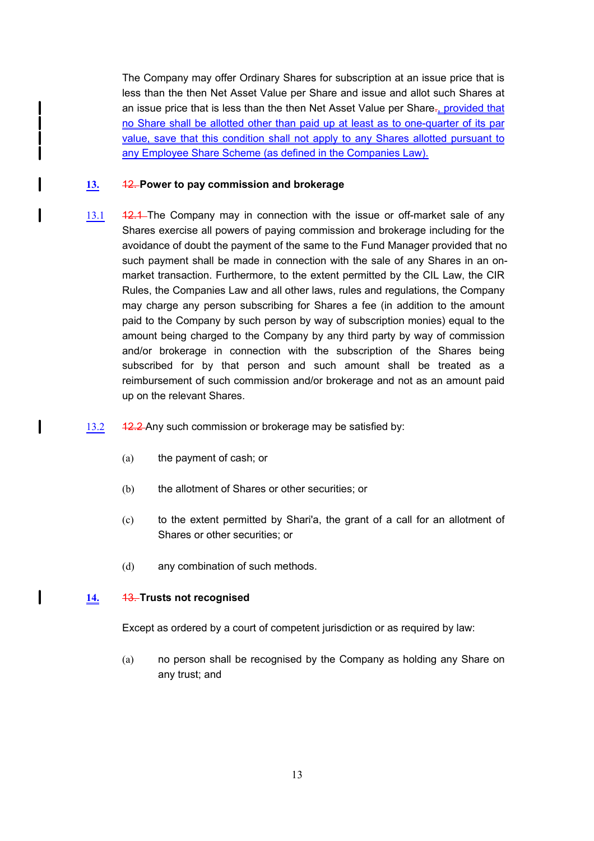The Company may offer Ordinary Shares for subscription at an issue price that is less than the then Net Asset Value per Share and issue and allot such Shares at an issue price that is less than the then Net Asset Value per Share., provided that no Share shall be allotted other than paid up at least as to one-quarter of its par value, save that this condition shall not apply to any Shares allotted pursuant to any Employee Share Scheme (as defined in the Companies Law).

### **13.** 12. **Power to pay commission and brokerage**

 $\mathbf{I}$ 

 $\mathbf{I}$ 

 $\mathbf l$ 

- 13.1 42.4 The Company may in connection with the issue or off-market sale of any Shares exercise all powers of paying commission and brokerage including for the avoidance of doubt the payment of the same to the Fund Manager provided that no such payment shall be made in connection with the sale of any Shares in an onmarket transaction. Furthermore, to the extent permitted by the CIL Law, the CIR Rules, the Companies Law and all other laws, rules and regulations, the Company may charge any person subscribing for Shares a fee (in addition to the amount paid to the Company by such person by way of subscription monies) equal to the amount being charged to the Company by any third party by way of commission and/or brokerage in connection with the subscription of the Shares being subscribed for by that person and such amount shall be treated as a reimbursement of such commission and/or brokerage and not as an amount paid up on the relevant Shares.
- 13.2 12.2 Any such commission or brokerage may be satisfied by:
	- (a) the payment of cash; or
	- (b) the allotment of Shares or other securities; or
	- (c) to the extent permitted by Shari'a, the grant of a call for an allotment of Shares or other securities; or
	- (d) any combination of such methods.

### **14.** 13. **Trusts not recognised**

Except as ordered by a court of competent jurisdiction or as required by law:

(a) no person shall be recognised by the Company as holding any Share on any trust; and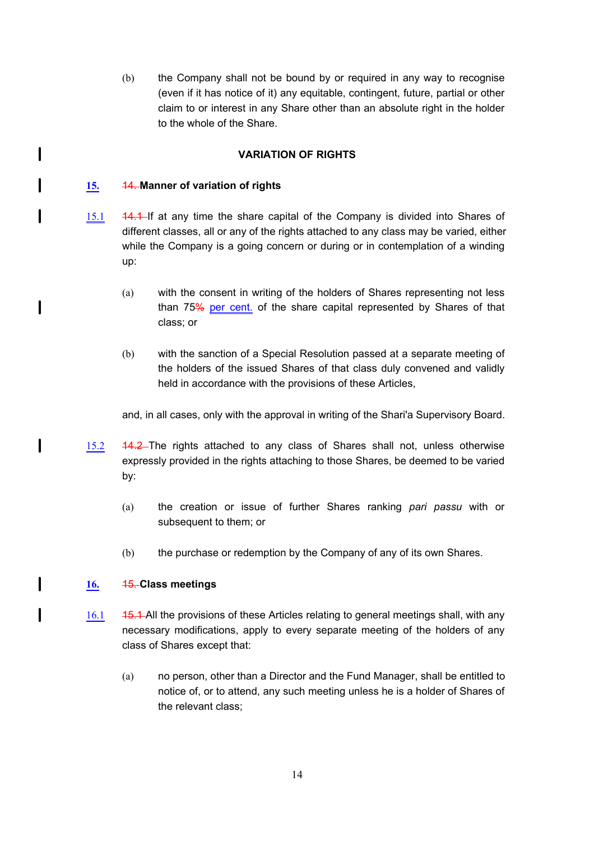(b) the Company shall not be bound by or required in any way to recognise (even if it has notice of it) any equitable, contingent, future, partial or other claim to or interest in any Share other than an absolute right in the holder to the whole of the Share.

# **VARIATION OF RIGHTS**

# **15.** 14. **Manner of variation of rights**

 $\mathbf l$ 

 $\mathbf l$ 

 $\mathbf I$ 

 $\mathbf{I}$ 

 $\mathsf{l}$ 

I

- 15.1 44.4 If at any time the share capital of the Company is divided into Shares of different classes, all or any of the rights attached to any class may be varied, either while the Company is a going concern or during or in contemplation of a winding up:
	- (a) with the consent in writing of the holders of Shares representing not less than 75% per cent. of the share capital represented by Shares of that class; or
	- (b) with the sanction of a Special Resolution passed at a separate meeting of the holders of the issued Shares of that class duly convened and validly held in accordance with the provisions of these Articles,

and, in all cases, only with the approval in writing of the Shari'a Supervisory Board.

- 15.2 14.2 The rights attached to any class of Shares shall not, unless otherwise expressly provided in the rights attaching to those Shares, be deemed to be varied by:
	- (a) the creation or issue of further Shares ranking *pari passu* with or subsequent to them; or
	- (b) the purchase or redemption by the Company of any of its own Shares.

# **16.** 15. **Class meetings**

- 16.1 45.1 All the provisions of these Articles relating to general meetings shall, with any necessary modifications, apply to every separate meeting of the holders of any class of Shares except that:
	- (a) no person, other than a Director and the Fund Manager, shall be entitled to notice of, or to attend, any such meeting unless he is a holder of Shares of the relevant class;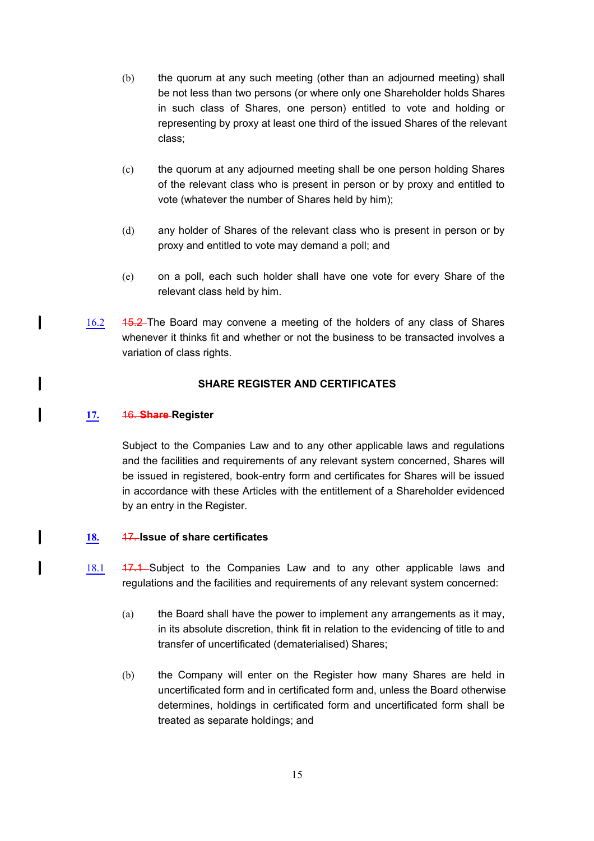- (b) the quorum at any such meeting (other than an adjourned meeting) shall be not less than two persons (or where only one Shareholder holds Shares in such class of Shares, one person) entitled to vote and holding or representing by proxy at least one third of the issued Shares of the relevant class;
- (c) the quorum at any adjourned meeting shall be one person holding Shares of the relevant class who is present in person or by proxy and entitled to vote (whatever the number of Shares held by him);
- (d) any holder of Shares of the relevant class who is present in person or by proxy and entitled to vote may demand a poll; and
- (e) on a poll, each such holder shall have one vote for every Share of the relevant class held by him.
- 16.2 15.2 The Board may convene a meeting of the holders of any class of Shares whenever it thinks fit and whether or not the business to be transacted involves a variation of class rights.

# **SHARE REGISTER AND CERTIFICATES**

# **17.** 16. **Share Register**

 $\mathbf{I}$ 

I

 $\mathbf l$ 

I

Subject to the Companies Law and to any other applicable laws and regulations and the facilities and requirements of any relevant system concerned, Shares will be issued in registered, book-entry form and certificates for Shares will be issued in accordance with these Articles with the entitlement of a Shareholder evidenced by an entry in the Register.

# **18.** 17. **Issue of share certificates**

- 18.1 17.1 Subject to the Companies Law and to any other applicable laws and regulations and the facilities and requirements of any relevant system concerned:
	- (a) the Board shall have the power to implement any arrangements as it may, in its absolute discretion, think fit in relation to the evidencing of title to and transfer of uncertificated (dematerialised) Shares;
	- (b) the Company will enter on the Register how many Shares are held in uncertificated form and in certificated form and, unless the Board otherwise determines, holdings in certificated form and uncertificated form shall be treated as separate holdings; and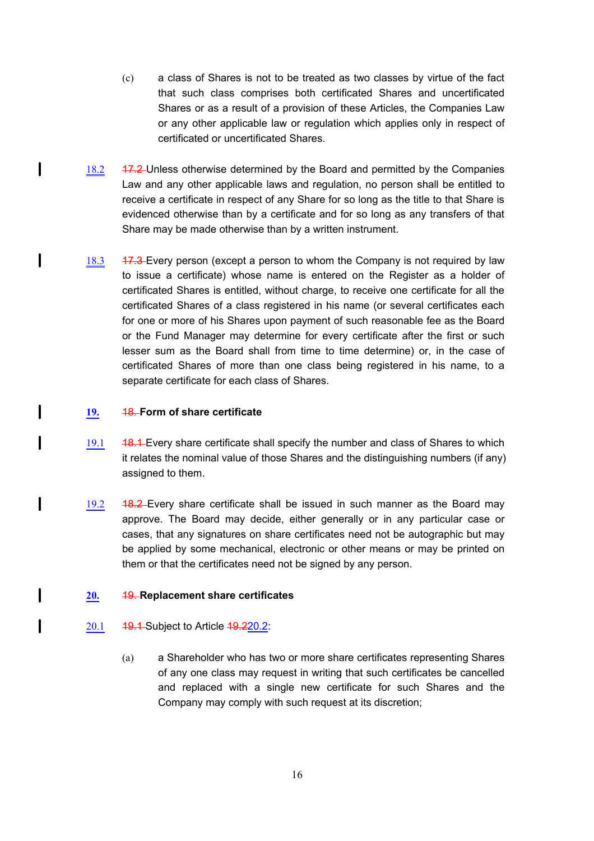- (c) a class of Shares is not to be treated as two classes by virtue of the fact that such class comprises both certificated Shares and uncertificated Shares or as a result of a provision of these Articles, the Companies Law or any other applicable law or regulation which applies only in respect of certificated or uncertificated Shares.
- 18.2 17.2 Unless otherwise determined by the Board and permitted by the Companies Law and any other applicable laws and regulation, no person shall be entitled to receive a certificate in respect of any Share for so long as the title to that Share is evidenced otherwise than by a certificate and for so long as any transfers of that Share may be made otherwise than by a written instrument.
- 18.3 17.3 Every person (except a person to whom the Company is not required by law to issue a certificate) whose name is entered on the Register as a holder of certificated Shares is entitled, without charge, to receive one certificate for all the certificated Shares of a class registered in his name (or several certificates each for one or more of his Shares upon payment of such reasonable fee as the Board or the Fund Manager may determine for every certificate after the first or such lesser sum as the Board shall from time to time determine) or, in the case of certificated Shares of more than one class being registered in his name, to a separate certificate for each class of Shares.

# **19.** 18. **Form of share certificate**

 $\mathbf l$ 

l

I

1

 $\mathbf{I}$ 

l

I

- 19.1 48.1 Every share certificate shall specify the number and class of Shares to which it relates the nominal value of those Shares and the distinguishing numbers (if any) assigned to them.
- 19.2 48.2 Every share certificate shall be issued in such manner as the Board may approve. The Board may decide, either generally or in any particular case or cases, that any signatures on share certificates need not be autographic but may be applied by some mechanical, electronic or other means or may be printed on them or that the certificates need not be signed by any person.

# **20.** 19. **Replacement share certificates**

- 20.1 **19.1** Subject to Article 19.220.2:
	- (a) a Shareholder who has two or more share certificates representing Shares of any one class may request in writing that such certificates be cancelled and replaced with a single new certificate for such Shares and the Company may comply with such request at its discretion;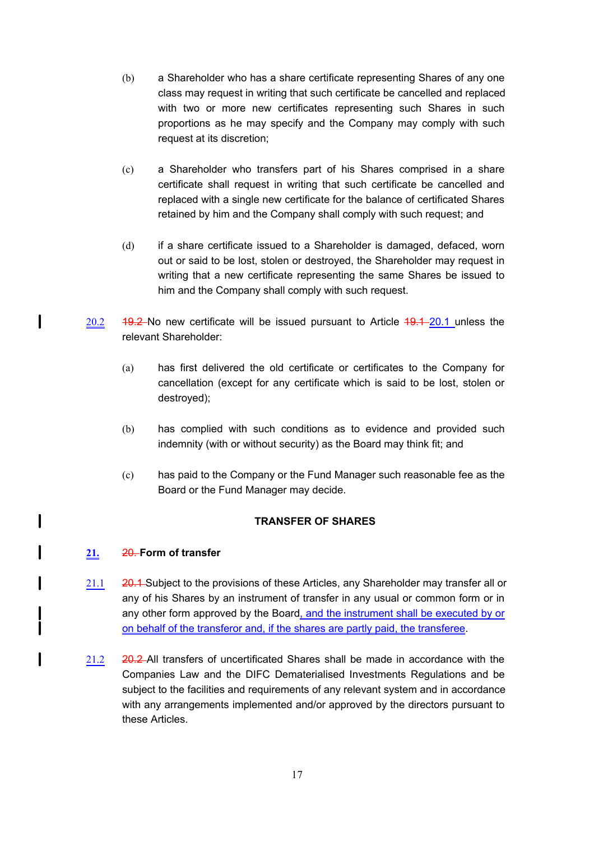- (b) a Shareholder who has a share certificate representing Shares of any one class may request in writing that such certificate be cancelled and replaced with two or more new certificates representing such Shares in such proportions as he may specify and the Company may comply with such request at its discretion;
- (c) a Shareholder who transfers part of his Shares comprised in a share certificate shall request in writing that such certificate be cancelled and replaced with a single new certificate for the balance of certificated Shares retained by him and the Company shall comply with such request; and
- (d) if a share certificate issued to a Shareholder is damaged, defaced, worn out or said to be lost, stolen or destroyed, the Shareholder may request in writing that a new certificate representing the same Shares be issued to him and the Company shall comply with such request.
- $20.2$  19.2 No new certificate will be issued pursuant to Article  $19.1 20.1$  unless the relevant Shareholder:
	- (a) has first delivered the old certificate or certificates to the Company for cancellation (except for any certificate which is said to be lost, stolen or destroyed);
	- (b) has complied with such conditions as to evidence and provided such indemnity (with or without security) as the Board may think fit; and
	- (c) has paid to the Company or the Fund Manager such reasonable fee as the Board or the Fund Manager may decide.

# **TRANSFER OF SHARES**

# **21.** 20. **Form of transfer**

l

 $\mathbf l$ 

I

- 21.1 20.1 Subject to the provisions of these Articles, any Shareholder may transfer all or any of his Shares by an instrument of transfer in any usual or common form or in any other form approved by the Board, and the instrument shall be executed by or on behalf of the transferor and, if the shares are partly paid, the transferee.
- 21.2 20.2 All transfers of uncertificated Shares shall be made in accordance with the Companies Law and the DIFC Dematerialised Investments Regulations and be subject to the facilities and requirements of any relevant system and in accordance with any arrangements implemented and/or approved by the directors pursuant to these Articles.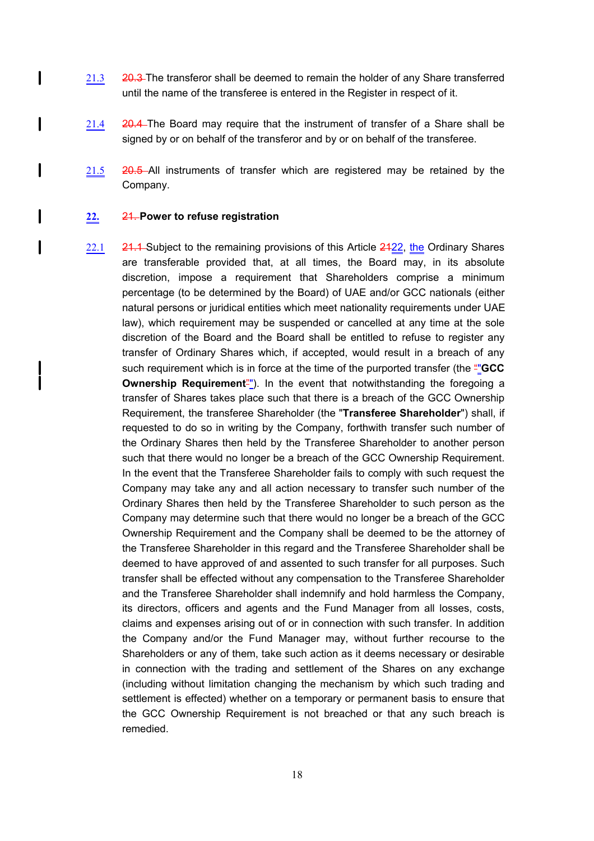- 21.3 20.3 The transferor shall be deemed to remain the holder of any Share transferred until the name of the transferee is entered in the Register in respect of it.
- 21.4 20.4 The Board may require that the instrument of transfer of a Share shall be signed by or on behalf of the transferor and by or on behalf of the transferee.
- 21.5 20.5 All instruments of transfer which are registered may be retained by the Company.

#### **22.** 21. **Power to refuse registration**

 $\mathbf{I}$ 

I

l

I

 $\mathbf{I}$ 

22.1 21.1 Subject to the remaining provisions of this Article 2422, the Ordinary Shares are transferable provided that, at all times, the Board may, in its absolute discretion, impose a requirement that Shareholders comprise a minimum percentage (to be determined by the Board) of UAE and/or GCC nationals (either natural persons or juridical entities which meet nationality requirements under UAE law), which requirement may be suspended or cancelled at any time at the sole discretion of the Board and the Board shall be entitled to refuse to register any transfer of Ordinary Shares which, if accepted, would result in a breach of any such requirement which is in force at the time of the purported transfer (the ""**GCC Ownership Requirement**<sup>"</sup>). In the event that notwithstanding the foregoing a transfer of Shares takes place such that there is a breach of the GCC Ownership Requirement, the transferee Shareholder (the "**Transferee Shareholder**") shall, if requested to do so in writing by the Company, forthwith transfer such number of the Ordinary Shares then held by the Transferee Shareholder to another person such that there would no longer be a breach of the GCC Ownership Requirement. In the event that the Transferee Shareholder fails to comply with such request the Company may take any and all action necessary to transfer such number of the Ordinary Shares then held by the Transferee Shareholder to such person as the Company may determine such that there would no longer be a breach of the GCC Ownership Requirement and the Company shall be deemed to be the attorney of the Transferee Shareholder in this regard and the Transferee Shareholder shall be deemed to have approved of and assented to such transfer for all purposes. Such transfer shall be effected without any compensation to the Transferee Shareholder and the Transferee Shareholder shall indemnify and hold harmless the Company, its directors, officers and agents and the Fund Manager from all losses, costs, claims and expenses arising out of or in connection with such transfer. In addition the Company and/or the Fund Manager may, without further recourse to the Shareholders or any of them, take such action as it deems necessary or desirable in connection with the trading and settlement of the Shares on any exchange (including without limitation changing the mechanism by which such trading and settlement is effected) whether on a temporary or permanent basis to ensure that the GCC Ownership Requirement is not breached or that any such breach is remedied.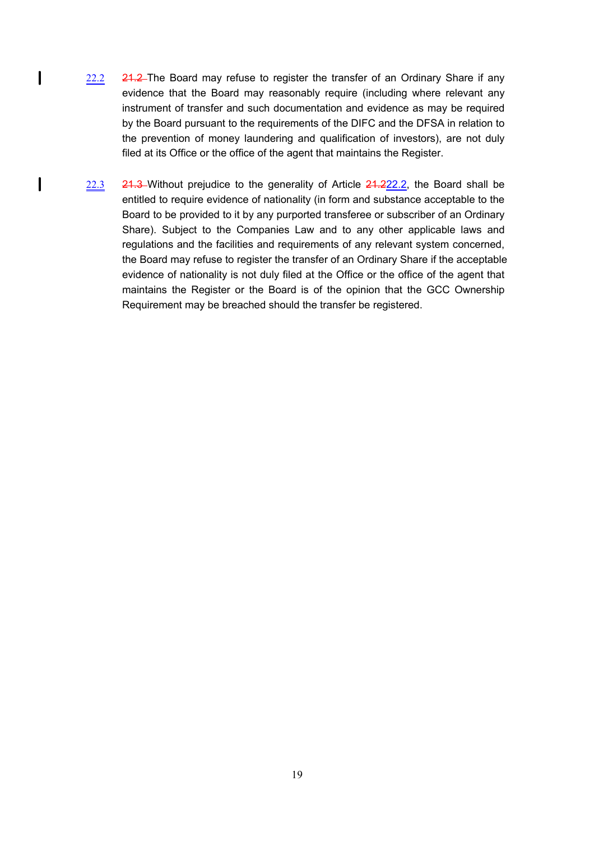22.2 21.2 The Board may refuse to register the transfer of an Ordinary Share if any evidence that the Board may reasonably require (including where relevant any instrument of transfer and such documentation and evidence as may be required by the Board pursuant to the requirements of the DIFC and the DFSA in relation to the prevention of money laundering and qualification of investors), are not duly filed at its Office or the office of the agent that maintains the Register.

 $\mathbf{I}$ 

 $\mathbf{I}$ 

22.3 21.3 Without prejudice to the generality of Article 21.222.2, the Board shall be entitled to require evidence of nationality (in form and substance acceptable to the Board to be provided to it by any purported transferee or subscriber of an Ordinary Share). Subject to the Companies Law and to any other applicable laws and regulations and the facilities and requirements of any relevant system concerned, the Board may refuse to register the transfer of an Ordinary Share if the acceptable evidence of nationality is not duly filed at the Office or the office of the agent that maintains the Register or the Board is of the opinion that the GCC Ownership Requirement may be breached should the transfer be registered.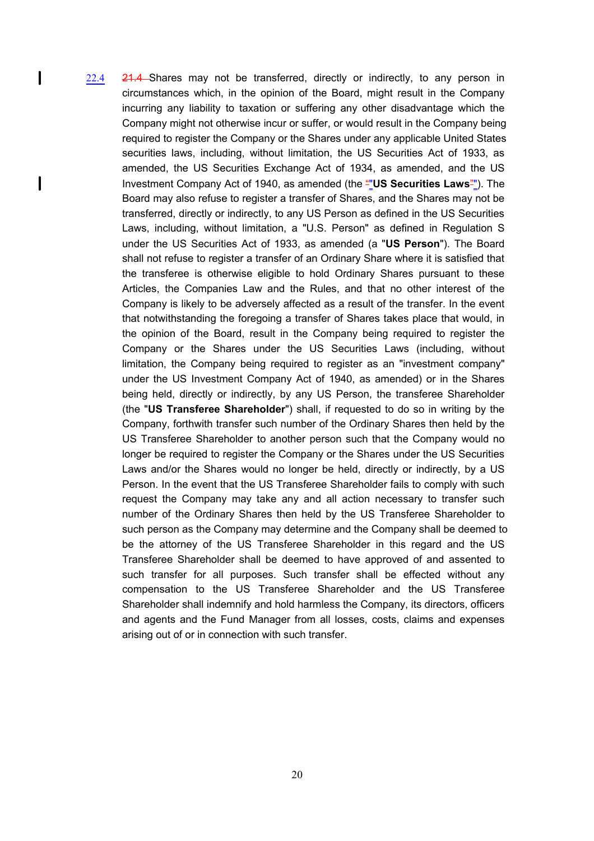22.4 21.4 Shares may not be transferred, directly or indirectly, to any person in circumstances which, in the opinion of the Board, might result in the Company incurring any liability to taxation or suffering any other disadvantage which the Company might not otherwise incur or suffer, or would result in the Company being required to register the Company or the Shares under any applicable United States securities laws, including, without limitation, the US Securities Act of 1933, as amended, the US Securities Exchange Act of 1934, as amended, and the US Investment Company Act of 1940, as amended (the ""**US Securities Laws**""). The Board may also refuse to register a transfer of Shares, and the Shares may not be transferred, directly or indirectly, to any US Person as defined in the US Securities Laws, including, without limitation, a "U.S. Person" as defined in Regulation S under the US Securities Act of 1933, as amended (a "**US Person**"). The Board shall not refuse to register a transfer of an Ordinary Share where it is satisfied that the transferee is otherwise eligible to hold Ordinary Shares pursuant to these Articles, the Companies Law and the Rules, and that no other interest of the Company is likely to be adversely affected as a result of the transfer. In the event that notwithstanding the foregoing a transfer of Shares takes place that would, in the opinion of the Board, result in the Company being required to register the Company or the Shares under the US Securities Laws (including, without limitation, the Company being required to register as an "investment company" under the US Investment Company Act of 1940, as amended) or in the Shares being held, directly or indirectly, by any US Person, the transferee Shareholder (the "**US Transferee Shareholder**") shall, if requested to do so in writing by the Company, forthwith transfer such number of the Ordinary Shares then held by the US Transferee Shareholder to another person such that the Company would no longer be required to register the Company or the Shares under the US Securities Laws and/or the Shares would no longer be held, directly or indirectly, by a US Person. In the event that the US Transferee Shareholder fails to comply with such request the Company may take any and all action necessary to transfer such number of the Ordinary Shares then held by the US Transferee Shareholder to such person as the Company may determine and the Company shall be deemed to be the attorney of the US Transferee Shareholder in this regard and the US Transferee Shareholder shall be deemed to have approved of and assented to such transfer for all purposes. Such transfer shall be effected without any compensation to the US Transferee Shareholder and the US Transferee Shareholder shall indemnify and hold harmless the Company, its directors, officers and agents and the Fund Manager from all losses, costs, claims and expenses arising out of or in connection with such transfer.

 $\mathbf{I}$ 

 $\mathbf l$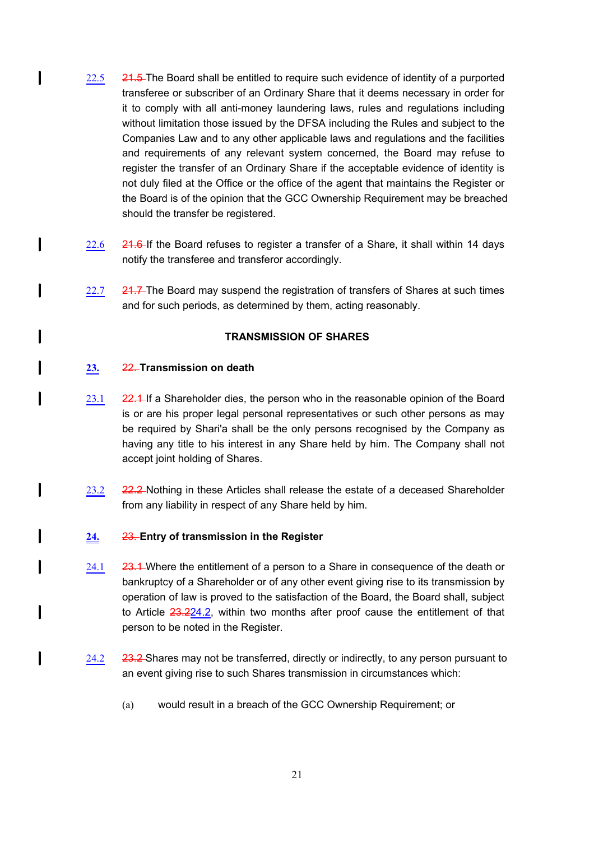- $22.5$  21.5 The Board shall be entitled to require such evidence of identity of a purported transferee or subscriber of an Ordinary Share that it deems necessary in order for it to comply with all anti-money laundering laws, rules and regulations including without limitation those issued by the DFSA including the Rules and subject to the Companies Law and to any other applicable laws and regulations and the facilities and requirements of any relevant system concerned, the Board may refuse to register the transfer of an Ordinary Share if the acceptable evidence of identity is not duly filed at the Office or the office of the agent that maintains the Register or the Board is of the opinion that the GCC Ownership Requirement may be breached should the transfer be registered.
- 22.6 21.6 If the Board refuses to register a transfer of a Share, it shall within 14 days notify the transferee and transferor accordingly.
- 22.7  $\,$  24.7-The Board may suspend the registration of transfers of Shares at such times and for such periods, as determined by them, acting reasonably.

### **TRANSMISSION OF SHARES**

### **23.** 22. **Transmission on death**

1

 $\mathbf l$ 

 $\mathbf l$ 

1

 $\mathbf l$ 

l

I

I

I

- 23.1 22.4-If a Shareholder dies, the person who in the reasonable opinion of the Board is or are his proper legal personal representatives or such other persons as may be required by Shari'a shall be the only persons recognised by the Company as having any title to his interest in any Share held by him. The Company shall not accept joint holding of Shares.
- 23.2 22.2 Nothing in these Articles shall release the estate of a deceased Shareholder from any liability in respect of any Share held by him.

### **24.** 23. **Entry of transmission in the Register**

- 24.1 23.4 Where the entitlement of a person to a Share in consequence of the death or bankruptcy of a Shareholder or of any other event giving rise to its transmission by operation of law is proved to the satisfaction of the Board, the Board shall, subject to Article 23.224.2, within two months after proof cause the entitlement of that person to be noted in the Register.
- 24.2 23.2 Shares may not be transferred, directly or indirectly, to any person pursuant to an event giving rise to such Shares transmission in circumstances which:
	- (a) would result in a breach of the GCC Ownership Requirement; or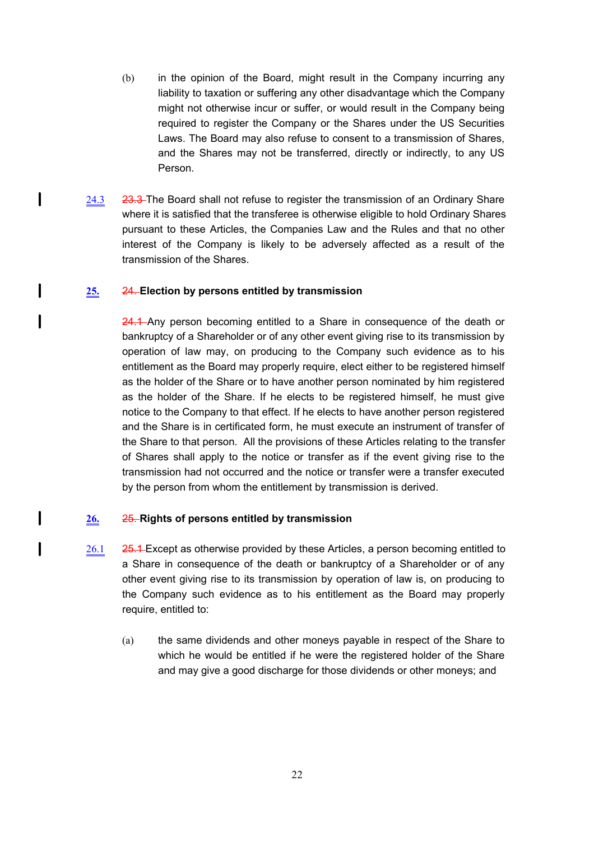- (b) in the opinion of the Board, might result in the Company incurring any liability to taxation or suffering any other disadvantage which the Company might not otherwise incur or suffer, or would result in the Company being required to register the Company or the Shares under the US Securities Laws. The Board may also refuse to consent to a transmission of Shares, and the Shares may not be transferred, directly or indirectly, to any US Person.
- 24.3 23.3 The Board shall not refuse to register the transmission of an Ordinary Share where it is satisfied that the transferee is otherwise eligible to hold Ordinary Shares pursuant to these Articles, the Companies Law and the Rules and that no other interest of the Company is likely to be adversely affected as a result of the transmission of the Shares.

# **25.** 24. **Election by persons entitled by transmission**

 $\mathbf{I}$ 

 $\mathbf l$ 

I

I

I

24.1 Any person becoming entitled to a Share in consequence of the death or bankruptcy of a Shareholder or of any other event giving rise to its transmission by operation of law may, on producing to the Company such evidence as to his entitlement as the Board may properly require, elect either to be registered himself as the holder of the Share or to have another person nominated by him registered as the holder of the Share. If he elects to be registered himself, he must give notice to the Company to that effect. If he elects to have another person registered and the Share is in certificated form, he must execute an instrument of transfer of the Share to that person. All the provisions of these Articles relating to the transfer of Shares shall apply to the notice or transfer as if the event giving rise to the transmission had not occurred and the notice or transfer were a transfer executed by the person from whom the entitlement by transmission is derived.

# **26.** 25. **Rights of persons entitled by transmission**

- 26.1 25.4 Except as otherwise provided by these Articles, a person becoming entitled to a Share in consequence of the death or bankruptcy of a Shareholder or of any other event giving rise to its transmission by operation of law is, on producing to the Company such evidence as to his entitlement as the Board may properly require, entitled to:
	- (a) the same dividends and other moneys payable in respect of the Share to which he would be entitled if he were the registered holder of the Share and may give a good discharge for those dividends or other moneys; and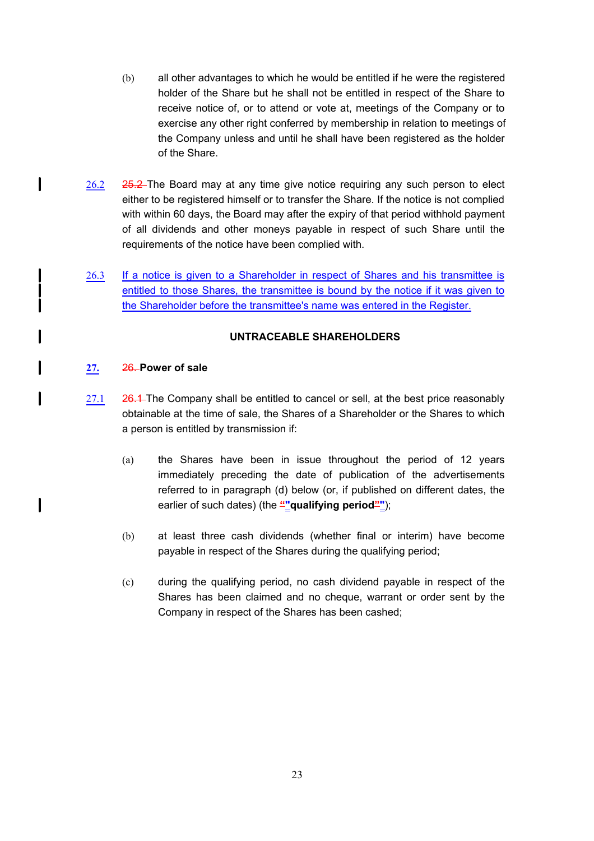- (b) all other advantages to which he would be entitled if he were the registered holder of the Share but he shall not be entitled in respect of the Share to receive notice of, or to attend or vote at, meetings of the Company or to exercise any other right conferred by membership in relation to meetings of the Company unless and until he shall have been registered as the holder of the Share.
- $26.2$   $25.2$  The Board may at any time give notice requiring any such person to elect either to be registered himself or to transfer the Share. If the notice is not complied with within 60 days, the Board may after the expiry of that period withhold payment of all dividends and other moneys payable in respect of such Share until the requirements of the notice have been complied with.
- 26.3 If a notice is given to a Shareholder in respect of Shares and his transmittee is entitled to those Shares, the transmittee is bound by the notice if it was given to the Shareholder before the transmittee's name was entered in the Register.

# **UNTRACEABLE SHAREHOLDERS**

### **27.** 26. **Power of sale**

 $\mathbf{I}$ 

 $\mathbf l$ 

 $\mathbf l$ 

- $27.1$   $26.1$  The Company shall be entitled to cancel or sell, at the best price reasonably obtainable at the time of sale, the Shares of a Shareholder or the Shares to which a person is entitled by transmission if:
	- (a) the Shares have been in issue throughout the period of 12 years immediately preceding the date of publication of the advertisements referred to in paragraph (d) below (or, if published on different dates, the earlier of such dates) (the "nualifying period"");
	- (b) at least three cash dividends (whether final or interim) have become payable in respect of the Shares during the qualifying period;
	- (c) during the qualifying period, no cash dividend payable in respect of the Shares has been claimed and no cheque, warrant or order sent by the Company in respect of the Shares has been cashed;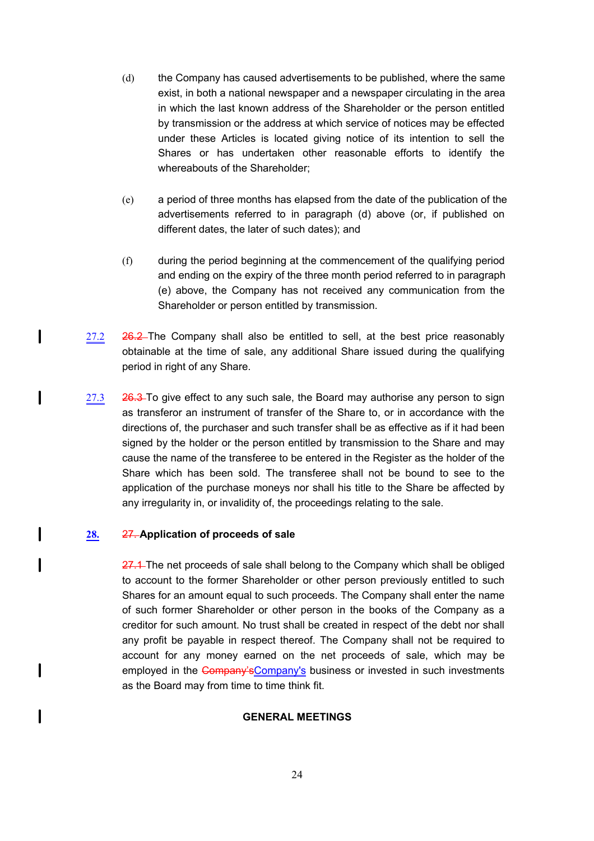- (d) the Company has caused advertisements to be published, where the same exist, in both a national newspaper and a newspaper circulating in the area in which the last known address of the Shareholder or the person entitled by transmission or the address at which service of notices may be effected under these Articles is located giving notice of its intention to sell the Shares or has undertaken other reasonable efforts to identify the whereabouts of the Shareholder;
- (e) a period of three months has elapsed from the date of the publication of the advertisements referred to in paragraph (d) above (or, if published on different dates, the later of such dates); and
- (f) during the period beginning at the commencement of the qualifying period and ending on the expiry of the three month period referred to in paragraph (e) above, the Company has not received any communication from the Shareholder or person entitled by transmission.
- 27.2 26.2 The Company shall also be entitled to sell, at the best price reasonably obtainable at the time of sale, any additional Share issued during the qualifying period in right of any Share.
- 27.3 26.3 To give effect to any such sale, the Board may authorise any person to sign as transferor an instrument of transfer of the Share to, or in accordance with the directions of, the purchaser and such transfer shall be as effective as if it had been signed by the holder or the person entitled by transmission to the Share and may cause the name of the transferee to be entered in the Register as the holder of the Share which has been sold. The transferee shall not be bound to see to the application of the purchase moneys nor shall his title to the Share be affected by any irregularity in, or invalidity of, the proceedings relating to the sale.

# **28.** 27. **Application of proceeds of sale**

 $\mathbf{I}$ 

 $\mathbf l$ 

I

 $\mathbf l$ 

 $\mathbf l$ 

 $\mathbf{I}$ 

27.1 The net proceeds of sale shall belong to the Company which shall be obliged to account to the former Shareholder or other person previously entitled to such Shares for an amount equal to such proceeds. The Company shall enter the name of such former Shareholder or other person in the books of the Company as a creditor for such amount. No trust shall be created in respect of the debt nor shall any profit be payable in respect thereof. The Company shall not be required to account for any money earned on the net proceeds of sale, which may be employed in the Company's Company's business or invested in such investments as the Board may from time to time think fit.

### **GENERAL MEETINGS**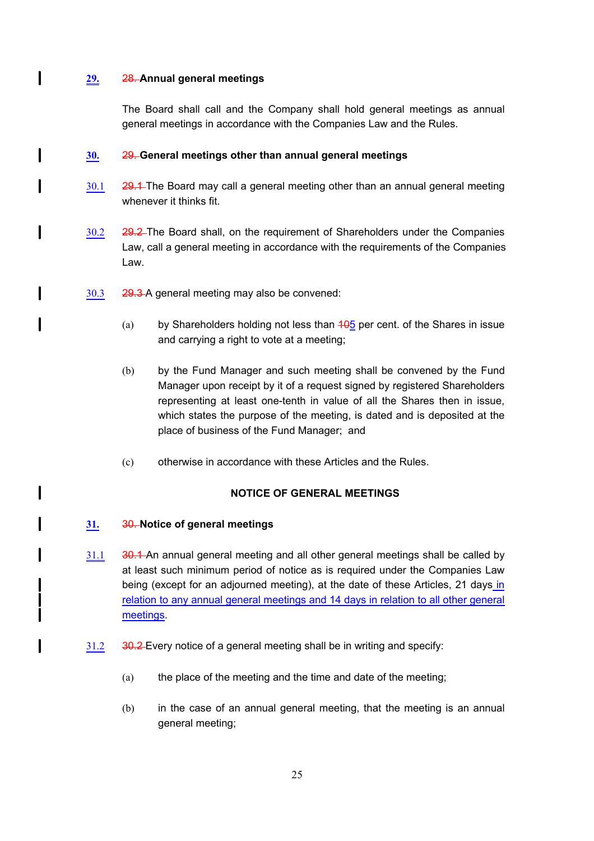# **29.** 28. **Annual general meetings**

 $\mathbf{l}$ 

 $\mathbf l$ 

I

l

 $\mathbf l$ 

I

I

The Board shall call and the Company shall hold general meetings as annual general meetings in accordance with the Companies Law and the Rules.

# **30.** 29. **General meetings other than annual general meetings**

- 30.1 29.1 The Board may call a general meeting other than an annual general meeting whenever it thinks fit.
- 30.2 29.2 The Board shall, on the requirement of Shareholders under the Companies Law, call a general meeting in accordance with the requirements of the Companies Law.
- 30.3 29.3 A general meeting may also be convened:
	- (a) by Shareholders holding not less than  $105$  per cent. of the Shares in issue and carrying a right to vote at a meeting;
	- (b) by the Fund Manager and such meeting shall be convened by the Fund Manager upon receipt by it of a request signed by registered Shareholders representing at least one-tenth in value of all the Shares then in issue, which states the purpose of the meeting, is dated and is deposited at the place of business of the Fund Manager; and
	- (c) otherwise in accordance with these Articles and the Rules.

# **NOTICE OF GENERAL MEETINGS**

# **31.** 30. **Notice of general meetings**

- 31.1 30.1 An annual general meeting and all other general meetings shall be called by at least such minimum period of notice as is required under the Companies Law being (except for an adjourned meeting), at the date of these Articles, 21 days in relation to any annual general meetings and 14 days in relation to all other general meetings.
- 31.2 30.2 Every notice of a general meeting shall be in writing and specify:
	- (a) the place of the meeting and the time and date of the meeting;
	- (b) in the case of an annual general meeting, that the meeting is an annual general meeting;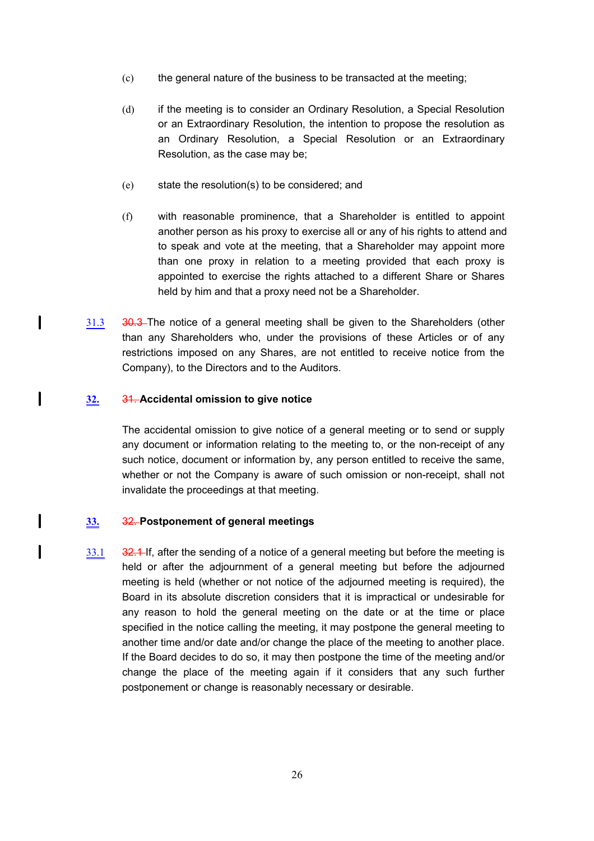- (c) the general nature of the business to be transacted at the meeting;
- (d) if the meeting is to consider an Ordinary Resolution, a Special Resolution or an Extraordinary Resolution, the intention to propose the resolution as an Ordinary Resolution, a Special Resolution or an Extraordinary Resolution, as the case may be;
- (e) state the resolution(s) to be considered; and
- (f) with reasonable prominence, that a Shareholder is entitled to appoint another person as his proxy to exercise all or any of his rights to attend and to speak and vote at the meeting, that a Shareholder may appoint more than one proxy in relation to a meeting provided that each proxy is appointed to exercise the rights attached to a different Share or Shares held by him and that a proxy need not be a Shareholder.
- 31.3 30.3 The notice of a general meeting shall be given to the Shareholders (other than any Shareholders who, under the provisions of these Articles or of any restrictions imposed on any Shares, are not entitled to receive notice from the Company), to the Directors and to the Auditors.

# **32.** 31. **Accidental omission to give notice**

 $\mathbf{I}$ 

 $\mathbf{I}$ 

l

1

The accidental omission to give notice of a general meeting or to send or supply any document or information relating to the meeting to, or the non-receipt of any such notice, document or information by, any person entitled to receive the same, whether or not the Company is aware of such omission or non-receipt, shall not invalidate the proceedings at that meeting.

# **33.** 32. **Postponement of general meetings**

 $33.1$   $32.4$ -If, after the sending of a notice of a general meeting but before the meeting is held or after the adjournment of a general meeting but before the adjourned meeting is held (whether or not notice of the adjourned meeting is required), the Board in its absolute discretion considers that it is impractical or undesirable for any reason to hold the general meeting on the date or at the time or place specified in the notice calling the meeting, it may postpone the general meeting to another time and/or date and/or change the place of the meeting to another place. If the Board decides to do so, it may then postpone the time of the meeting and/or change the place of the meeting again if it considers that any such further postponement or change is reasonably necessary or desirable.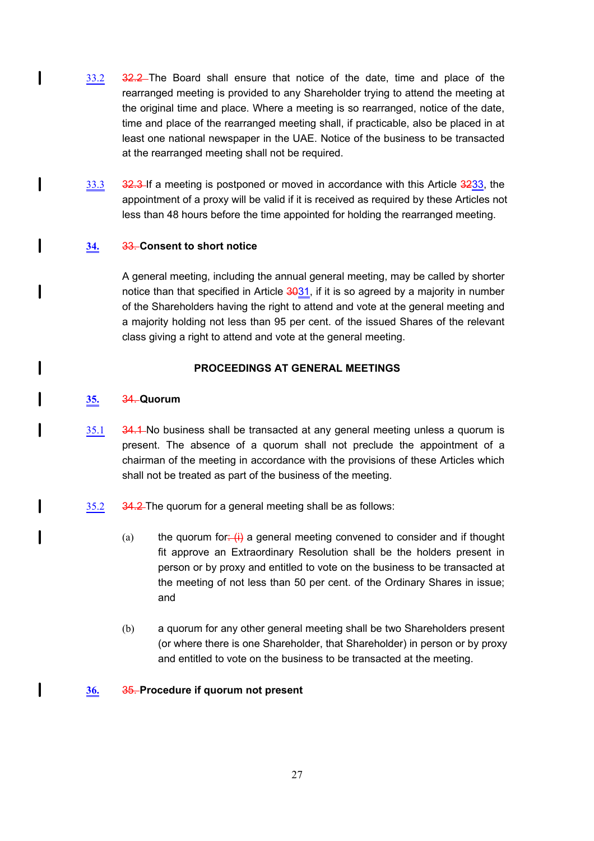- 33.2 32.2 The Board shall ensure that notice of the date, time and place of the rearranged meeting is provided to any Shareholder trying to attend the meeting at the original time and place. Where a meeting is so rearranged, notice of the date, time and place of the rearranged meeting shall, if practicable, also be placed in at least one national newspaper in the UAE. Notice of the business to be transacted at the rearranged meeting shall not be required.
- 33.3 32.3 If a meeting is postponed or moved in accordance with this Article 3233, the appointment of a proxy will be valid if it is received as required by these Articles not less than 48 hours before the time appointed for holding the rearranged meeting.

# **34.** 33. **Consent to short notice**

A general meeting, including the annual general meeting, may be called by shorter notice than that specified in Article 3031, if it is so agreed by a majority in number of the Shareholders having the right to attend and vote at the general meeting and a majority holding not less than 95 per cent. of the issued Shares of the relevant class giving a right to attend and vote at the general meeting.

# **PROCEEDINGS AT GENERAL MEETINGS**

### **35.** 34. **Quorum**

1

 $\mathbf l$ 

 $\mathbf l$ 

 $\mathbf{I}$ 

I

I

I

I

l

- 35.1 34.1 No business shall be transacted at any general meeting unless a quorum is present. The absence of a quorum shall not preclude the appointment of a chairman of the meeting in accordance with the provisions of these Articles which shall not be treated as part of the business of the meeting.
- 35.2 34.2 The quorum for a general meeting shall be as follows:
	- (a) the quorum for:  $\left(\frac{1}{1}\right)$  a general meeting convened to consider and if thought fit approve an Extraordinary Resolution shall be the holders present in person or by proxy and entitled to vote on the business to be transacted at the meeting of not less than 50 per cent. of the Ordinary Shares in issue; and
	- (b) a quorum for any other general meeting shall be two Shareholders present (or where there is one Shareholder, that Shareholder) in person or by proxy and entitled to vote on the business to be transacted at the meeting.

# **36.** 35. **Procedure if quorum not present**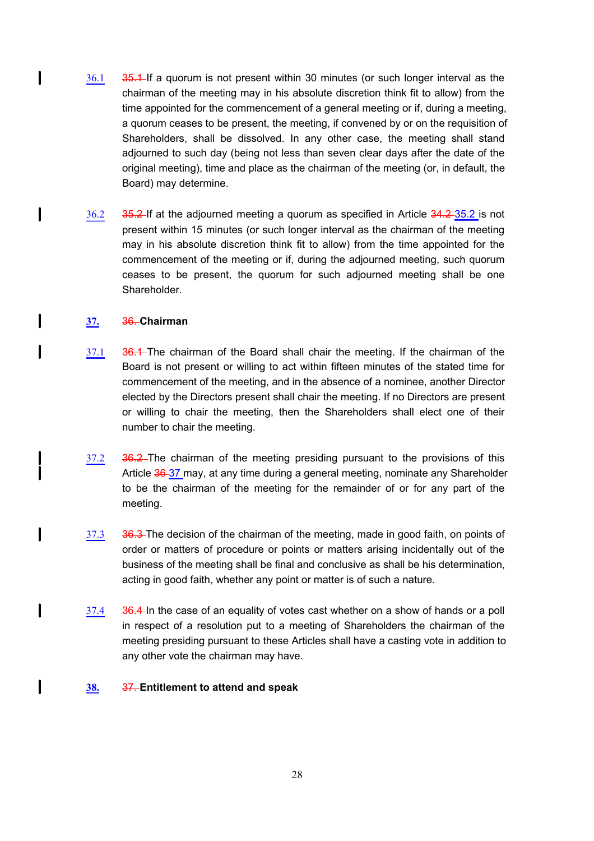- 36.1 35.1 If a quorum is not present within 30 minutes (or such longer interval as the chairman of the meeting may in his absolute discretion think fit to allow) from the time appointed for the commencement of a general meeting or if, during a meeting, a quorum ceases to be present, the meeting, if convened by or on the requisition of Shareholders, shall be dissolved. In any other case, the meeting shall stand adjourned to such day (being not less than seven clear days after the date of the original meeting), time and place as the chairman of the meeting (or, in default, the Board) may determine.
- 36.2 35.2 If at the adjourned meeting a quorum as specified in Article 34.2 35.2 is not present within 15 minutes (or such longer interval as the chairman of the meeting may in his absolute discretion think fit to allow) from the time appointed for the commencement of the meeting or if, during the adjourned meeting, such quorum ceases to be present, the quorum for such adjourned meeting shall be one Shareholder.

# **37.** 36. **Chairman**

l

 $\mathbf l$ 

I

 $\mathbf{I}$ 

l

I

 $\overline{\phantom{a}}$ 

1

- 37.1 36.1 The chairman of the Board shall chair the meeting. If the chairman of the Board is not present or willing to act within fifteen minutes of the stated time for commencement of the meeting, and in the absence of a nominee, another Director elected by the Directors present shall chair the meeting. If no Directors are present or willing to chair the meeting, then the Shareholders shall elect one of their number to chair the meeting.
- 37.2 36.2 The chairman of the meeting presiding pursuant to the provisions of this Article 36 37 may, at any time during a general meeting, nominate any Shareholder to be the chairman of the meeting for the remainder of or for any part of the meeting.
- 37.3 36.3 The decision of the chairman of the meeting, made in good faith, on points of order or matters of procedure or points or matters arising incidentally out of the business of the meeting shall be final and conclusive as shall be his determination, acting in good faith, whether any point or matter is of such a nature.
- 37.4 36.4 In the case of an equality of votes cast whether on a show of hands or a poll in respect of a resolution put to a meeting of Shareholders the chairman of the meeting presiding pursuant to these Articles shall have a casting vote in addition to any other vote the chairman may have.

# **38.** 37. **Entitlement to attend and speak**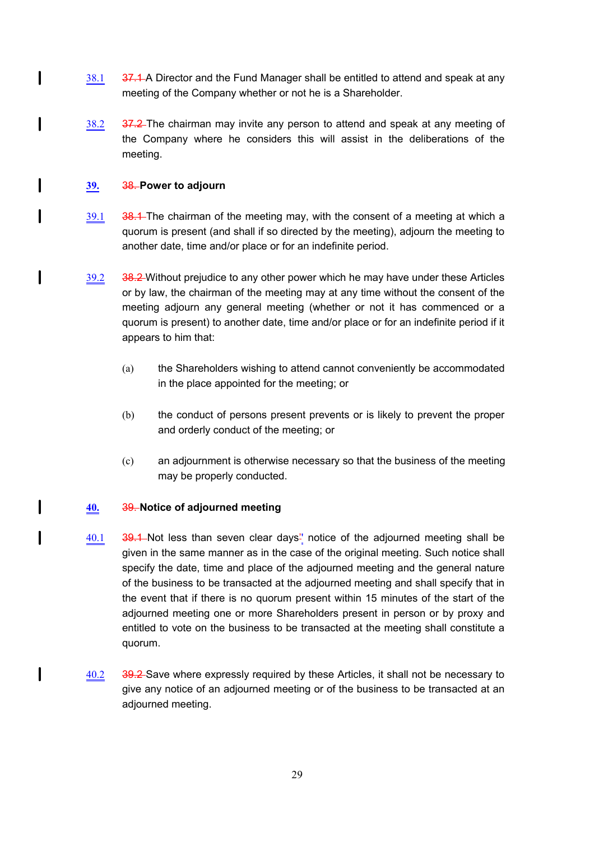- 38.1 37.1 A Director and the Fund Manager shall be entitled to attend and speak at any meeting of the Company whether or not he is a Shareholder.
- 38.2 37.2 The chairman may invite any person to attend and speak at any meeting of the Company where he considers this will assist in the deliberations of the meeting.

# **39.** 38. **Power to adjourn**

 $\mathbf l$ 

I

 $\mathbf l$ 

 $\overline{\phantom{a}}$ 

I

l

 $\overline{\phantom{a}}$ 

- 39.1 38.1 The chairman of the meeting may, with the consent of a meeting at which a quorum is present (and shall if so directed by the meeting), adjourn the meeting to another date, time and/or place or for an indefinite period.
- $39.2$  38.2 Without prejudice to any other power which he may have under these Articles or by law, the chairman of the meeting may at any time without the consent of the meeting adjourn any general meeting (whether or not it has commenced or a quorum is present) to another date, time and/or place or for an indefinite period if it appears to him that:
	- (a) the Shareholders wishing to attend cannot conveniently be accommodated in the place appointed for the meeting; or
	- (b) the conduct of persons present prevents or is likely to prevent the proper and orderly conduct of the meeting; or
	- (c) an adjournment is otherwise necessary so that the business of the meeting may be properly conducted.

# **40.** 39. **Notice of adjourned meeting**

- 40.1 39.1 Not less than seven clear days'' notice of the adjourned meeting shall be given in the same manner as in the case of the original meeting. Such notice shall specify the date, time and place of the adjourned meeting and the general nature of the business to be transacted at the adjourned meeting and shall specify that in the event that if there is no quorum present within 15 minutes of the start of the adjourned meeting one or more Shareholders present in person or by proxy and entitled to vote on the business to be transacted at the meeting shall constitute a quorum.
- 40.2 39.2 Save where expressly required by these Articles, it shall not be necessary to give any notice of an adjourned meeting or of the business to be transacted at an adjourned meeting.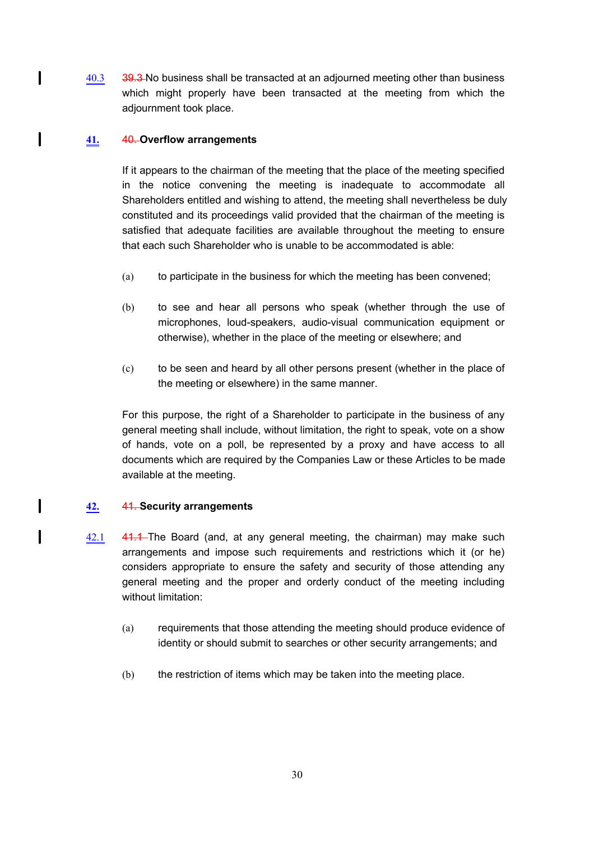40.3 39.3 No business shall be transacted at an adjourned meeting other than business which might properly have been transacted at the meeting from which the adjournment took place.

# **41.** 40. **Overflow arrangements**

1

 $\mathbf l$ 

 $\mathbf{I}$ 

 $\mathbf{I}$ 

If it appears to the chairman of the meeting that the place of the meeting specified in the notice convening the meeting is inadequate to accommodate all Shareholders entitled and wishing to attend, the meeting shall nevertheless be duly constituted and its proceedings valid provided that the chairman of the meeting is satisfied that adequate facilities are available throughout the meeting to ensure that each such Shareholder who is unable to be accommodated is able:

- (a) to participate in the business for which the meeting has been convened;
- (b) to see and hear all persons who speak (whether through the use of microphones, loud-speakers, audio-visual communication equipment or otherwise), whether in the place of the meeting or elsewhere; and
- (c) to be seen and heard by all other persons present (whether in the place of the meeting or elsewhere) in the same manner.

For this purpose, the right of a Shareholder to participate in the business of any general meeting shall include, without limitation, the right to speak, vote on a show of hands, vote on a poll, be represented by a proxy and have access to all documents which are required by the Companies Law or these Articles to be made available at the meeting.

## **42.** 41. **Security arrangements**

- 42.1 41.1 The Board (and, at any general meeting, the chairman) may make such arrangements and impose such requirements and restrictions which it (or he) considers appropriate to ensure the safety and security of those attending any general meeting and the proper and orderly conduct of the meeting including without limitation:
	- (a) requirements that those attending the meeting should produce evidence of identity or should submit to searches or other security arrangements; and
	- (b) the restriction of items which may be taken into the meeting place.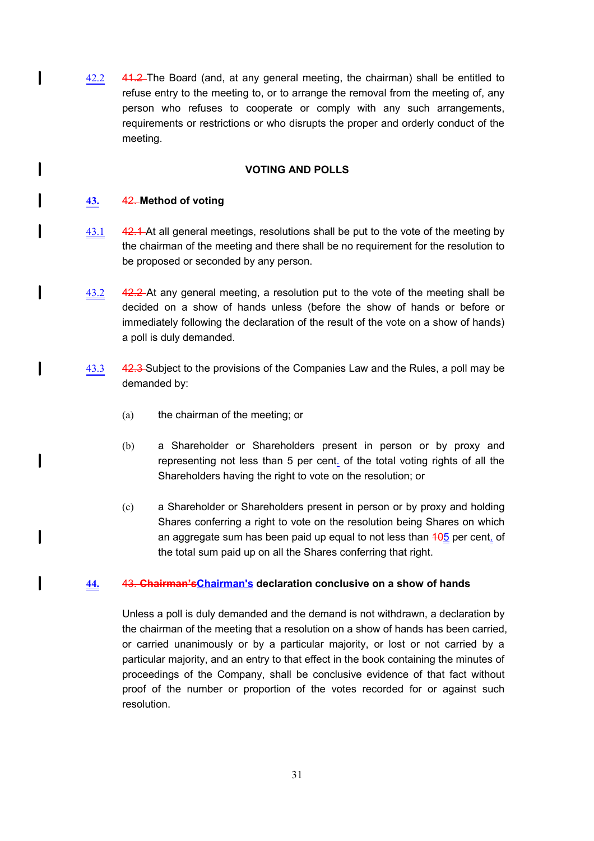42.2 41.2 The Board (and, at any general meeting, the chairman) shall be entitled to refuse entry to the meeting to, or to arrange the removal from the meeting of, any person who refuses to cooperate or comply with any such arrangements, requirements or restrictions or who disrupts the proper and orderly conduct of the meeting.

## **VOTING AND POLLS**

# **43.** 42. **Method of voting**

 $\mathbf l$ 

 $\mathbf{I}$ 

I

I

 $\mathbf{I}$ 

 $\mathbf l$ 

 $\mathbf l$ 

 $\mathbf l$ 

 $\mathbf{I}$ 

- 43.1 42.1 At all general meetings, resolutions shall be put to the vote of the meeting by the chairman of the meeting and there shall be no requirement for the resolution to be proposed or seconded by any person.
- 43.2 42.2 At any general meeting, a resolution put to the vote of the meeting shall be decided on a show of hands unless (before the show of hands or before or immediately following the declaration of the result of the vote on a show of hands) a poll is duly demanded.
- 43.3 42.3 Subject to the provisions of the Companies Law and the Rules, a poll may be demanded by:
	- (a) the chairman of the meeting; or
	- (b) a Shareholder or Shareholders present in person or by proxy and representing not less than 5 per cent. of the total voting rights of all the Shareholders having the right to vote on the resolution; or
	- (c) a Shareholder or Shareholders present in person or by proxy and holding Shares conferring a right to vote on the resolution being Shares on which an aggregate sum has been paid up equal to not less than  $405$  per cent. of the total sum paid up on all the Shares conferring that right.

## **44.** 43. **Chairman'sChairman's declaration conclusive on a show of hands**

Unless a poll is duly demanded and the demand is not withdrawn, a declaration by the chairman of the meeting that a resolution on a show of hands has been carried, or carried unanimously or by a particular majority, or lost or not carried by a particular majority, and an entry to that effect in the book containing the minutes of proceedings of the Company, shall be conclusive evidence of that fact without proof of the number or proportion of the votes recorded for or against such resolution.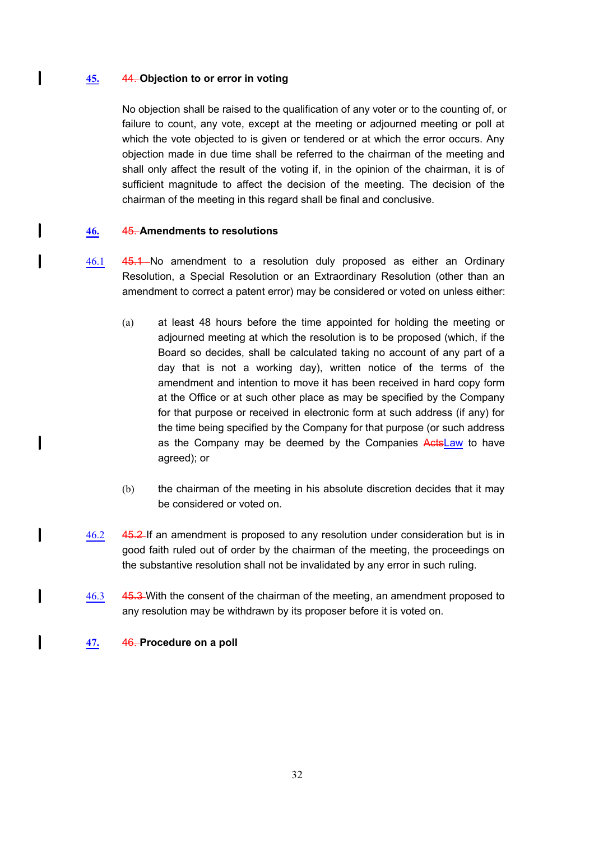## **45.** 44. **Objection to or error in voting**

 $\mathbf l$ 

I

 $\mathbf{I}$ 

 $\mathbf l$ 

 $\mathsf{l}$ 

1

 $\mathbf l$ 

No objection shall be raised to the qualification of any voter or to the counting of, or failure to count, any vote, except at the meeting or adjourned meeting or poll at which the vote objected to is given or tendered or at which the error occurs. Any objection made in due time shall be referred to the chairman of the meeting and shall only affect the result of the voting if, in the opinion of the chairman, it is of sufficient magnitude to affect the decision of the meeting. The decision of the chairman of the meeting in this regard shall be final and conclusive.

# **46.** 45. **Amendments to resolutions**

- 46.1 45.1 No amendment to a resolution duly proposed as either an Ordinary Resolution, a Special Resolution or an Extraordinary Resolution (other than an amendment to correct a patent error) may be considered or voted on unless either:
	- (a) at least 48 hours before the time appointed for holding the meeting or adjourned meeting at which the resolution is to be proposed (which, if the Board so decides, shall be calculated taking no account of any part of a day that is not a working day), written notice of the terms of the amendment and intention to move it has been received in hard copy form at the Office or at such other place as may be specified by the Company for that purpose or received in electronic form at such address (if any) for the time being specified by the Company for that purpose (or such address as the Company may be deemed by the Companies ActsLaw to have agreed); or
	- (b) the chairman of the meeting in his absolute discretion decides that it may be considered or voted on.
- 46.2 45.2 If an amendment is proposed to any resolution under consideration but is in good faith ruled out of order by the chairman of the meeting, the proceedings on the substantive resolution shall not be invalidated by any error in such ruling.
- 46.3 45.3 With the consent of the chairman of the meeting, an amendment proposed to any resolution may be withdrawn by its proposer before it is voted on.
- **47.** 46. **Procedure on a poll**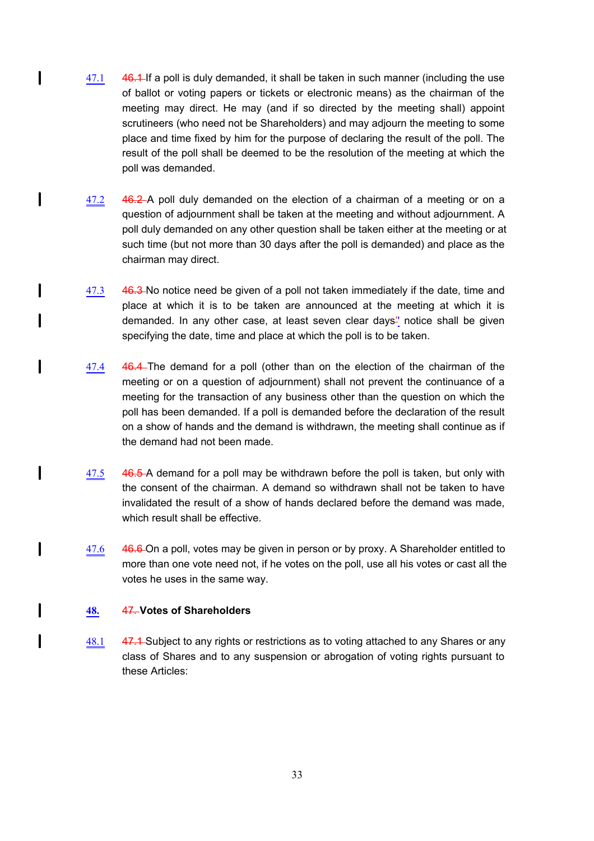- 47.1 46.1 If a poll is duly demanded, it shall be taken in such manner (including the use of ballot or voting papers or tickets or electronic means) as the chairman of the meeting may direct. He may (and if so directed by the meeting shall) appoint scrutineers (who need not be Shareholders) and may adjourn the meeting to some place and time fixed by him for the purpose of declaring the result of the poll. The result of the poll shall be deemed to be the resolution of the meeting at which the poll was demanded.
- 47.2 46.2 A poll duly demanded on the election of a chairman of a meeting or on a question of adjournment shall be taken at the meeting and without adjournment. A poll duly demanded on any other question shall be taken either at the meeting or at such time (but not more than 30 days after the poll is demanded) and place as the chairman may direct.
- 47.3 46.3 No notice need be given of a poll not taken immediately if the date, time and place at which it is to be taken are announced at the meeting at which it is demanded. In any other case, at least seven clear days'' notice shall be given specifying the date, time and place at which the poll is to be taken.
- 47.4 46.4 The demand for a poll (other than on the election of the chairman of the meeting or on a question of adjournment) shall not prevent the continuance of a meeting for the transaction of any business other than the question on which the poll has been demanded. If a poll is demanded before the declaration of the result on a show of hands and the demand is withdrawn, the meeting shall continue as if the demand had not been made.
- 47.5 46.5 A demand for a poll may be withdrawn before the poll is taken, but only with the consent of the chairman. A demand so withdrawn shall not be taken to have invalidated the result of a show of hands declared before the demand was made, which result shall be effective.
- 47.6 46.6 On a poll, votes may be given in person or by proxy. A Shareholder entitled to more than one vote need not, if he votes on the poll, use all his votes or cast all the votes he uses in the same way.

# **48.** 47. **Votes of Shareholders**

1

 $\mathbf{I}$ 

 $\mathbf{I}$ 

l

 $\mathbf l$ 

l

I

l

48.1 47.1 Subject to any rights or restrictions as to voting attached to any Shares or any class of Shares and to any suspension or abrogation of voting rights pursuant to these Articles: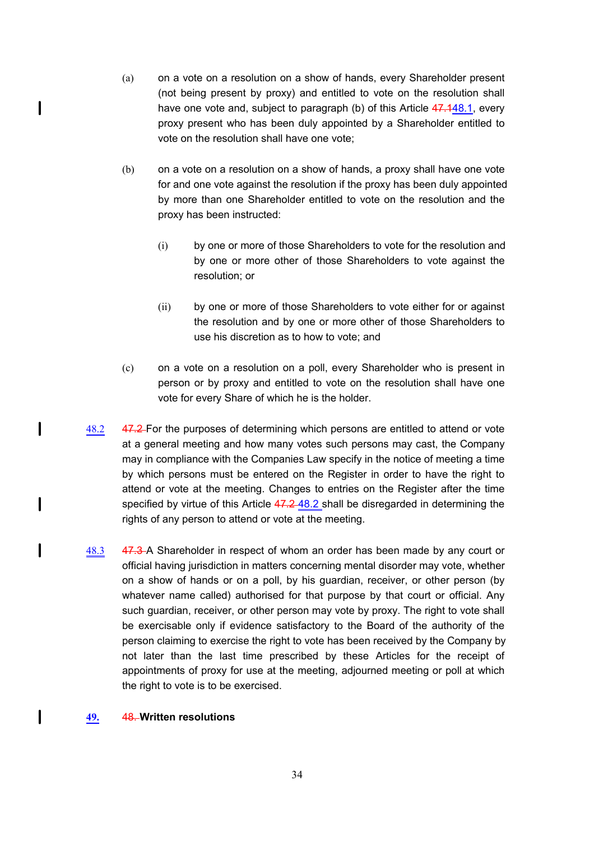- (a) on a vote on a resolution on a show of hands, every Shareholder present (not being present by proxy) and entitled to vote on the resolution shall have one vote and, subject to paragraph (b) of this Article 47.148.1, every proxy present who has been duly appointed by a Shareholder entitled to vote on the resolution shall have one vote;
- (b) on a vote on a resolution on a show of hands, a proxy shall have one vote for and one vote against the resolution if the proxy has been duly appointed by more than one Shareholder entitled to vote on the resolution and the proxy has been instructed:
	- (i) by one or more of those Shareholders to vote for the resolution and by one or more other of those Shareholders to vote against the resolution; or
	- (ii) by one or more of those Shareholders to vote either for or against the resolution and by one or more other of those Shareholders to use his discretion as to how to vote; and
- (c) on a vote on a resolution on a poll, every Shareholder who is present in person or by proxy and entitled to vote on the resolution shall have one vote for every Share of which he is the holder.
- 48.2 47.2 For the purposes of determining which persons are entitled to attend or vote at a general meeting and how many votes such persons may cast, the Company may in compliance with the Companies Law specify in the notice of meeting a time by which persons must be entered on the Register in order to have the right to attend or vote at the meeting. Changes to entries on the Register after the time specified by virtue of this Article 47.248.2 shall be disregarded in determining the rights of any person to attend or vote at the meeting.
- 48.3 47.3 A Shareholder in respect of whom an order has been made by any court or official having jurisdiction in matters concerning mental disorder may vote, whether on a show of hands or on a poll, by his guardian, receiver, or other person (by whatever name called) authorised for that purpose by that court or official. Any such guardian, receiver, or other person may vote by proxy. The right to vote shall be exercisable only if evidence satisfactory to the Board of the authority of the person claiming to exercise the right to vote has been received by the Company by not later than the last time prescribed by these Articles for the receipt of appointments of proxy for use at the meeting, adjourned meeting or poll at which the right to vote is to be exercised.

## **49.** 48. **Written resolutions**

 $\mathbf l$ 

 $\mathbf l$ 

l

I

l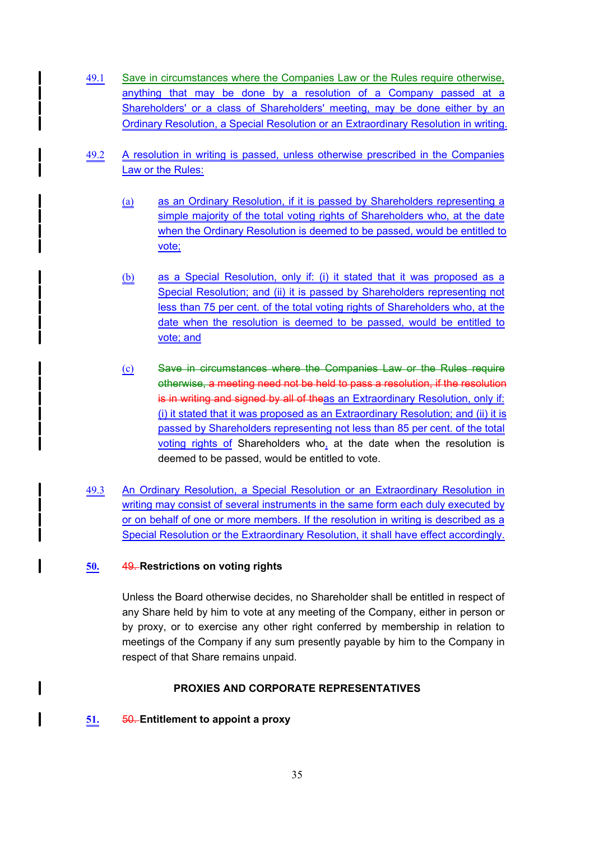- 49.1 Save in circumstances where the Companies Law or the Rules require otherwise, anything that may be done by a resolution of a Company passed at a Shareholders' or a class of Shareholders' meeting, may be done either by an Ordinary Resolution, a Special Resolution or an Extraordinary Resolution in writing.
- 49.2 A resolution in writing is passed, unless otherwise prescribed in the Companies Law or the Rules:
	- (a) as an Ordinary Resolution, if it is passed by Shareholders representing a simple majority of the total voting rights of Shareholders who, at the date when the Ordinary Resolution is deemed to be passed, would be entitled to vote;
	- (b) as a Special Resolution, only if: (i) it stated that it was proposed as a Special Resolution; and (ii) it is passed by Shareholders representing not less than 75 per cent. of the total voting rights of Shareholders who, at the date when the resolution is deemed to be passed, would be entitled to vote; and
	- (c) Save in circumstances where the Companies Law or the Rules require otherwise, a meeting need not be held to pass a resolution, if the resolution is in writing and signed by all of theas an Extraordinary Resolution, only if: (i) it stated that it was proposed as an Extraordinary Resolution; and (ii) it is passed by Shareholders representing not less than 85 per cent. of the total voting rights of Shareholders who, at the date when the resolution is deemed to be passed, would be entitled to vote.
- 49.3 An Ordinary Resolution, a Special Resolution or an Extraordinary Resolution in writing may consist of several instruments in the same form each duly executed by or on behalf of one or more members. If the resolution in writing is described as a Special Resolution or the Extraordinary Resolution, it shall have effect accordingly.

# **50.** 49. **Restrictions on voting rights**

Unless the Board otherwise decides, no Shareholder shall be entitled in respect of any Share held by him to vote at any meeting of the Company, either in person or by proxy, or to exercise any other right conferred by membership in relation to meetings of the Company if any sum presently payable by him to the Company in respect of that Share remains unpaid.

## **PROXIES AND CORPORATE REPRESENTATIVES**

## **51.** 50. **Entitlement to appoint a proxy**

I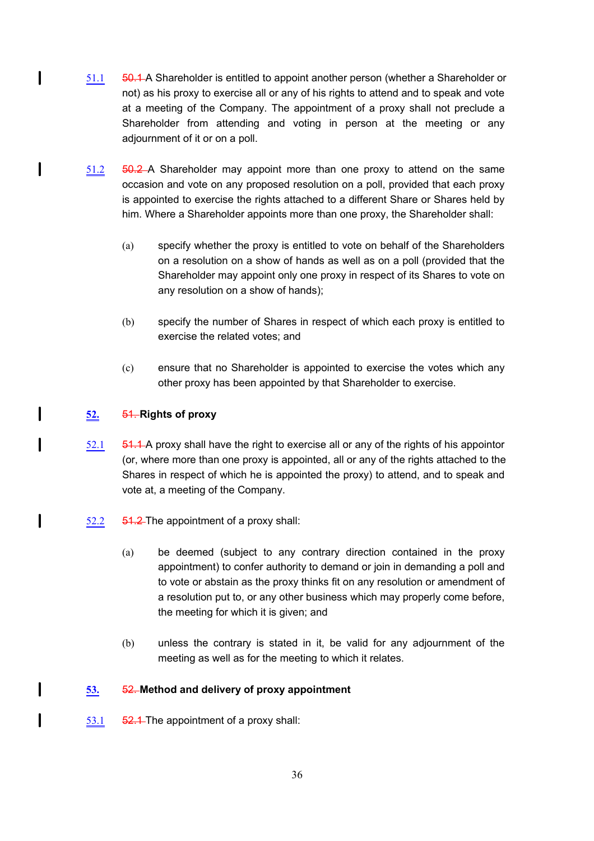- 51.1 **50.1** A Shareholder is entitled to appoint another person (whether a Shareholder or not) as his proxy to exercise all or any of his rights to attend and to speak and vote at a meeting of the Company. The appointment of a proxy shall not preclude a Shareholder from attending and voting in person at the meeting or any adjournment of it or on a poll.
- 51.2 50.2 A Shareholder may appoint more than one proxy to attend on the same occasion and vote on any proposed resolution on a poll, provided that each proxy is appointed to exercise the rights attached to a different Share or Shares held by him. Where a Shareholder appoints more than one proxy, the Shareholder shall:
	- (a) specify whether the proxy is entitled to vote on behalf of the Shareholders on a resolution on a show of hands as well as on a poll (provided that the Shareholder may appoint only one proxy in respect of its Shares to vote on any resolution on a show of hands);
	- (b) specify the number of Shares in respect of which each proxy is entitled to exercise the related votes; and
	- (c) ensure that no Shareholder is appointed to exercise the votes which any other proxy has been appointed by that Shareholder to exercise.

# **52.** 51. **Rights of proxy**

l

 $\mathbf{I}$ 

l

l

 $\mathbf l$ 

I

- $52.1$   $\phantom{0}$  51.1 A proxy shall have the right to exercise all or any of the rights of his appointor (or, where more than one proxy is appointed, all or any of the rights attached to the Shares in respect of which he is appointed the proxy) to attend, and to speak and vote at, a meeting of the Company.
- $52.2$   $54.2$  The appointment of a proxy shall:
	- (a) be deemed (subject to any contrary direction contained in the proxy appointment) to confer authority to demand or join in demanding a poll and to vote or abstain as the proxy thinks fit on any resolution or amendment of a resolution put to, or any other business which may properly come before, the meeting for which it is given; and
	- (b) unless the contrary is stated in it, be valid for any adjournment of the meeting as well as for the meeting to which it relates.

## **53.** 52. **Method and delivery of proxy appointment**

53.1  $\overline{52.1}$  The appointment of a proxy shall: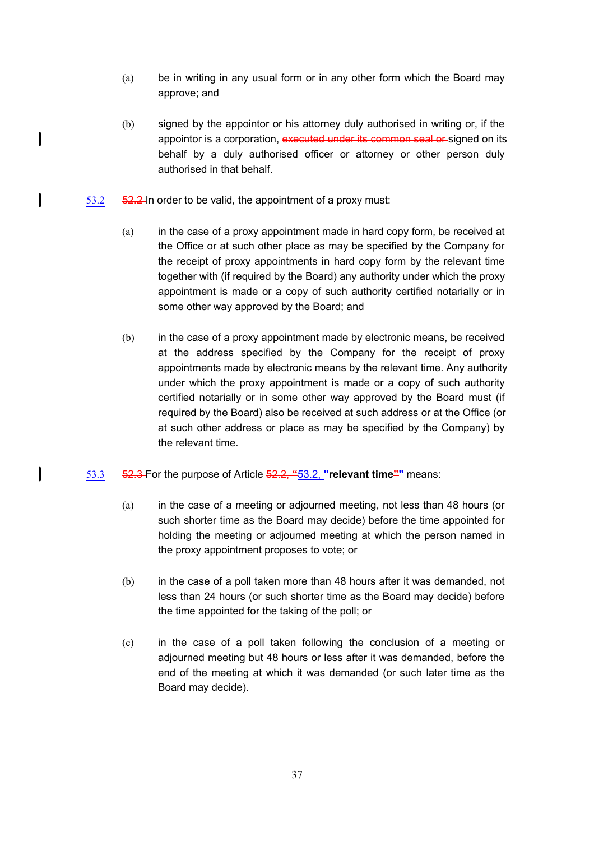- (a) be in writing in any usual form or in any other form which the Board may approve; and
- (b) signed by the appointor or his attorney duly authorised in writing or, if the appointor is a corporation, executed under its common seal or signed on its behalf by a duly authorised officer or attorney or other person duly authorised in that behalf.
- 53.2  $\frac{52.2}{ }$  In order to be valid, the appointment of a proxy must:

 $\mathbf{I}$ 

 $\mathbf l$ 

 $\mathbf I$ 

- (a) in the case of a proxy appointment made in hard copy form, be received at the Office or at such other place as may be specified by the Company for the receipt of proxy appointments in hard copy form by the relevant time together with (if required by the Board) any authority under which the proxy appointment is made or a copy of such authority certified notarially or in some other way approved by the Board; and
- (b) in the case of a proxy appointment made by electronic means, be received at the address specified by the Company for the receipt of proxy appointments made by electronic means by the relevant time. Any authority under which the proxy appointment is made or a copy of such authority certified notarially or in some other way approved by the Board must (if required by the Board) also be received at such address or at the Office (or at such other address or place as may be specified by the Company) by the relevant time.
- 53.3 52.3 For the purpose of Article 52.2, **"**53.2, **"relevant time""** means:
	- (a) in the case of a meeting or adjourned meeting, not less than 48 hours (or such shorter time as the Board may decide) before the time appointed for holding the meeting or adjourned meeting at which the person named in the proxy appointment proposes to vote; or
	- (b) in the case of a poll taken more than 48 hours after it was demanded, not less than 24 hours (or such shorter time as the Board may decide) before the time appointed for the taking of the poll; or
	- (c) in the case of a poll taken following the conclusion of a meeting or adjourned meeting but 48 hours or less after it was demanded, before the end of the meeting at which it was demanded (or such later time as the Board may decide).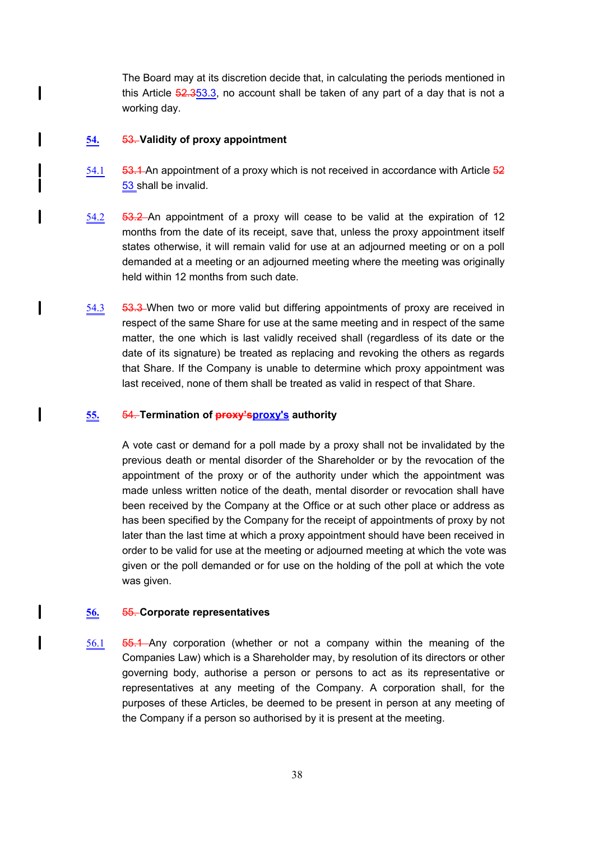The Board may at its discretion decide that, in calculating the periods mentioned in this Article  $52.353.3$ , no account shall be taken of any part of a day that is not a working day.

#### **54.** 53. **Validity of proxy appointment**

 $\mathbf{l}$ 

1

 $\overline{\phantom{a}}$ 

 $\mathsf I$ 

1

 $\mathsf I$ 

- 54.1  $\overline{53.1}$ -An appointment of a proxy which is not received in accordance with Article  $\overline{52}$ 53 shall be invalid.
- 54.2 53.2 An appointment of a proxy will cease to be valid at the expiration of 12 months from the date of its receipt, save that, unless the proxy appointment itself states otherwise, it will remain valid for use at an adjourned meeting or on a poll demanded at a meeting or an adjourned meeting where the meeting was originally held within 12 months from such date.
- 54.3 **53.3** When two or more valid but differing appointments of proxy are received in respect of the same Share for use at the same meeting and in respect of the same matter, the one which is last validly received shall (regardless of its date or the date of its signature) be treated as replacing and revoking the others as regards that Share. If the Company is unable to determine which proxy appointment was last received, none of them shall be treated as valid in respect of that Share.

#### **55.** 54. **Termination of proxy'sproxy's authority**

A vote cast or demand for a poll made by a proxy shall not be invalidated by the previous death or mental disorder of the Shareholder or by the revocation of the appointment of the proxy or of the authority under which the appointment was made unless written notice of the death, mental disorder or revocation shall have been received by the Company at the Office or at such other place or address as has been specified by the Company for the receipt of appointments of proxy by not later than the last time at which a proxy appointment should have been received in order to be valid for use at the meeting or adjourned meeting at which the vote was given or the poll demanded or for use on the holding of the poll at which the vote was given.

#### **56.** 55. **Corporate representatives**

56.1 55.1 Any corporation (whether or not a company within the meaning of the Companies Law) which is a Shareholder may, by resolution of its directors or other governing body, authorise a person or persons to act as its representative or representatives at any meeting of the Company. A corporation shall, for the purposes of these Articles, be deemed to be present in person at any meeting of the Company if a person so authorised by it is present at the meeting.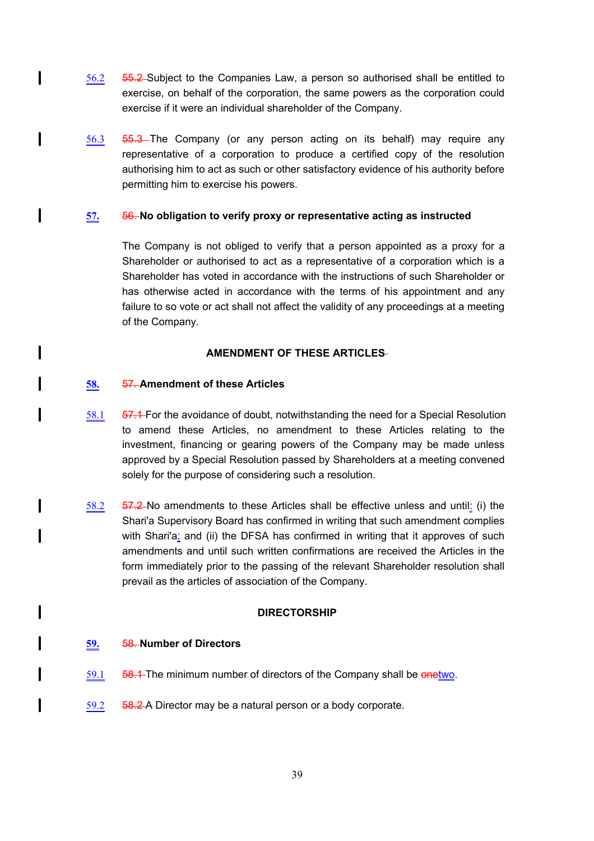- 56.2 55.2 Subject to the Companies Law, a person so authorised shall be entitled to exercise, on behalf of the corporation, the same powers as the corporation could exercise if it were an individual shareholder of the Company.
- 56.3 55.3 The Company (or any person acting on its behalf) may require any representative of a corporation to produce a certified copy of the resolution authorising him to act as such or other satisfactory evidence of his authority before permitting him to exercise his powers.

## **57.** 56. **No obligation to verify proxy or representative acting as instructed**

The Company is not obliged to verify that a person appointed as a proxy for a Shareholder or authorised to act as a representative of a corporation which is a Shareholder has voted in accordance with the instructions of such Shareholder or has otherwise acted in accordance with the terms of his appointment and any failure to so vote or act shall not affect the validity of any proceedings at a meeting of the Company.

#### **AMENDMENT OF THESE ARTICLES**

#### **58.** 57. **Amendment of these Articles**

1

 $\mathbf{I}$ 

I

l

I

 $\mathbf l$ 

 $\mathsf I$ 

I

l

- 58.1 **57.1** For the avoidance of doubt, notwithstanding the need for a Special Resolution to amend these Articles, no amendment to these Articles relating to the investment, financing or gearing powers of the Company may be made unless approved by a Special Resolution passed by Shareholders at a meeting convened solely for the purpose of considering such a resolution.
- 58.2  $\overline{57.2}$ -No amendments to these Articles shall be effective unless and until: (i) the Shari'a Supervisory Board has confirmed in writing that such amendment complies with Shari'a; and (ii) the DFSA has confirmed in writing that it approves of such amendments and until such written confirmations are received the Articles in the form immediately prior to the passing of the relevant Shareholder resolution shall prevail as the articles of association of the Company.

#### **DIRECTORSHIP**

#### **59.** 58. **Number of Directors**

- 59.1 **58.1** The minimum number of directors of the Company shall be enetwo.
- 59.2 58.2 A Director may be a natural person or a body corporate.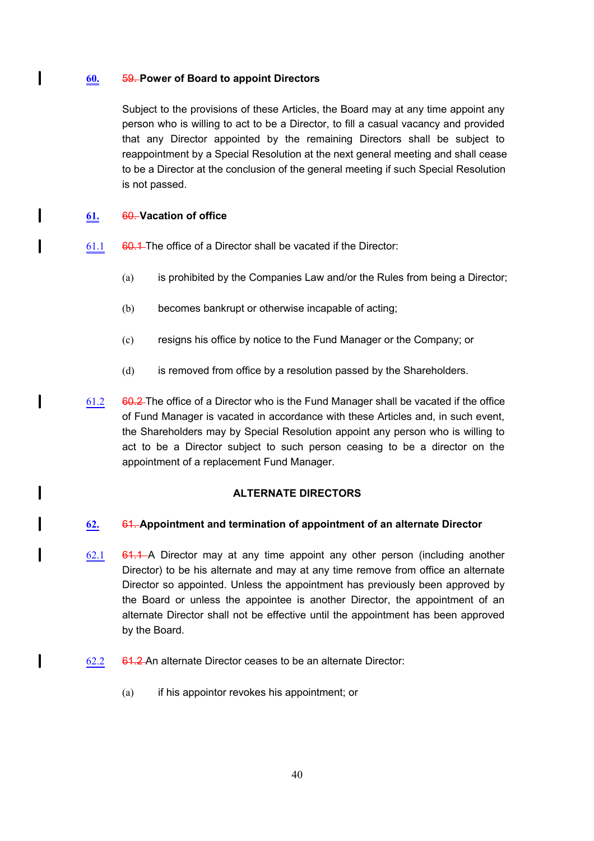## **60.** 59. **Power of Board to appoint Directors**

Subject to the provisions of these Articles, the Board may at any time appoint any person who is willing to act to be a Director, to fill a casual vacancy and provided that any Director appointed by the remaining Directors shall be subject to reappointment by a Special Resolution at the next general meeting and shall cease to be a Director at the conclusion of the general meeting if such Special Resolution is not passed.

# **61.** 60. **Vacation of office**

 $\mathbf{I}$ 

I

 $\overline{\phantom{a}}$ 

 $\mathbf{I}$ 

I

l

 $\mathbf l$ 

- $61.1$  60.1 The office of a Director shall be vacated if the Director:
	- (a) is prohibited by the Companies Law and/or the Rules from being a Director;
	- (b) becomes bankrupt or otherwise incapable of acting;
	- (c) resigns his office by notice to the Fund Manager or the Company; or
	- (d) is removed from office by a resolution passed by the Shareholders.
- 61.2  $60.2$  The office of a Director who is the Fund Manager shall be vacated if the office of Fund Manager is vacated in accordance with these Articles and, in such event, the Shareholders may by Special Resolution appoint any person who is willing to act to be a Director subject to such person ceasing to be a director on the appointment of a replacement Fund Manager.

# **ALTERNATE DIRECTORS**

## **62.** 61. **Appointment and termination of appointment of an alternate Director**

- 62.1  $\quad$  61.1 A Director may at any time appoint any other person (including another Director) to be his alternate and may at any time remove from office an alternate Director so appointed. Unless the appointment has previously been approved by the Board or unless the appointee is another Director, the appointment of an alternate Director shall not be effective until the appointment has been approved by the Board.
- $62.2$  61.2 An alternate Director ceases to be an alternate Director:
	- (a) if his appointor revokes his appointment; or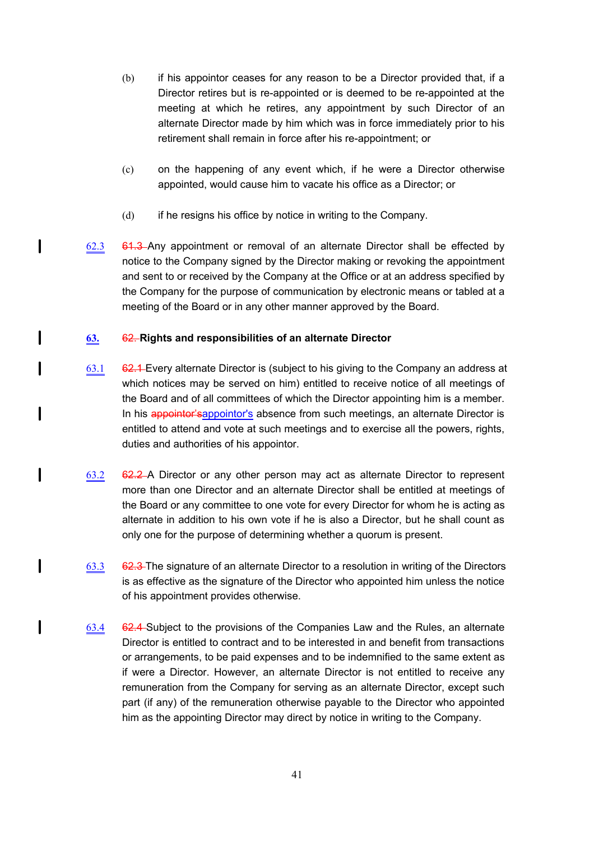- (b) if his appointor ceases for any reason to be a Director provided that, if a Director retires but is re-appointed or is deemed to be re-appointed at the meeting at which he retires, any appointment by such Director of an alternate Director made by him which was in force immediately prior to his retirement shall remain in force after his re-appointment; or
- (c) on the happening of any event which, if he were a Director otherwise appointed, would cause him to vacate his office as a Director; or
- (d) if he resigns his office by notice in writing to the Company.
- 62.3  $61.3$  Any appointment or removal of an alternate Director shall be effected by notice to the Company signed by the Director making or revoking the appointment and sent to or received by the Company at the Office or at an address specified by the Company for the purpose of communication by electronic means or tabled at a meeting of the Board or in any other manner approved by the Board.

# **63.** 62. **Rights and responsibilities of an alternate Director**

 $\mathbf{I}$ 

 $\mathbf l$ 

I

l

 $\mathbf{I}$ 

I

I

- 63.1  $62.1$  Every alternate Director is (subject to his giving to the Company an address at which notices may be served on him) entitled to receive notice of all meetings of the Board and of all committees of which the Director appointing him is a member. In his appointor's appointor's absence from such meetings, an alternate Director is entitled to attend and vote at such meetings and to exercise all the powers, rights, duties and authorities of his appointor.
- 63.2 62.2 A Director or any other person may act as alternate Director to represent more than one Director and an alternate Director shall be entitled at meetings of the Board or any committee to one vote for every Director for whom he is acting as alternate in addition to his own vote if he is also a Director, but he shall count as only one for the purpose of determining whether a quorum is present.
- $63.3$  62.3 The signature of an alternate Director to a resolution in writing of the Directors is as effective as the signature of the Director who appointed him unless the notice of his appointment provides otherwise.
- 63.4 62.4 Subject to the provisions of the Companies Law and the Rules, an alternate Director is entitled to contract and to be interested in and benefit from transactions or arrangements, to be paid expenses and to be indemnified to the same extent as if were a Director. However, an alternate Director is not entitled to receive any remuneration from the Company for serving as an alternate Director, except such part (if any) of the remuneration otherwise payable to the Director who appointed him as the appointing Director may direct by notice in writing to the Company.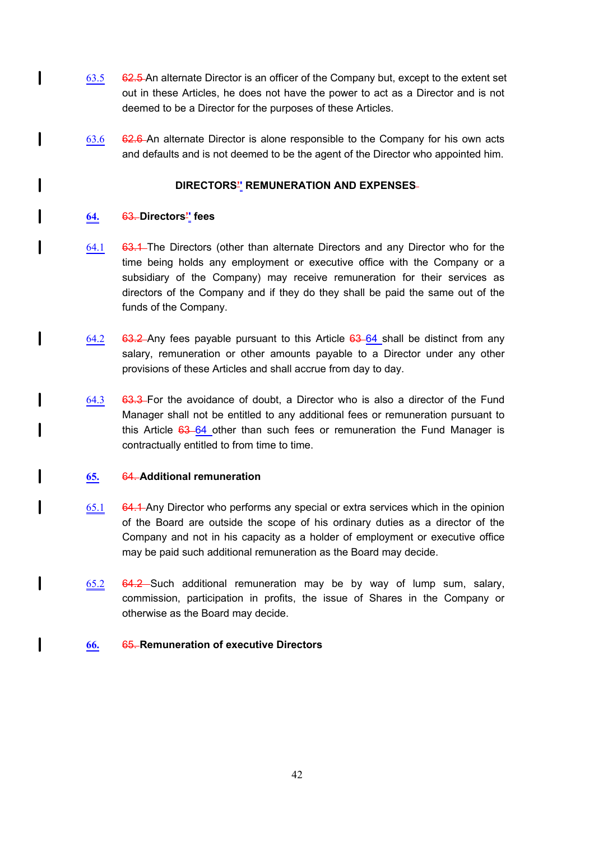- $63.5$  62.5 An alternate Director is an officer of the Company but, except to the extent set out in these Articles, he does not have the power to act as a Director and is not deemed to be a Director for the purposes of these Articles.
- $63.6$  62.6 An alternate Director is alone responsible to the Company for his own acts and defaults and is not deemed to be the agent of the Director who appointed him.

# **DIRECTORS'' REMUNERATION AND EXPENSES**

# **64.** 63. **Directors'' fees**

l

 $\mathbf l$ 

I

l

 $\mathbf{I}$ 

 $\mathbf l$ 

 $\mathbf l$ 

I

l

 $\mathbf{I}$ 

l

- 64.1 63.1 The Directors (other than alternate Directors and any Director who for the time being holds any employment or executive office with the Company or a subsidiary of the Company) may receive remuneration for their services as directors of the Company and if they do they shall be paid the same out of the funds of the Company.
- 64.2 63.2 Any fees payable pursuant to this Article  $63-64$  shall be distinct from any salary, remuneration or other amounts payable to a Director under any other provisions of these Articles and shall accrue from day to day.
- $64.3$  63.3 For the avoidance of doubt, a Director who is also a director of the Fund Manager shall not be entitled to any additional fees or remuneration pursuant to this Article  $63-64$  other than such fees or remuneration the Fund Manager is contractually entitled to from time to time.

## **65.** 64. **Additional remuneration**

- 65.1 64.1 Any Director who performs any special or extra services which in the opinion of the Board are outside the scope of his ordinary duties as a director of the Company and not in his capacity as a holder of employment or executive office may be paid such additional remuneration as the Board may decide.
- 65.2 64.2 Such additional remuneration may be by way of lump sum, salary, commission, participation in profits, the issue of Shares in the Company or otherwise as the Board may decide.

## **66.** 65. **Remuneration of executive Directors**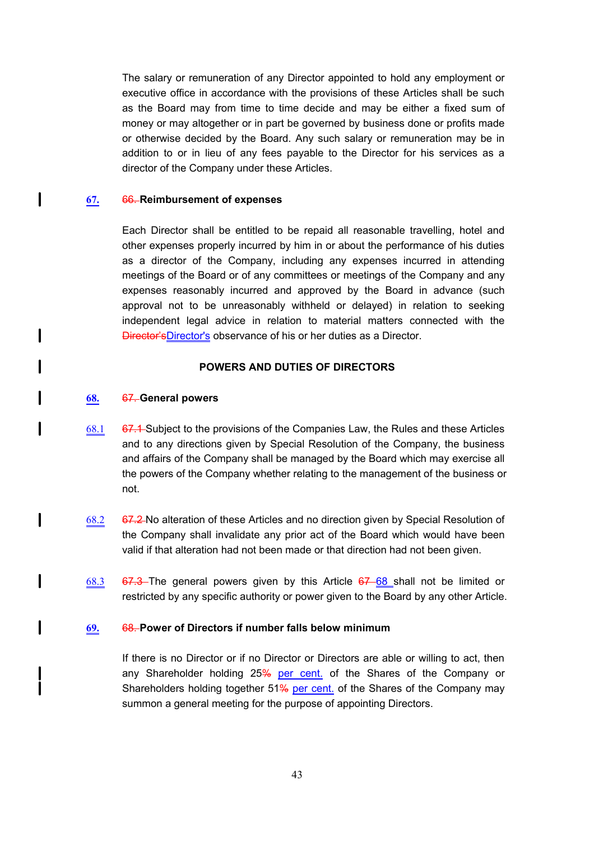The salary or remuneration of any Director appointed to hold any employment or executive office in accordance with the provisions of these Articles shall be such as the Board may from time to time decide and may be either a fixed sum of money or may altogether or in part be governed by business done or profits made or otherwise decided by the Board. Any such salary or remuneration may be in addition to or in lieu of any fees payable to the Director for his services as a director of the Company under these Articles.

#### **67.** 66. **Reimbursement of expenses**

 $\mathbf{I}$ 

l

I

l

 $\mathbf l$ 

I

I

I

Each Director shall be entitled to be repaid all reasonable travelling, hotel and other expenses properly incurred by him in or about the performance of his duties as a director of the Company, including any expenses incurred in attending meetings of the Board or of any committees or meetings of the Company and any expenses reasonably incurred and approved by the Board in advance (such approval not to be unreasonably withheld or delayed) in relation to seeking independent legal advice in relation to material matters connected with the Director'sDirector's observance of his or her duties as a Director.

#### **POWERS AND DUTIES OF DIRECTORS**

#### **68.** 67. **General powers**

- $68.1$  67.1 Subject to the provisions of the Companies Law, the Rules and these Articles and to any directions given by Special Resolution of the Company, the business and affairs of the Company shall be managed by the Board which may exercise all the powers of the Company whether relating to the management of the business or not.
- 68.2 67.2 No alteration of these Articles and no direction given by Special Resolution of the Company shall invalidate any prior act of the Board which would have been valid if that alteration had not been made or that direction had not been given.
- 68.3 67.3 The general powers given by this Article  $67-68$  shall not be limited or restricted by any specific authority or power given to the Board by any other Article.

#### **69.** 68. **Power of Directors if number falls below minimum**

If there is no Director or if no Director or Directors are able or willing to act, then any Shareholder holding 25% per cent. of the Shares of the Company or Shareholders holding together 51% per cent. of the Shares of the Company may summon a general meeting for the purpose of appointing Directors.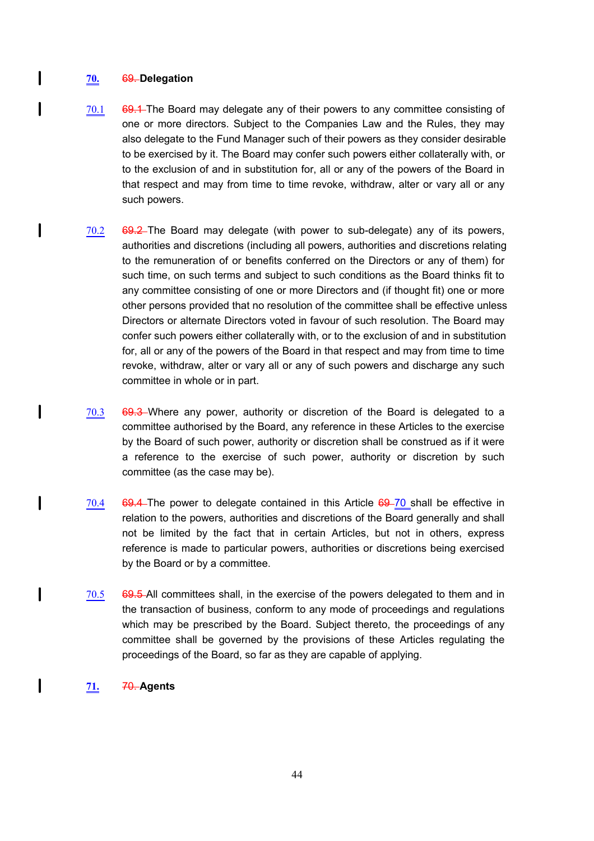## **70.** 69. **Delegation**

 $\mathsf{l}$ 

 $\overline{\phantom{a}}$ 

 $\mathbf{I}$ 

 $\mathbf l$ 

 $\mathbf l$ 

 $\mathbf{I}$ 

 $\mathbf l$ 

- $70.1$  69.1 The Board may delegate any of their powers to any committee consisting of one or more directors. Subject to the Companies Law and the Rules, they may also delegate to the Fund Manager such of their powers as they consider desirable to be exercised by it. The Board may confer such powers either collaterally with, or to the exclusion of and in substitution for, all or any of the powers of the Board in that respect and may from time to time revoke, withdraw, alter or vary all or any such powers.
- 70.2 69.2 The Board may delegate (with power to sub-delegate) any of its powers, authorities and discretions (including all powers, authorities and discretions relating to the remuneration of or benefits conferred on the Directors or any of them) for such time, on such terms and subject to such conditions as the Board thinks fit to any committee consisting of one or more Directors and (if thought fit) one or more other persons provided that no resolution of the committee shall be effective unless Directors or alternate Directors voted in favour of such resolution. The Board may confer such powers either collaterally with, or to the exclusion of and in substitution for, all or any of the powers of the Board in that respect and may from time to time revoke, withdraw, alter or vary all or any of such powers and discharge any such committee in whole or in part.
- $70.3$  69.3 Where any power, authority or discretion of the Board is delegated to a committee authorised by the Board, any reference in these Articles to the exercise by the Board of such power, authority or discretion shall be construed as if it were a reference to the exercise of such power, authority or discretion by such committee (as the case may be).
- $70.4$  69.4 The power to delegate contained in this Article  $69-70$  shall be effective in relation to the powers, authorities and discretions of the Board generally and shall not be limited by the fact that in certain Articles, but not in others, express reference is made to particular powers, authorities or discretions being exercised by the Board or by a committee.
- $70.5$  69.5 All committees shall, in the exercise of the powers delegated to them and in the transaction of business, conform to any mode of proceedings and regulations which may be prescribed by the Board. Subject thereto, the proceedings of any committee shall be governed by the provisions of these Articles regulating the proceedings of the Board, so far as they are capable of applying.
- **71.** 70. **Agents**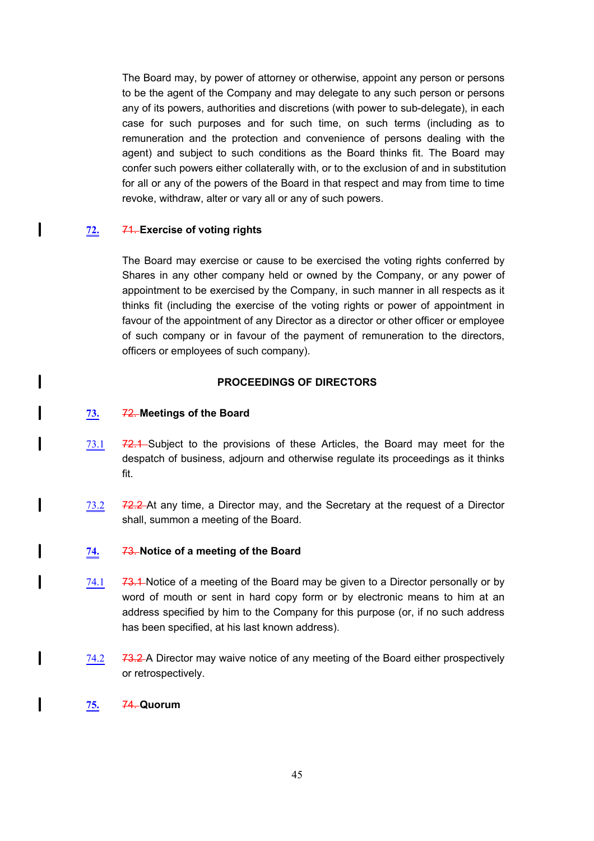The Board may, by power of attorney or otherwise, appoint any person or persons to be the agent of the Company and may delegate to any such person or persons any of its powers, authorities and discretions (with power to sub-delegate), in each case for such purposes and for such time, on such terms (including as to remuneration and the protection and convenience of persons dealing with the agent) and subject to such conditions as the Board thinks fit. The Board may confer such powers either collaterally with, or to the exclusion of and in substitution for all or any of the powers of the Board in that respect and may from time to time revoke, withdraw, alter or vary all or any of such powers.

# **72.** 71. **Exercise of voting rights**

I

 $\mathbf l$ 

I

l

 $\mathbf{I}$ 

I

 $\mathbf l$ 

I

I

The Board may exercise or cause to be exercised the voting rights conferred by Shares in any other company held or owned by the Company, or any power of appointment to be exercised by the Company, in such manner in all respects as it thinks fit (including the exercise of the voting rights or power of appointment in favour of the appointment of any Director as a director or other officer or employee of such company or in favour of the payment of remuneration to the directors, officers or employees of such company).

## **PROCEEDINGS OF DIRECTORS**

## **73.** 72. **Meetings of the Board**

- 73.1 72.1 Subject to the provisions of these Articles, the Board may meet for the despatch of business, adjourn and otherwise regulate its proceedings as it thinks fit.
- 73.2 72.2 At any time, a Director may, and the Secretary at the request of a Director shall, summon a meeting of the Board.

## **74.** 73. **Notice of a meeting of the Board**

- 74.1  $\overline{73.1}$  Notice of a meeting of the Board may be given to a Director personally or by word of mouth or sent in hard copy form or by electronic means to him at an address specified by him to the Company for this purpose (or, if no such address has been specified, at his last known address).
- $74.2$   $73.2$  A Director may waive notice of any meeting of the Board either prospectively or retrospectively.

## **75.** 74. **Quorum**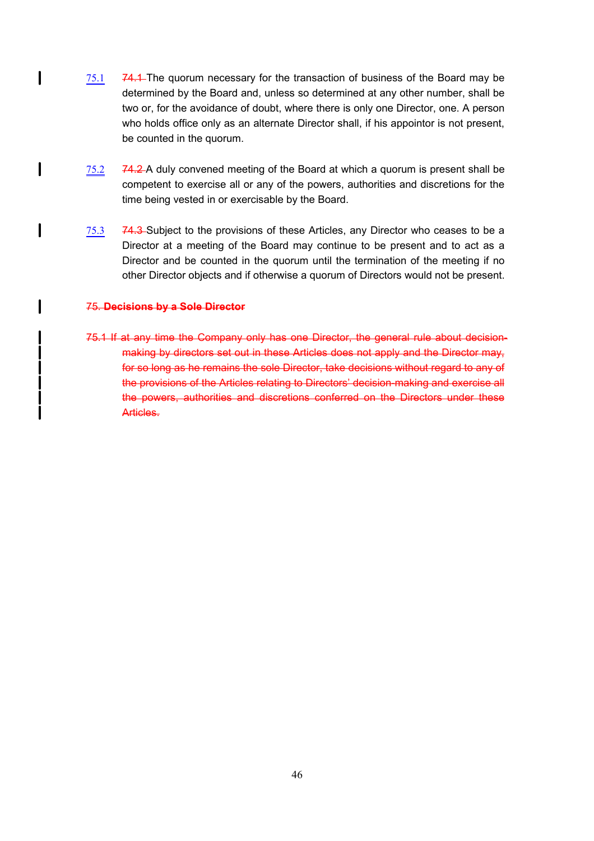- 75.1 74.1 The quorum necessary for the transaction of business of the Board may be determined by the Board and, unless so determined at any other number, shall be two or, for the avoidance of doubt, where there is only one Director, one. A person who holds office only as an alternate Director shall, if his appointor is not present, be counted in the quorum.
- $75.2$   $74.2$  A duly convened meeting of the Board at which a quorum is present shall be competent to exercise all or any of the powers, authorities and discretions for the time being vested in or exercisable by the Board.
- 75.3 74.3 Subject to the provisions of these Articles, any Director who ceases to be a Director at a meeting of the Board may continue to be present and to act as a Director and be counted in the quorum until the termination of the meeting if no other Director objects and if otherwise a quorum of Directors would not be present.

#### 75. **Decisions by a Sole Director**

 $\mathbf l$ 

 $\mathbf{I}$ 

 $\mathbf{I}$ 

 $\mathbf l$ 

75.1 If at any time the Company only has one Director, the general rule about decisionmaking by directors set out in these Articles does not apply and the Director may, for so long as he remains the sole Director, take decisions without regard to any of the provisions of the Articles relating to Directors' decision-making and exercise all the powers, authorities and discretions conferred on the Directors under these Articles.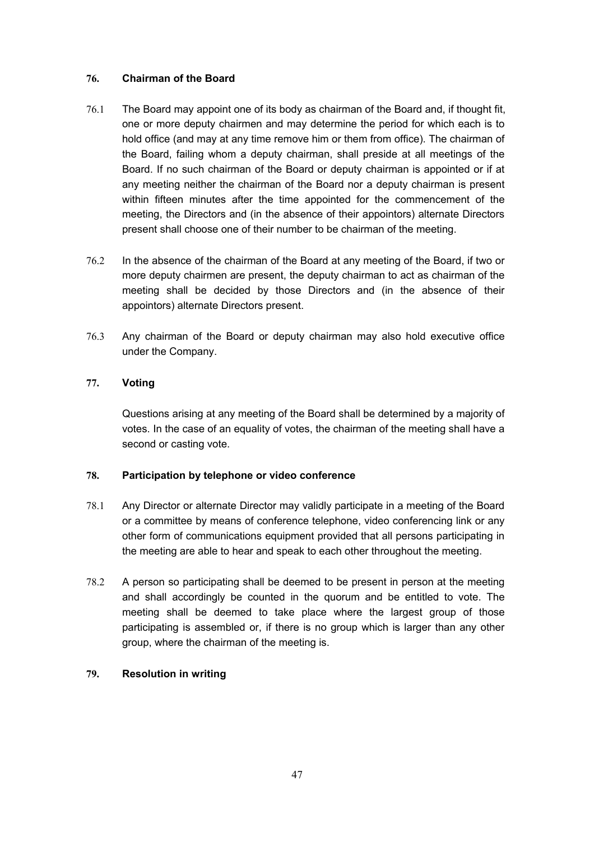# **76. Chairman of the Board**

- 76.1 The Board may appoint one of its body as chairman of the Board and, if thought fit, one or more deputy chairmen and may determine the period for which each is to hold office (and may at any time remove him or them from office). The chairman of the Board, failing whom a deputy chairman, shall preside at all meetings of the Board. If no such chairman of the Board or deputy chairman is appointed or if at any meeting neither the chairman of the Board nor a deputy chairman is present within fifteen minutes after the time appointed for the commencement of the meeting, the Directors and (in the absence of their appointors) alternate Directors present shall choose one of their number to be chairman of the meeting.
- 76.2 In the absence of the chairman of the Board at any meeting of the Board, if two or more deputy chairmen are present, the deputy chairman to act as chairman of the meeting shall be decided by those Directors and (in the absence of their appointors) alternate Directors present.
- 76.3 Any chairman of the Board or deputy chairman may also hold executive office under the Company.

# **77. Voting**

Questions arising at any meeting of the Board shall be determined by a majority of votes. In the case of an equality of votes, the chairman of the meeting shall have a second or casting vote.

## **78. Participation by telephone or video conference**

- 78.1 Any Director or alternate Director may validly participate in a meeting of the Board or a committee by means of conference telephone, video conferencing link or any other form of communications equipment provided that all persons participating in the meeting are able to hear and speak to each other throughout the meeting.
- 78.2 A person so participating shall be deemed to be present in person at the meeting and shall accordingly be counted in the quorum and be entitled to vote. The meeting shall be deemed to take place where the largest group of those participating is assembled or, if there is no group which is larger than any other group, where the chairman of the meeting is.

# **79. Resolution in writing**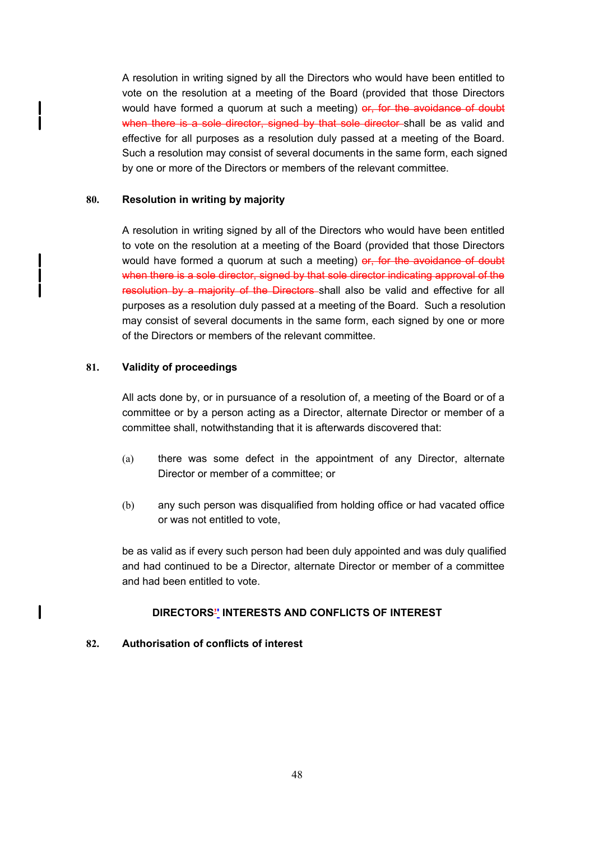A resolution in writing signed by all the Directors who would have been entitled to vote on the resolution at a meeting of the Board (provided that those Directors would have formed a quorum at such a meeting) or, for the avoidance of doubt when there is a sole director, signed by that sole director shall be as valid and effective for all purposes as a resolution duly passed at a meeting of the Board. Such a resolution may consist of several documents in the same form, each signed by one or more of the Directors or members of the relevant committee.

## **80. Resolution in writing by majority**

 $\mathbf{I}$ 

I

A resolution in writing signed by all of the Directors who would have been entitled to vote on the resolution at a meeting of the Board (provided that those Directors would have formed a quorum at such a meeting) or, for the avoidance of doubt when there is a sole director, signed by that sole director indicating approval of the resolution by a majority of the Directors shall also be valid and effective for all purposes as a resolution duly passed at a meeting of the Board. Such a resolution may consist of several documents in the same form, each signed by one or more of the Directors or members of the relevant committee.

# **81. Validity of proceedings**

All acts done by, or in pursuance of a resolution of, a meeting of the Board or of a committee or by a person acting as a Director, alternate Director or member of a committee shall, notwithstanding that it is afterwards discovered that:

- (a) there was some defect in the appointment of any Director, alternate Director or member of a committee; or
- (b) any such person was disqualified from holding office or had vacated office or was not entitled to vote,

be as valid as if every such person had been duly appointed and was duly qualified and had continued to be a Director, alternate Director or member of a committee and had been entitled to vote.

## **DIRECTORS'' INTERESTS AND CONFLICTS OF INTEREST**

## **82. Authorisation of conflicts of interest**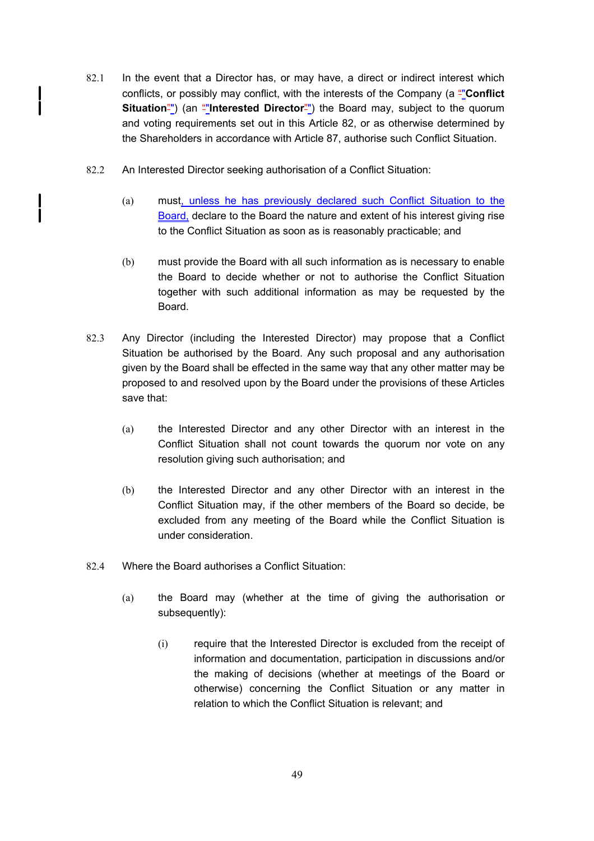- 82.1 In the event that a Director has, or may have, a direct or indirect interest which conflicts, or possibly may conflict, with the interests of the Company (a ""**Conflict Situation**<sup>"</sup>) (an "**Interested Director**"") the Board may, subject to the quorum and voting requirements set out in this Article 82, or as otherwise determined by the Shareholders in accordance with Article 87, authorise such Conflict Situation.
- 82.2 An Interested Director seeking authorisation of a Conflict Situation:

Í

- (a) must, unless he has previously declared such Conflict Situation to the Board, declare to the Board the nature and extent of his interest giving rise to the Conflict Situation as soon as is reasonably practicable; and
- (b) must provide the Board with all such information as is necessary to enable the Board to decide whether or not to authorise the Conflict Situation together with such additional information as may be requested by the Board.
- 82.3 Any Director (including the Interested Director) may propose that a Conflict Situation be authorised by the Board. Any such proposal and any authorisation given by the Board shall be effected in the same way that any other matter may be proposed to and resolved upon by the Board under the provisions of these Articles save that:
	- (a) the Interested Director and any other Director with an interest in the Conflict Situation shall not count towards the quorum nor vote on any resolution giving such authorisation; and
	- (b) the Interested Director and any other Director with an interest in the Conflict Situation may, if the other members of the Board so decide, be excluded from any meeting of the Board while the Conflict Situation is under consideration.
- 82.4 Where the Board authorises a Conflict Situation:
	- (a) the Board may (whether at the time of giving the authorisation or subsequently):
		- (i) require that the Interested Director is excluded from the receipt of information and documentation, participation in discussions and/or the making of decisions (whether at meetings of the Board or otherwise) concerning the Conflict Situation or any matter in relation to which the Conflict Situation is relevant; and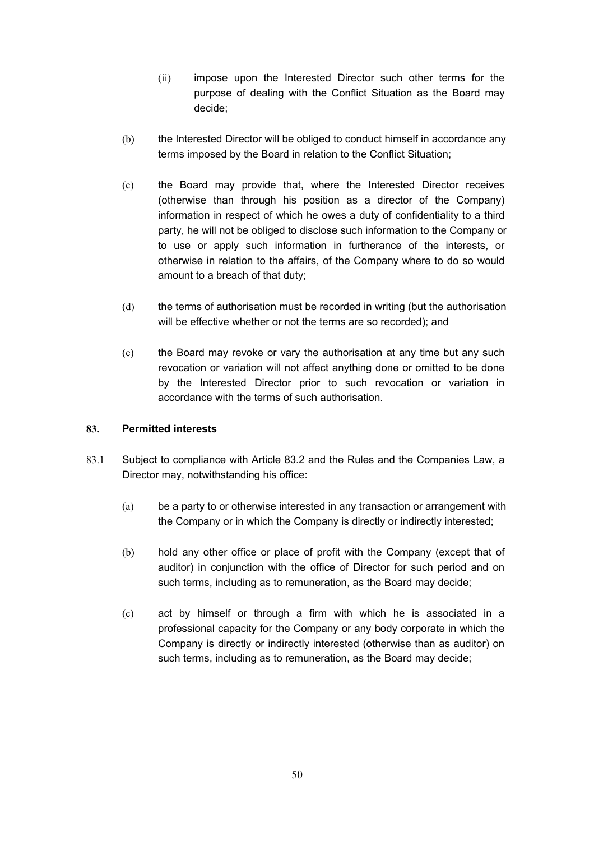- (ii) impose upon the Interested Director such other terms for the purpose of dealing with the Conflict Situation as the Board may decide;
- (b) the Interested Director will be obliged to conduct himself in accordance any terms imposed by the Board in relation to the Conflict Situation;
- (c) the Board may provide that, where the Interested Director receives (otherwise than through his position as a director of the Company) information in respect of which he owes a duty of confidentiality to a third party, he will not be obliged to disclose such information to the Company or to use or apply such information in furtherance of the interests, or otherwise in relation to the affairs, of the Company where to do so would amount to a breach of that duty;
- (d) the terms of authorisation must be recorded in writing (but the authorisation will be effective whether or not the terms are so recorded); and
- (e) the Board may revoke or vary the authorisation at any time but any such revocation or variation will not affect anything done or omitted to be done by the Interested Director prior to such revocation or variation in accordance with the terms of such authorisation.

## **83. Permitted interests**

- 83.1 Subject to compliance with Article 83.2 and the Rules and the Companies Law, a Director may, notwithstanding his office:
	- (a) be a party to or otherwise interested in any transaction or arrangement with the Company or in which the Company is directly or indirectly interested;
	- (b) hold any other office or place of profit with the Company (except that of auditor) in conjunction with the office of Director for such period and on such terms, including as to remuneration, as the Board may decide;
	- (c) act by himself or through a firm with which he is associated in a professional capacity for the Company or any body corporate in which the Company is directly or indirectly interested (otherwise than as auditor) on such terms, including as to remuneration, as the Board may decide;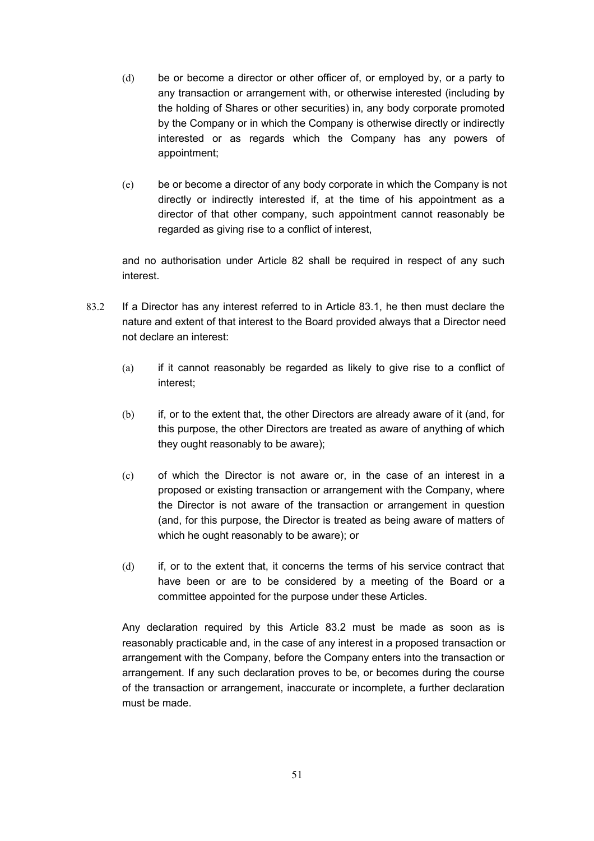- (d) be or become a director or other officer of, or employed by, or a party to any transaction or arrangement with, or otherwise interested (including by the holding of Shares or other securities) in, any body corporate promoted by the Company or in which the Company is otherwise directly or indirectly interested or as regards which the Company has any powers of appointment;
- (e) be or become a director of any body corporate in which the Company is not directly or indirectly interested if, at the time of his appointment as a director of that other company, such appointment cannot reasonably be regarded as giving rise to a conflict of interest,

and no authorisation under Article 82 shall be required in respect of any such interest.

- 83.2 If a Director has any interest referred to in Article 83.1, he then must declare the nature and extent of that interest to the Board provided always that a Director need not declare an interest:
	- (a) if it cannot reasonably be regarded as likely to give rise to a conflict of interest;
	- (b) if, or to the extent that, the other Directors are already aware of it (and, for this purpose, the other Directors are treated as aware of anything of which they ought reasonably to be aware);
	- (c) of which the Director is not aware or, in the case of an interest in a proposed or existing transaction or arrangement with the Company, where the Director is not aware of the transaction or arrangement in question (and, for this purpose, the Director is treated as being aware of matters of which he ought reasonably to be aware); or
	- (d) if, or to the extent that, it concerns the terms of his service contract that have been or are to be considered by a meeting of the Board or a committee appointed for the purpose under these Articles.

Any declaration required by this Article 83.2 must be made as soon as is reasonably practicable and, in the case of any interest in a proposed transaction or arrangement with the Company, before the Company enters into the transaction or arrangement. If any such declaration proves to be, or becomes during the course of the transaction or arrangement, inaccurate or incomplete, a further declaration must be made.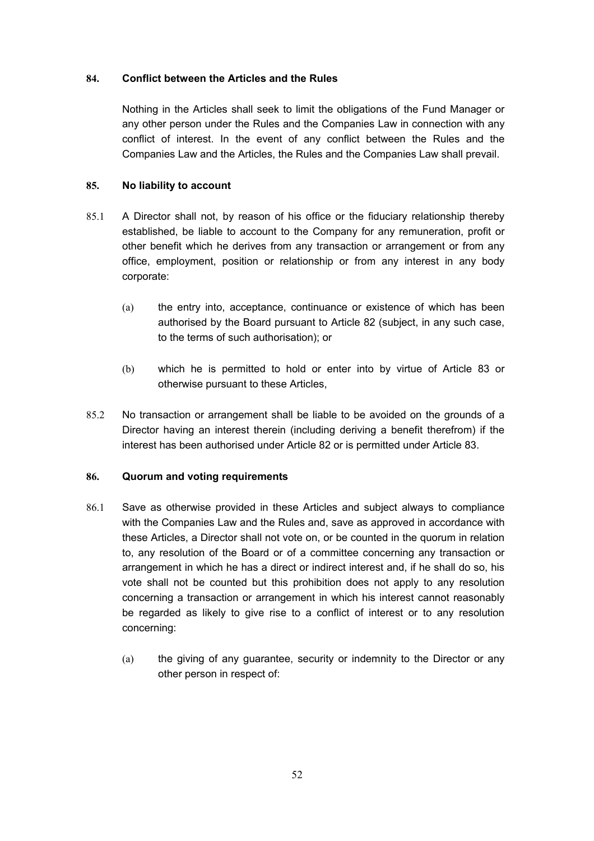# **84. Conflict between the Articles and the Rules**

Nothing in the Articles shall seek to limit the obligations of the Fund Manager or any other person under the Rules and the Companies Law in connection with any conflict of interest. In the event of any conflict between the Rules and the Companies Law and the Articles, the Rules and the Companies Law shall prevail.

# **85. No liability to account**

- 85.1 A Director shall not, by reason of his office or the fiduciary relationship thereby established, be liable to account to the Company for any remuneration, profit or other benefit which he derives from any transaction or arrangement or from any office, employment, position or relationship or from any interest in any body corporate:
	- (a) the entry into, acceptance, continuance or existence of which has been authorised by the Board pursuant to Article 82 (subject, in any such case, to the terms of such authorisation); or
	- (b) which he is permitted to hold or enter into by virtue of Article 83 or otherwise pursuant to these Articles,
- 85.2 No transaction or arrangement shall be liable to be avoided on the grounds of a Director having an interest therein (including deriving a benefit therefrom) if the interest has been authorised under Article 82 or is permitted under Article 83.

## **86. Quorum and voting requirements**

- 86.1 Save as otherwise provided in these Articles and subject always to compliance with the Companies Law and the Rules and, save as approved in accordance with these Articles, a Director shall not vote on, or be counted in the quorum in relation to, any resolution of the Board or of a committee concerning any transaction or arrangement in which he has a direct or indirect interest and, if he shall do so, his vote shall not be counted but this prohibition does not apply to any resolution concerning a transaction or arrangement in which his interest cannot reasonably be regarded as likely to give rise to a conflict of interest or to any resolution concerning:
	- (a) the giving of any guarantee, security or indemnity to the Director or any other person in respect of: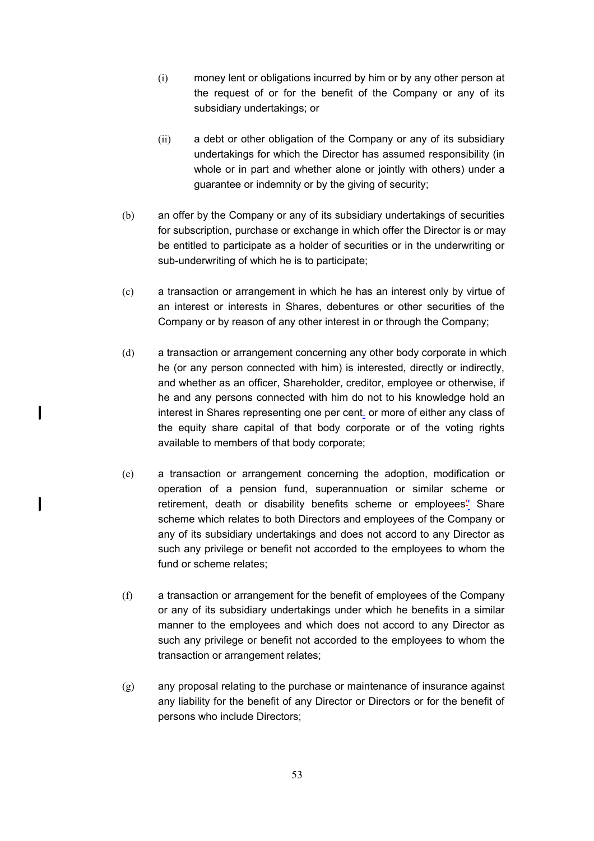- (i) money lent or obligations incurred by him or by any other person at the request of or for the benefit of the Company or any of its subsidiary undertakings; or
- (ii) a debt or other obligation of the Company or any of its subsidiary undertakings for which the Director has assumed responsibility (in whole or in part and whether alone or jointly with others) under a guarantee or indemnity or by the giving of security;
- (b) an offer by the Company or any of its subsidiary undertakings of securities for subscription, purchase or exchange in which offer the Director is or may be entitled to participate as a holder of securities or in the underwriting or sub-underwriting of which he is to participate;
- (c) a transaction or arrangement in which he has an interest only by virtue of an interest or interests in Shares, debentures or other securities of the Company or by reason of any other interest in or through the Company;
- (d) a transaction or arrangement concerning any other body corporate in which he (or any person connected with him) is interested, directly or indirectly, and whether as an officer, Shareholder, creditor, employee or otherwise, if he and any persons connected with him do not to his knowledge hold an interest in Shares representing one per cent. or more of either any class of the equity share capital of that body corporate or of the voting rights available to members of that body corporate;

 $\mathbf l$ 

 $\mathbf l$ 

- (e) a transaction or arrangement concerning the adoption, modification or operation of a pension fund, superannuation or similar scheme or retirement, death or disability benefits scheme or employees<sup>"</sup> Share scheme which relates to both Directors and employees of the Company or any of its subsidiary undertakings and does not accord to any Director as such any privilege or benefit not accorded to the employees to whom the fund or scheme relates;
- (f) a transaction or arrangement for the benefit of employees of the Company or any of its subsidiary undertakings under which he benefits in a similar manner to the employees and which does not accord to any Director as such any privilege or benefit not accorded to the employees to whom the transaction or arrangement relates;
- (g) any proposal relating to the purchase or maintenance of insurance against any liability for the benefit of any Director or Directors or for the benefit of persons who include Directors;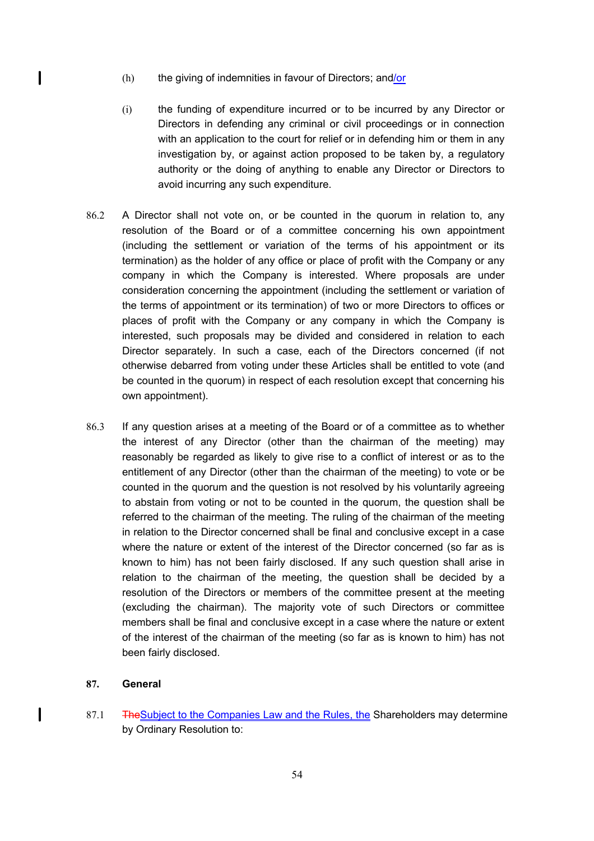- (h) the giving of indemnities in favour of Directors; and/or
- (i) the funding of expenditure incurred or to be incurred by any Director or Directors in defending any criminal or civil proceedings or in connection with an application to the court for relief or in defending him or them in any investigation by, or against action proposed to be taken by, a regulatory authority or the doing of anything to enable any Director or Directors to avoid incurring any such expenditure.
- 86.2 A Director shall not vote on, or be counted in the quorum in relation to, any resolution of the Board or of a committee concerning his own appointment (including the settlement or variation of the terms of his appointment or its termination) as the holder of any office or place of profit with the Company or any company in which the Company is interested. Where proposals are under consideration concerning the appointment (including the settlement or variation of the terms of appointment or its termination) of two or more Directors to offices or places of profit with the Company or any company in which the Company is interested, such proposals may be divided and considered in relation to each Director separately. In such a case, each of the Directors concerned (if not otherwise debarred from voting under these Articles shall be entitled to vote (and be counted in the quorum) in respect of each resolution except that concerning his own appointment).
- 86.3 If any question arises at a meeting of the Board or of a committee as to whether the interest of any Director (other than the chairman of the meeting) may reasonably be regarded as likely to give rise to a conflict of interest or as to the entitlement of any Director (other than the chairman of the meeting) to vote or be counted in the quorum and the question is not resolved by his voluntarily agreeing to abstain from voting or not to be counted in the quorum, the question shall be referred to the chairman of the meeting. The ruling of the chairman of the meeting in relation to the Director concerned shall be final and conclusive except in a case where the nature or extent of the interest of the Director concerned (so far as is known to him) has not been fairly disclosed. If any such question shall arise in relation to the chairman of the meeting, the question shall be decided by a resolution of the Directors or members of the committee present at the meeting (excluding the chairman). The majority vote of such Directors or committee members shall be final and conclusive except in a case where the nature or extent of the interest of the chairman of the meeting (so far as is known to him) has not been fairly disclosed.

#### **87. General**

 $\mathbf{I}$ 

 $\mathbf{I}$ 

87.1 TheSubject to the Companies Law and the Rules, the Shareholders may determine by Ordinary Resolution to: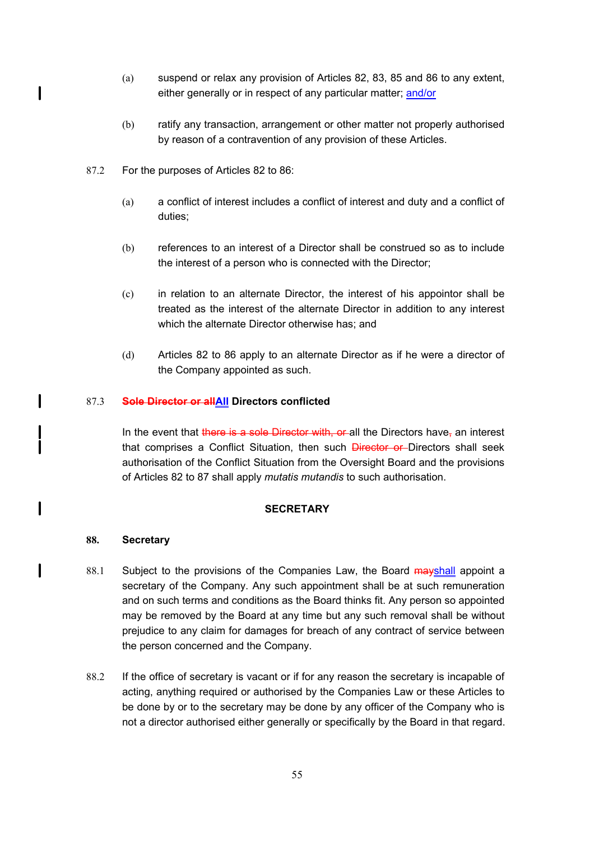- (a) suspend or relax any provision of Articles 82, 83, 85 and 86 to any extent, either generally or in respect of any particular matter; and/or
- (b) ratify any transaction, arrangement or other matter not properly authorised by reason of a contravention of any provision of these Articles.
- 87.2 For the purposes of Articles 82 to 86:

 $\mathbf l$ 

 $\mathbf l$ 

 $\mathbf{I}$ 

 $\mathbf l$ 

- (a) a conflict of interest includes a conflict of interest and duty and a conflict of duties;
- (b) references to an interest of a Director shall be construed so as to include the interest of a person who is connected with the Director;
- (c) in relation to an alternate Director, the interest of his appointor shall be treated as the interest of the alternate Director in addition to any interest which the alternate Director otherwise has; and
- (d) Articles 82 to 86 apply to an alternate Director as if he were a director of the Company appointed as such.

## 87.3 **Sole Director or allAll Directors conflicted**

In the event that there is a sole Director with, or all the Directors have, an interest that comprises a Conflict Situation, then such **Director or** Directors shall seek authorisation of the Conflict Situation from the Oversight Board and the provisions of Articles 82 to 87 shall apply *mutatis mutandis* to such authorisation.

## **SECRETARY**

#### **88. Secretary**

- 88.1 Subject to the provisions of the Companies Law, the Board mayshall appoint a secretary of the Company. Any such appointment shall be at such remuneration and on such terms and conditions as the Board thinks fit. Any person so appointed may be removed by the Board at any time but any such removal shall be without prejudice to any claim for damages for breach of any contract of service between the person concerned and the Company.
- 88.2 If the office of secretary is vacant or if for any reason the secretary is incapable of acting, anything required or authorised by the Companies Law or these Articles to be done by or to the secretary may be done by any officer of the Company who is not a director authorised either generally or specifically by the Board in that regard.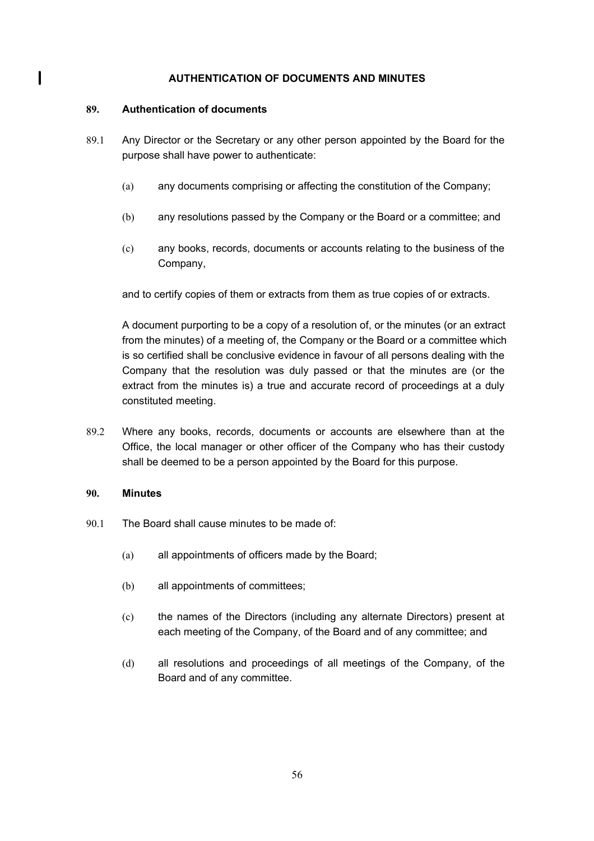## **AUTHENTICATION OF DOCUMENTS AND MINUTES**

#### **89. Authentication of documents**

 $\mathbf l$ 

- 89.1 Any Director or the Secretary or any other person appointed by the Board for the purpose shall have power to authenticate:
	- (a) any documents comprising or affecting the constitution of the Company;
	- (b) any resolutions passed by the Company or the Board or a committee; and
	- (c) any books, records, documents or accounts relating to the business of the Company,

and to certify copies of them or extracts from them as true copies of or extracts.

A document purporting to be a copy of a resolution of, or the minutes (or an extract from the minutes) of a meeting of, the Company or the Board or a committee which is so certified shall be conclusive evidence in favour of all persons dealing with the Company that the resolution was duly passed or that the minutes are (or the extract from the minutes is) a true and accurate record of proceedings at a duly constituted meeting.

89.2 Where any books, records, documents or accounts are elsewhere than at the Office, the local manager or other officer of the Company who has their custody shall be deemed to be a person appointed by the Board for this purpose.

## **90. Minutes**

- 90.1 The Board shall cause minutes to be made of:
	- (a) all appointments of officers made by the Board;
	- (b) all appointments of committees;
	- (c) the names of the Directors (including any alternate Directors) present at each meeting of the Company, of the Board and of any committee; and
	- (d) all resolutions and proceedings of all meetings of the Company, of the Board and of any committee.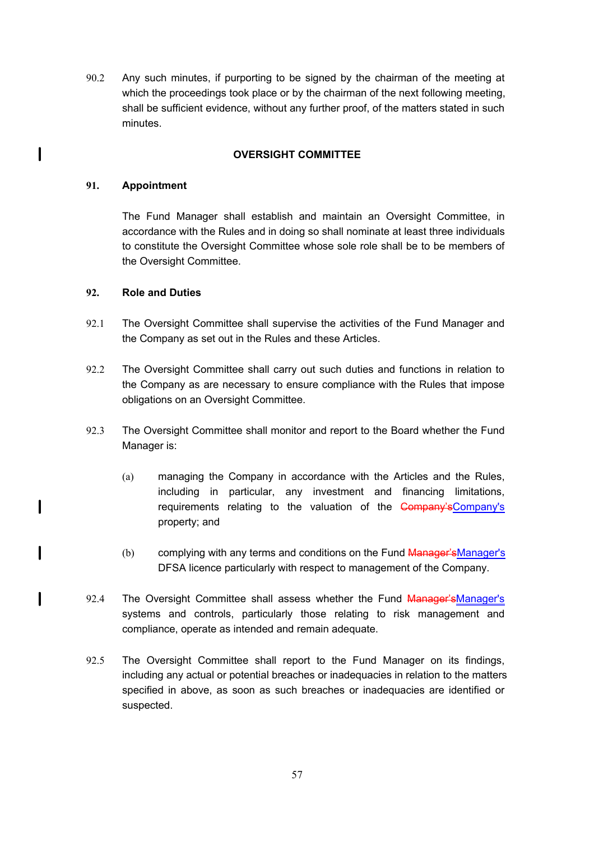90.2 Any such minutes, if purporting to be signed by the chairman of the meeting at which the proceedings took place or by the chairman of the next following meeting, shall be sufficient evidence, without any further proof, of the matters stated in such minutes.

## **OVERSIGHT COMMITTEE**

#### **91. Appointment**

 $\mathbf l$ 

 $\overline{\phantom{a}}$ 

I

 $\mathbf l$ 

The Fund Manager shall establish and maintain an Oversight Committee, in accordance with the Rules and in doing so shall nominate at least three individuals to constitute the Oversight Committee whose sole role shall be to be members of the Oversight Committee.

#### **92. Role and Duties**

- 92.1 The Oversight Committee shall supervise the activities of the Fund Manager and the Company as set out in the Rules and these Articles.
- 92.2 The Oversight Committee shall carry out such duties and functions in relation to the Company as are necessary to ensure compliance with the Rules that impose obligations on an Oversight Committee.
- 92.3 The Oversight Committee shall monitor and report to the Board whether the Fund Manager is:
	- (a) managing the Company in accordance with the Articles and the Rules, including in particular, any investment and financing limitations, requirements relating to the valuation of the Company's Company's property; and
	- (b) complying with any terms and conditions on the Fund Manager'sManager's DFSA licence particularly with respect to management of the Company.
- 92.4 The Oversight Committee shall assess whether the Fund Manager'sManager's systems and controls, particularly those relating to risk management and compliance, operate as intended and remain adequate.
- 92.5 The Oversight Committee shall report to the Fund Manager on its findings, including any actual or potential breaches or inadequacies in relation to the matters specified in above, as soon as such breaches or inadequacies are identified or suspected.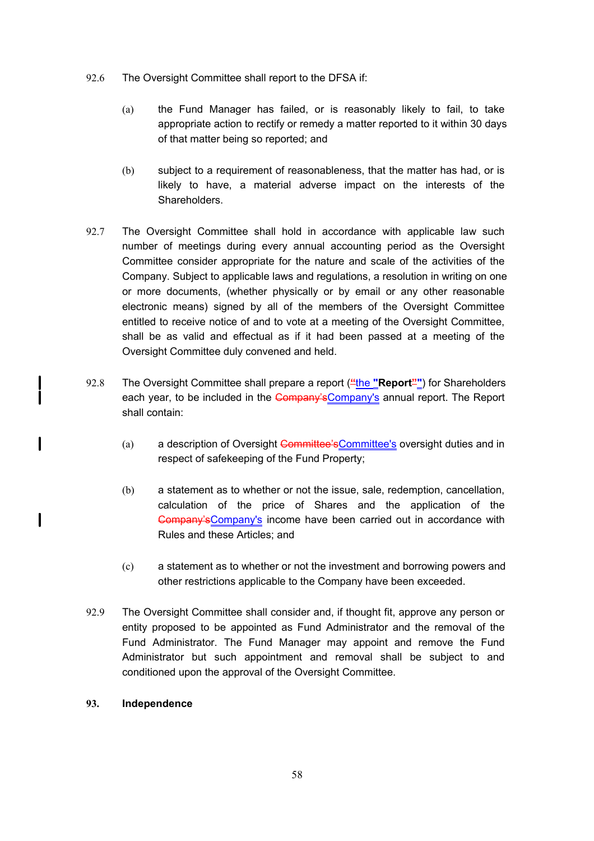- 92.6 The Oversight Committee shall report to the DFSA if:
	- (a) the Fund Manager has failed, or is reasonably likely to fail, to take appropriate action to rectify or remedy a matter reported to it within 30 days of that matter being so reported; and
	- (b) subject to a requirement of reasonableness, that the matter has had, or is likely to have, a material adverse impact on the interests of the **Shareholders**
- 92.7 The Oversight Committee shall hold in accordance with applicable law such number of meetings during every annual accounting period as the Oversight Committee consider appropriate for the nature and scale of the activities of the Company. Subject to applicable laws and regulations, a resolution in writing on one or more documents, (whether physically or by email or any other reasonable electronic means) signed by all of the members of the Oversight Committee entitled to receive notice of and to vote at a meeting of the Oversight Committee, shall be as valid and effectual as if it had been passed at a meeting of the Oversight Committee duly convened and held.
- 92.8 The Oversight Committee shall prepare a report ("the "Report"") for Shareholders each year, to be included in the Company's Company's annual report. The Report shall contain:
	- (a) a description of Oversight Committee's Committee's oversight duties and in respect of safekeeping of the Fund Property;
	- (b) a statement as to whether or not the issue, sale, redemption, cancellation, calculation of the price of Shares and the application of the Company'sCompany's income have been carried out in accordance with Rules and these Articles; and
	- (c) a statement as to whether or not the investment and borrowing powers and other restrictions applicable to the Company have been exceeded.
- 92.9 The Oversight Committee shall consider and, if thought fit, approve any person or entity proposed to be appointed as Fund Administrator and the removal of the Fund Administrator. The Fund Manager may appoint and remove the Fund Administrator but such appointment and removal shall be subject to and conditioned upon the approval of the Oversight Committee.

## **93. Independence**

 $\mathbf{I}$ 

 $\mathbf l$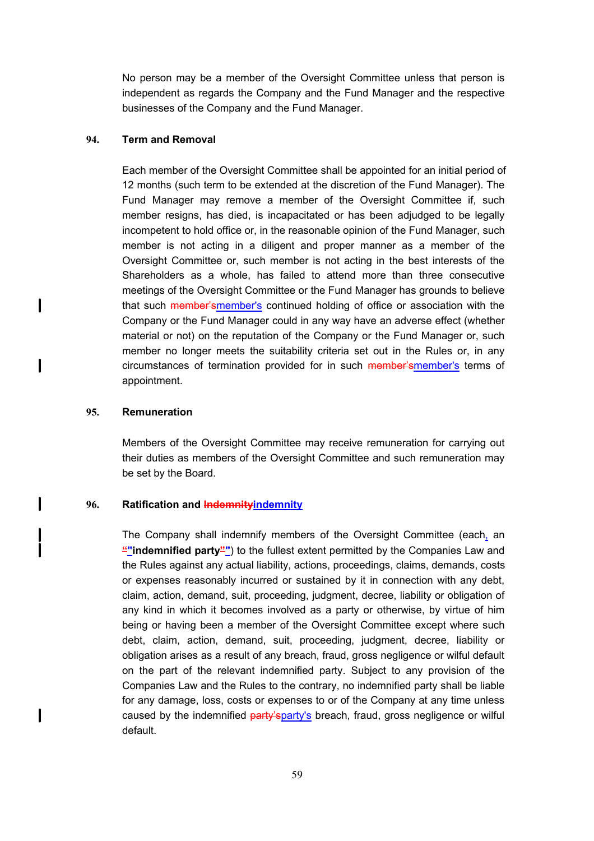No person may be a member of the Oversight Committee unless that person is independent as regards the Company and the Fund Manager and the respective businesses of the Company and the Fund Manager.

## **94. Term and Removal**

Each member of the Oversight Committee shall be appointed for an initial period of 12 months (such term to be extended at the discretion of the Fund Manager). The Fund Manager may remove a member of the Oversight Committee if, such member resigns, has died, is incapacitated or has been adjudged to be legally incompetent to hold office or, in the reasonable opinion of the Fund Manager, such member is not acting in a diligent and proper manner as a member of the Oversight Committee or, such member is not acting in the best interests of the Shareholders as a whole, has failed to attend more than three consecutive meetings of the Oversight Committee or the Fund Manager has grounds to believe that such member'smember's continued holding of office or association with the Company or the Fund Manager could in any way have an adverse effect (whether material or not) on the reputation of the Company or the Fund Manager or, such member no longer meets the suitability criteria set out in the Rules or, in any circumstances of termination provided for in such member'smember's terms of appointment.

#### **95. Remuneration**

 $\mathbf{l}$ 

I

I

 $\overline{\phantom{a}}$ 

Members of the Oversight Committee may receive remuneration for carrying out their duties as members of the Oversight Committee and such remuneration may be set by the Board.

#### **96. Ratification and Indemnityindemnity**

The Company shall indemnify members of the Oversight Committee (each, an **""indemnified party""**) to the fullest extent permitted by the Companies Law and the Rules against any actual liability, actions, proceedings, claims, demands, costs or expenses reasonably incurred or sustained by it in connection with any debt, claim, action, demand, suit, proceeding, judgment, decree, liability or obligation of any kind in which it becomes involved as a party or otherwise, by virtue of him being or having been a member of the Oversight Committee except where such debt, claim, action, demand, suit, proceeding, judgment, decree, liability or obligation arises as a result of any breach, fraud, gross negligence or wilful default on the part of the relevant indemnified party. Subject to any provision of the Companies Law and the Rules to the contrary, no indemnified party shall be liable for any damage, loss, costs or expenses to or of the Company at any time unless caused by the indemnified party'sparty's breach, fraud, gross negligence or wilful default.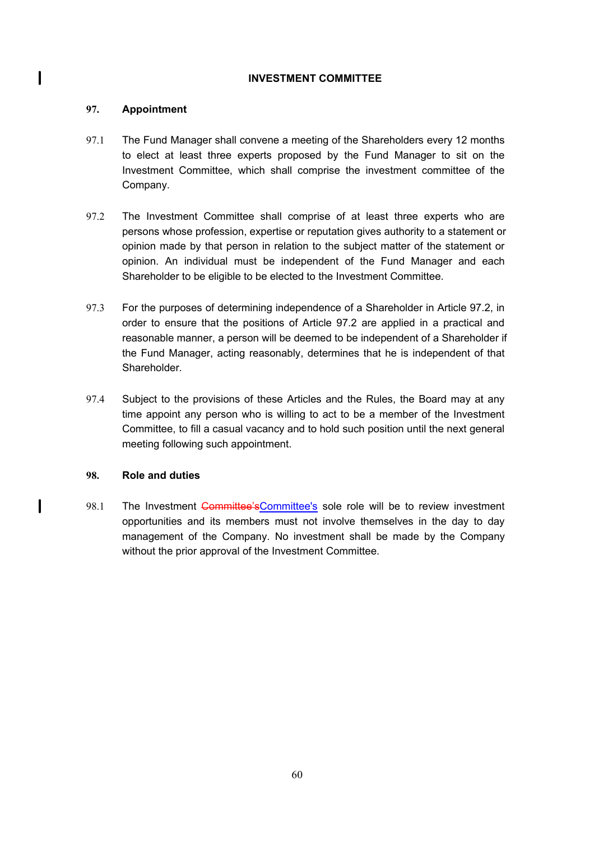#### **INVESTMENT COMMITTEE**

## **97. Appointment**

 $\mathbf l$ 

 $\mathbf{I}$ 

- 97.1 The Fund Manager shall convene a meeting of the Shareholders every 12 months to elect at least three experts proposed by the Fund Manager to sit on the Investment Committee, which shall comprise the investment committee of the Company.
- 97.2 The Investment Committee shall comprise of at least three experts who are persons whose profession, expertise or reputation gives authority to a statement or opinion made by that person in relation to the subject matter of the statement or opinion. An individual must be independent of the Fund Manager and each Shareholder to be eligible to be elected to the Investment Committee.
- 97.3 For the purposes of determining independence of a Shareholder in Article 97.2, in order to ensure that the positions of Article 97.2 are applied in a practical and reasonable manner, a person will be deemed to be independent of a Shareholder if the Fund Manager, acting reasonably, determines that he is independent of that Shareholder.
- 97.4 Subject to the provisions of these Articles and the Rules, the Board may at any time appoint any person who is willing to act to be a member of the Investment Committee, to fill a casual vacancy and to hold such position until the next general meeting following such appointment.

# **98. Role and duties**

98.1 The Investment Committee'sCommittee's sole role will be to review investment opportunities and its members must not involve themselves in the day to day management of the Company. No investment shall be made by the Company without the prior approval of the Investment Committee.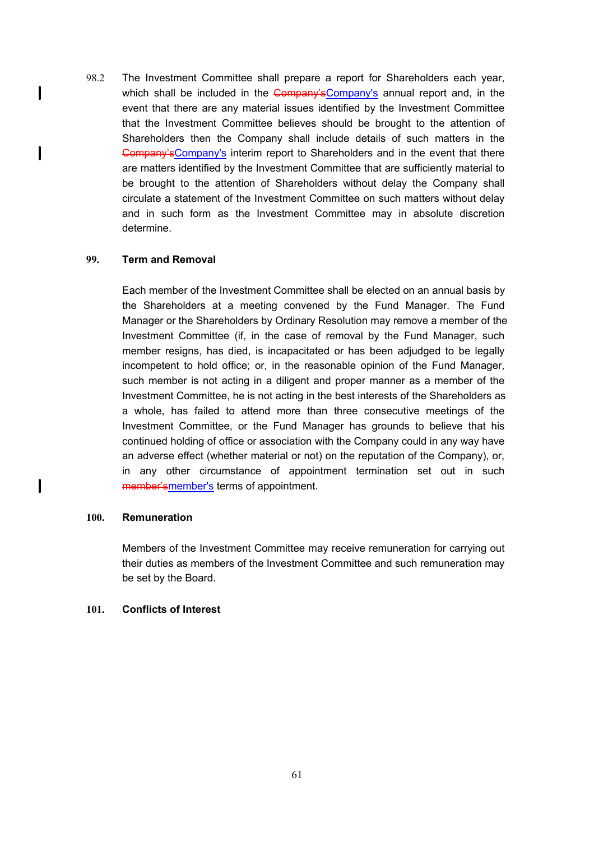98.2 The Investment Committee shall prepare a report for Shareholders each year, which shall be included in the Company's Company's annual report and, in the event that there are any material issues identified by the Investment Committee that the Investment Committee believes should be brought to the attention of Shareholders then the Company shall include details of such matters in the Gompany's Company's interim report to Shareholders and in the event that there are matters identified by the Investment Committee that are sufficiently material to be brought to the attention of Shareholders without delay the Company shall circulate a statement of the Investment Committee on such matters without delay and in such form as the Investment Committee may in absolute discretion determine.

## **99. Term and Removal**

 $\mathbf l$ 

 $\mathbf I$ 

 $\mathbf l$ 

Each member of the Investment Committee shall be elected on an annual basis by the Shareholders at a meeting convened by the Fund Manager. The Fund Manager or the Shareholders by Ordinary Resolution may remove a member of the Investment Committee (if, in the case of removal by the Fund Manager, such member resigns, has died, is incapacitated or has been adjudged to be legally incompetent to hold office; or, in the reasonable opinion of the Fund Manager, such member is not acting in a diligent and proper manner as a member of the Investment Committee, he is not acting in the best interests of the Shareholders as a whole, has failed to attend more than three consecutive meetings of the Investment Committee, or the Fund Manager has grounds to believe that his continued holding of office or association with the Company could in any way have an adverse effect (whether material or not) on the reputation of the Company), or, in any other circumstance of appointment termination set out in such member'smember's terms of appointment.

#### **100. Remuneration**

Members of the Investment Committee may receive remuneration for carrying out their duties as members of the Investment Committee and such remuneration may be set by the Board.

#### **101. Conflicts of Interest**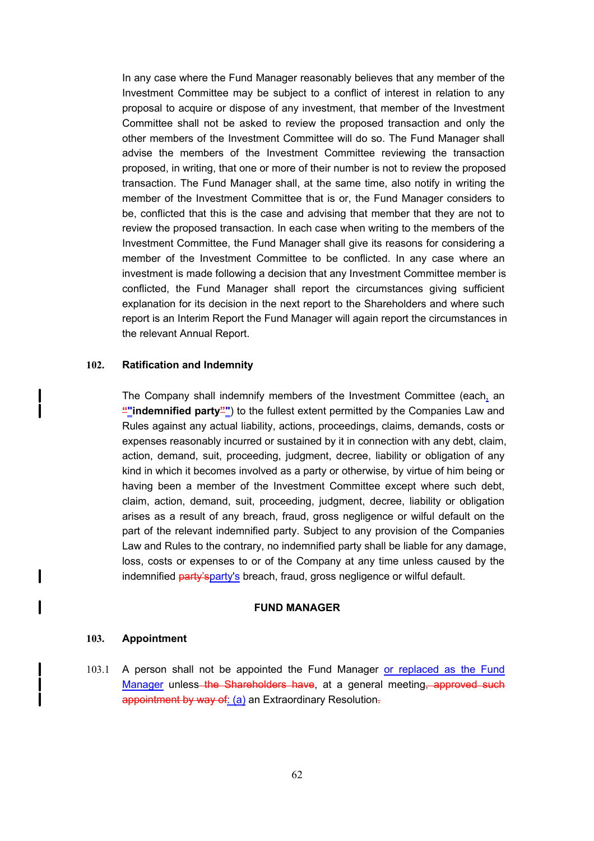In any case where the Fund Manager reasonably believes that any member of the Investment Committee may be subject to a conflict of interest in relation to any proposal to acquire or dispose of any investment, that member of the Investment Committee shall not be asked to review the proposed transaction and only the other members of the Investment Committee will do so. The Fund Manager shall advise the members of the Investment Committee reviewing the transaction proposed, in writing, that one or more of their number is not to review the proposed transaction. The Fund Manager shall, at the same time, also notify in writing the member of the Investment Committee that is or, the Fund Manager considers to be, conflicted that this is the case and advising that member that they are not to review the proposed transaction. In each case when writing to the members of the Investment Committee, the Fund Manager shall give its reasons for considering a member of the Investment Committee to be conflicted. In any case where an investment is made following a decision that any Investment Committee member is conflicted, the Fund Manager shall report the circumstances giving sufficient explanation for its decision in the next report to the Shareholders and where such report is an Interim Report the Fund Manager will again report the circumstances in the relevant Annual Report.

#### **102. Ratification and Indemnity**

The Company shall indemnify members of the Investment Committee (each, an **""indemnified party""**) to the fullest extent permitted by the Companies Law and Rules against any actual liability, actions, proceedings, claims, demands, costs or expenses reasonably incurred or sustained by it in connection with any debt, claim, action, demand, suit, proceeding, judgment, decree, liability or obligation of any kind in which it becomes involved as a party or otherwise, by virtue of him being or having been a member of the Investment Committee except where such debt, claim, action, demand, suit, proceeding, judgment, decree, liability or obligation arises as a result of any breach, fraud, gross negligence or wilful default on the part of the relevant indemnified party. Subject to any provision of the Companies Law and Rules to the contrary, no indemnified party shall be liable for any damage, loss, costs or expenses to or of the Company at any time unless caused by the indemnified party'sparty's breach, fraud, gross negligence or wilful default.

#### **FUND MANAGER**

#### **103. Appointment**

 $\mathbf I$ 

l

103.1 A person shall not be appointed the Fund Manager or replaced as the Fund Manager unless the Shareholders have, at a general meeting, approved such appointment by way of: (a) an Extraordinary Resolution-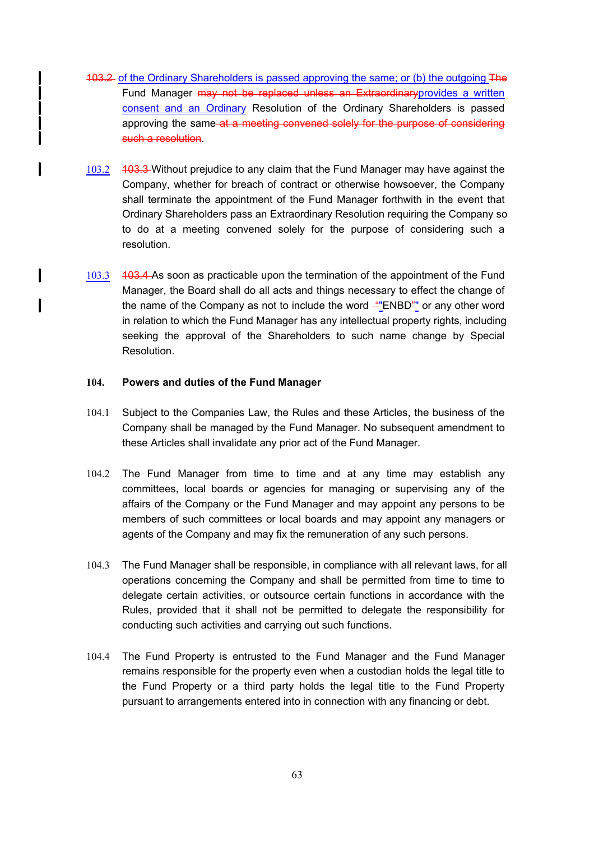- 103.2 of the Ordinary Shareholders is passed approving the same; or (b) the outgoing The Fund Manager may not be replaced unless an Extraordinaryprovides a written consent and an Ordinary Resolution of the Ordinary Shareholders is passed approving the same at a meeting convened solely for the purpose of considering such a resolution.
- 103.2 403.3 Without prejudice to any claim that the Fund Manager may have against the Company, whether for breach of contract or otherwise howsoever, the Company shall terminate the appointment of the Fund Manager forthwith in the event that Ordinary Shareholders pass an Extraordinary Resolution requiring the Company so to do at a meeting convened solely for the purpose of considering such a resolution.
- 103.3 403.4 As soon as practicable upon the termination of the appointment of the Fund Manager, the Board shall do all acts and things necessary to effect the change of the name of the Company as not to include the word ""ENBD"" or any other word in relation to which the Fund Manager has any intellectual property rights, including seeking the approval of the Shareholders to such name change by Special Resolution.

#### **104. Powers and duties of the Fund Manager**

 $\overline{\phantom{a}}$ 

 $\mathbf l$ 

I

 $\mathbf{I}$ 

- 104.1 Subject to the Companies Law, the Rules and these Articles, the business of the Company shall be managed by the Fund Manager. No subsequent amendment to these Articles shall invalidate any prior act of the Fund Manager.
- 104.2 The Fund Manager from time to time and at any time may establish any committees, local boards or agencies for managing or supervising any of the affairs of the Company or the Fund Manager and may appoint any persons to be members of such committees or local boards and may appoint any managers or agents of the Company and may fix the remuneration of any such persons.
- 104.3 The Fund Manager shall be responsible, in compliance with all relevant laws, for all operations concerning the Company and shall be permitted from time to time to delegate certain activities, or outsource certain functions in accordance with the Rules, provided that it shall not be permitted to delegate the responsibility for conducting such activities and carrying out such functions.
- 104.4 The Fund Property is entrusted to the Fund Manager and the Fund Manager remains responsible for the property even when a custodian holds the legal title to the Fund Property or a third party holds the legal title to the Fund Property pursuant to arrangements entered into in connection with any financing or debt.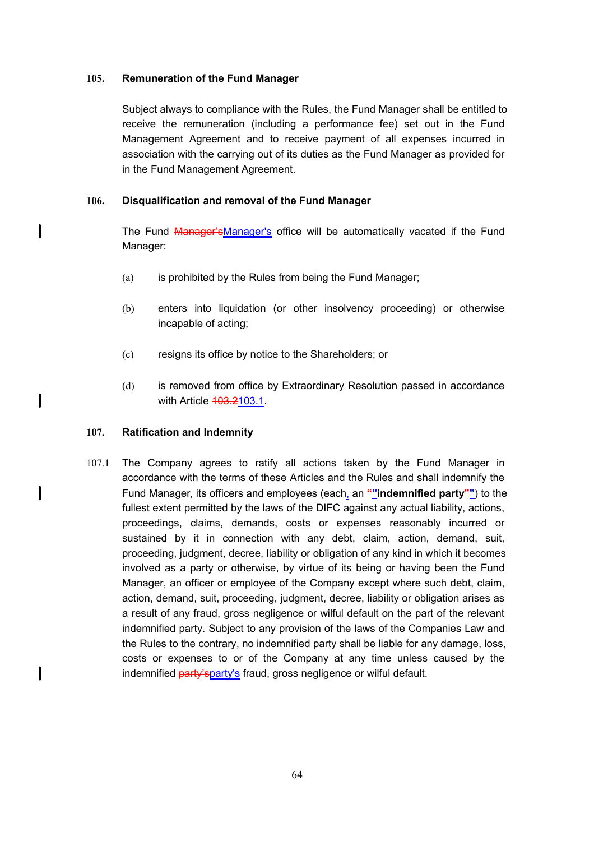## **105. Remuneration of the Fund Manager**

Subject always to compliance with the Rules, the Fund Manager shall be entitled to receive the remuneration (including a performance fee) set out in the Fund Management Agreement and to receive payment of all expenses incurred in association with the carrying out of its duties as the Fund Manager as provided for in the Fund Management Agreement.

# **106. Disqualification and removal of the Fund Manager**

The Fund Manager'sManager's office will be automatically vacated if the Fund Manager:

- (a) is prohibited by the Rules from being the Fund Manager;
- (b) enters into liquidation (or other insolvency proceeding) or otherwise incapable of acting;
- (c) resigns its office by notice to the Shareholders; or
- (d) is removed from office by Extraordinary Resolution passed in accordance with Article 403.2103.1.

## **107. Ratification and Indemnity**

 $\mathbf l$ 

 $\mathbf{I}$ 

 $\mathbf l$ 

 $\mathbf{I}$ 

107.1 The Company agrees to ratify all actions taken by the Fund Manager in accordance with the terms of these Articles and the Rules and shall indemnify the Fund Manager, its officers and employees (each, an **""indemnified party""**) to the fullest extent permitted by the laws of the DIFC against any actual liability, actions, proceedings, claims, demands, costs or expenses reasonably incurred or sustained by it in connection with any debt, claim, action, demand, suit, proceeding, judgment, decree, liability or obligation of any kind in which it becomes involved as a party or otherwise, by virtue of its being or having been the Fund Manager, an officer or employee of the Company except where such debt, claim, action, demand, suit, proceeding, judgment, decree, liability or obligation arises as a result of any fraud, gross negligence or wilful default on the part of the relevant indemnified party. Subject to any provision of the laws of the Companies Law and the Rules to the contrary, no indemnified party shall be liable for any damage, loss, costs or expenses to or of the Company at any time unless caused by the indemnified party's party's fraud, gross negligence or wilful default.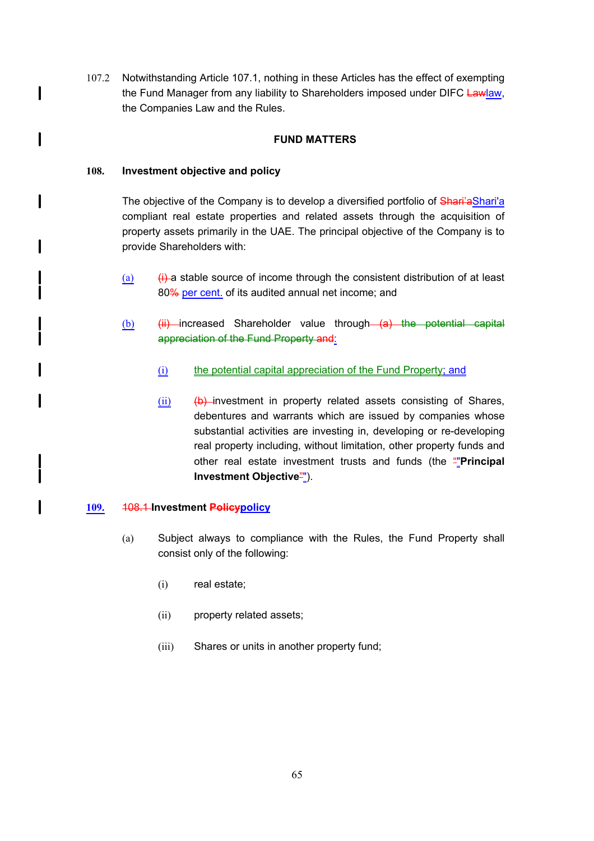107.2 Notwithstanding Article 107.1, nothing in these Articles has the effect of exempting the Fund Manager from any liability to Shareholders imposed under DIFC Lawlaw, the Companies Law and the Rules.

# **FUND MATTERS**

#### **108. Investment objective and policy**

l

 $\mathbf l$ 

 $\mathbf l$ 

1

The objective of the Company is to develop a diversified portfolio of Shari'aShari'a compliant real estate properties and related assets through the acquisition of property assets primarily in the UAE. The principal objective of the Company is to provide Shareholders with:

- (a)  $(i)$  a stable source of income through the consistent distribution of at least 80% per cent. of its audited annual net income; and
- $(b)$  (ii) increased Shareholder value through  $(a)$  the potential capital appreciation of the Fund Property and:
	- (i) the potential capital appreciation of the Fund Property; and
	- $(ii)$  (b) investment in property related assets consisting of Shares, debentures and warrants which are issued by companies whose substantial activities are investing in, developing or re-developing real property including, without limitation, other property funds and other real estate investment trusts and funds (the ""**Principal Investment Objective**"").

## **109.** 108.1 **Investment Policypolicy**

- (a) Subject always to compliance with the Rules, the Fund Property shall consist only of the following:
	- (i) real estate;
	- (ii) property related assets;
	- (iii) Shares or units in another property fund;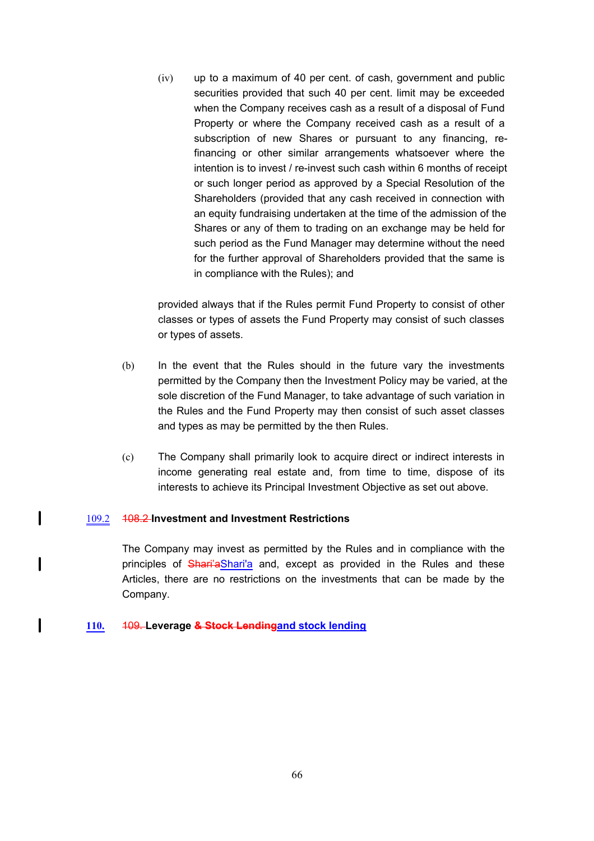(iv) up to a maximum of 40 per cent. of cash, government and public securities provided that such 40 per cent. limit may be exceeded when the Company receives cash as a result of a disposal of Fund Property or where the Company received cash as a result of a subscription of new Shares or pursuant to any financing, refinancing or other similar arrangements whatsoever where the intention is to invest / re-invest such cash within 6 months of receipt or such longer period as approved by a Special Resolution of the Shareholders (provided that any cash received in connection with an equity fundraising undertaken at the time of the admission of the Shares or any of them to trading on an exchange may be held for such period as the Fund Manager may determine without the need for the further approval of Shareholders provided that the same is in compliance with the Rules); and

provided always that if the Rules permit Fund Property to consist of other classes or types of assets the Fund Property may consist of such classes or types of assets.

- (b) In the event that the Rules should in the future vary the investments permitted by the Company then the Investment Policy may be varied, at the sole discretion of the Fund Manager, to take advantage of such variation in the Rules and the Fund Property may then consist of such asset classes and types as may be permitted by the then Rules.
- (c) The Company shall primarily look to acquire direct or indirect interests in income generating real estate and, from time to time, dispose of its interests to achieve its Principal Investment Objective as set out above.

#### 109.2 108.2 **Investment and Investment Restrictions**

I

 $\overline{\phantom{a}}$ 

I

The Company may invest as permitted by the Rules and in compliance with the principles of Shari'aShari'a and, except as provided in the Rules and these Articles, there are no restrictions on the investments that can be made by the Company.

#### **110.** 109. **Leverage & Stock Lendingand stock lending**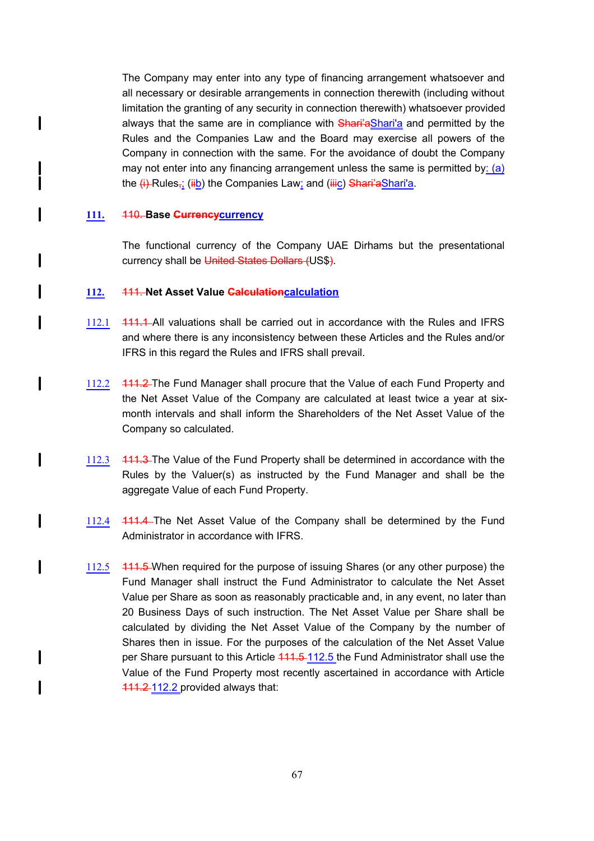The Company may enter into any type of financing arrangement whatsoever and all necessary or desirable arrangements in connection therewith (including without limitation the granting of any security in connection therewith) whatsoever provided always that the same are in compliance with Shari'aShari'a and permitted by the Rules and the Companies Law and the Board may exercise all powers of the Company in connection with the same. For the avoidance of doubt the Company may not enter into any financing arrangement unless the same is permitted by:  $(a)$ the (i) Rules<sub>i</sub>; (iib) the Companies Law; and (iiic) Shari'aShari'a.

#### **111.** 110. **Base Currencycurrency**

 $\mathbf l$ 

 $\mathbf l$ 

I

l

 $\mathbf{I}$ 

I

 $\mathbf l$ 

I

 $\mathbf{I}$ 

The functional currency of the Company UAE Dirhams but the presentational currency shall be United States Dollars (US\$).

#### **112.** 111. **Net Asset Value Calculationcalculation**

- 112.1 444.4 All valuations shall be carried out in accordance with the Rules and IFRS and where there is any inconsistency between these Articles and the Rules and/or IFRS in this regard the Rules and IFRS shall prevail.
- 112.2 444.2 The Fund Manager shall procure that the Value of each Fund Property and the Net Asset Value of the Company are calculated at least twice a year at sixmonth intervals and shall inform the Shareholders of the Net Asset Value of the Company so calculated.
- 112.3 444.3 The Value of the Fund Property shall be determined in accordance with the Rules by the Valuer(s) as instructed by the Fund Manager and shall be the aggregate Value of each Fund Property.
- 112.4 111.4 The Net Asset Value of the Company shall be determined by the Fund Administrator in accordance with IFRS.
- 112.5 411.5 When required for the purpose of issuing Shares (or any other purpose) the Fund Manager shall instruct the Fund Administrator to calculate the Net Asset Value per Share as soon as reasonably practicable and, in any event, no later than 20 Business Days of such instruction. The Net Asset Value per Share shall be calculated by dividing the Net Asset Value of the Company by the number of Shares then in issue. For the purposes of the calculation of the Net Asset Value per Share pursuant to this Article 444.5-112.5 the Fund Administrator shall use the Value of the Fund Property most recently ascertained in accordance with Article 111.2 112.2 provided always that: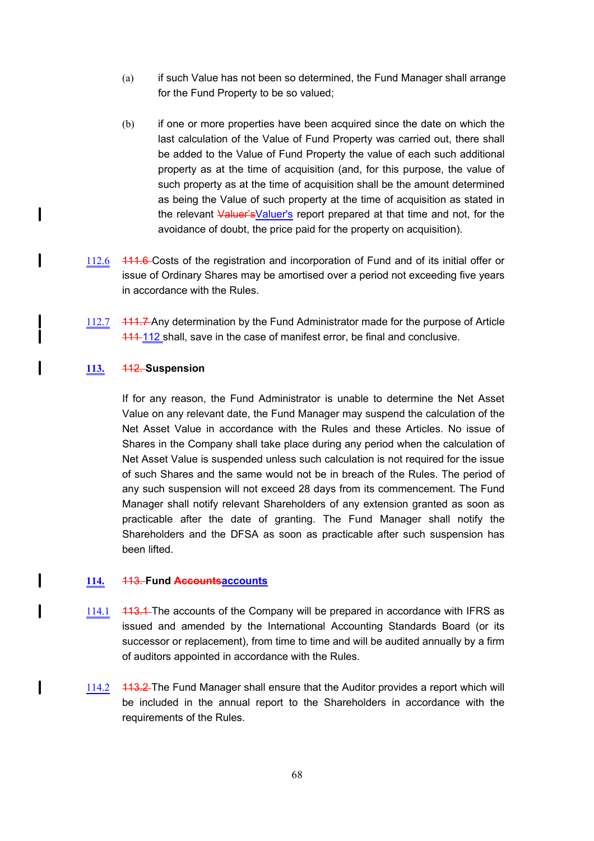- (a) if such Value has not been so determined, the Fund Manager shall arrange for the Fund Property to be so valued;
- (b) if one or more properties have been acquired since the date on which the last calculation of the Value of Fund Property was carried out, there shall be added to the Value of Fund Property the value of each such additional property as at the time of acquisition (and, for this purpose, the value of such property as at the time of acquisition shall be the amount determined as being the Value of such property at the time of acquisition as stated in the relevant Valuer's Valuer's report prepared at that time and not, for the avoidance of doubt, the price paid for the property on acquisition).
- 112.6 111.6 Costs of the registration and incorporation of Fund and of its initial offer or issue of Ordinary Shares may be amortised over a period not exceeding five years in accordance with the Rules.
- 112.7 411.7 Any determination by the Fund Administrator made for the purpose of Article 111 112 shall, save in the case of manifest error, be final and conclusive.

#### **113.** 112. **Suspension**

l

l

1

 $\mathbf l$ 

 $\overline{\phantom{a}}$ 

 $\mathbf l$ 

If for any reason, the Fund Administrator is unable to determine the Net Asset Value on any relevant date, the Fund Manager may suspend the calculation of the Net Asset Value in accordance with the Rules and these Articles. No issue of Shares in the Company shall take place during any period when the calculation of Net Asset Value is suspended unless such calculation is not required for the issue of such Shares and the same would not be in breach of the Rules. The period of any such suspension will not exceed 28 days from its commencement. The Fund Manager shall notify relevant Shareholders of any extension granted as soon as practicable after the date of granting. The Fund Manager shall notify the Shareholders and the DFSA as soon as practicable after such suspension has been lifted.

#### **114.** 113. **Fund Accountsaccounts**

- 114.1 413.1 The accounts of the Company will be prepared in accordance with IFRS as issued and amended by the International Accounting Standards Board (or its successor or replacement), from time to time and will be audited annually by a firm of auditors appointed in accordance with the Rules.
- 114.2 113.2 The Fund Manager shall ensure that the Auditor provides a report which will be included in the annual report to the Shareholders in accordance with the requirements of the Rules.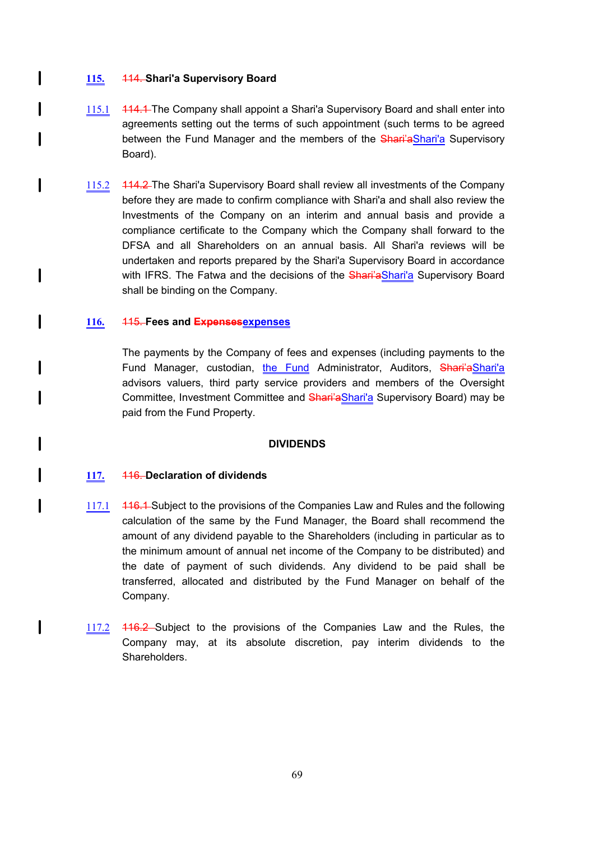## **115.** 114. **Shari'a Supervisory Board**

 $\mathbf l$ 

I

l

 $\mathbf{I}$ 

 $\mathsf{l}$ 

 $\mathbf l$ 

I

I

I

I

 $\mathbf l$ 

l

- 115.1 114.1 The Company shall appoint a Shari'a Supervisory Board and shall enter into agreements setting out the terms of such appointment (such terms to be agreed between the Fund Manager and the members of the Shari'aShari'a Supervisory Board).
- 115.2 114.2 The Shari'a Supervisory Board shall review all investments of the Company before they are made to confirm compliance with Shari'a and shall also review the Investments of the Company on an interim and annual basis and provide a compliance certificate to the Company which the Company shall forward to the DFSA and all Shareholders on an annual basis. All Shari'a reviews will be undertaken and reports prepared by the Shari'a Supervisory Board in accordance with IFRS. The Fatwa and the decisions of the **Shari'a Shari'a** Supervisory Board shall be binding on the Company.

### **116.** 115. **Fees and Expensesexpenses**

The payments by the Company of fees and expenses (including payments to the Fund Manager, custodian, the Fund Administrator, Auditors, Shari'aShari'a advisors valuers, third party service providers and members of the Oversight Committee, Investment Committee and Shari'aShari'a Supervisory Board) may be paid from the Fund Property.

#### **DIVIDENDS**

#### **117.** 116. **Declaration of dividends**

- 117.1 116.1 Subject to the provisions of the Companies Law and Rules and the following calculation of the same by the Fund Manager, the Board shall recommend the amount of any dividend payable to the Shareholders (including in particular as to the minimum amount of annual net income of the Company to be distributed) and the date of payment of such dividends. Any dividend to be paid shall be transferred, allocated and distributed by the Fund Manager on behalf of the Company.
- 117.2 416.2 Subject to the provisions of the Companies Law and the Rules, the Company may, at its absolute discretion, pay interim dividends to the Shareholders.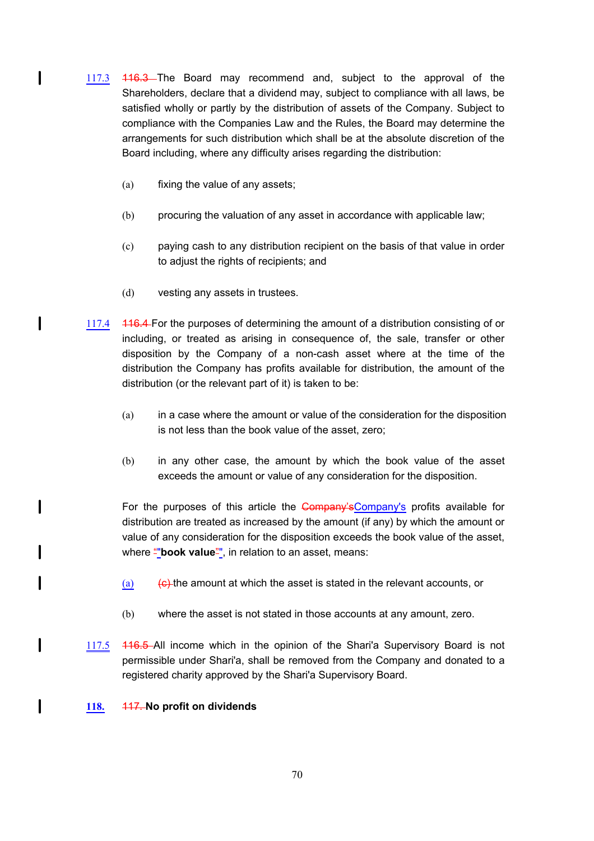- 117.3 116.3 The Board may recommend and, subject to the approval of the Shareholders, declare that a dividend may, subject to compliance with all laws, be satisfied wholly or partly by the distribution of assets of the Company. Subject to compliance with the Companies Law and the Rules, the Board may determine the arrangements for such distribution which shall be at the absolute discretion of the Board including, where any difficulty arises regarding the distribution:
	- (a) fixing the value of any assets;

I

I

I

l

 $\mathbf l$ 

 $\mathbf{I}$ 

- (b) procuring the valuation of any asset in accordance with applicable law;
- (c) paying cash to any distribution recipient on the basis of that value in order to adjust the rights of recipients; and
- (d) vesting any assets in trustees.
- 117.4 116.4 For the purposes of determining the amount of a distribution consisting of or including, or treated as arising in consequence of, the sale, transfer or other disposition by the Company of a non-cash asset where at the time of the distribution the Company has profits available for distribution, the amount of the distribution (or the relevant part of it) is taken to be:
	- (a) in a case where the amount or value of the consideration for the disposition is not less than the book value of the asset, zero;
	- (b) in any other case, the amount by which the book value of the asset exceeds the amount or value of any consideration for the disposition.

For the purposes of this article the Company's Company's profits available for distribution are treated as increased by the amount (if any) by which the amount or value of any consideration for the disposition exceeds the book value of the asset, where "**book value**", in relation to an asset, means:

- (a)  $\left\langle \epsilon \right\rangle$  the amount at which the asset is stated in the relevant accounts, or
- (b) where the asset is not stated in those accounts at any amount, zero.
- 117.5 116.5 All income which in the opinion of the Shari'a Supervisory Board is not permissible under Shari'a, shall be removed from the Company and donated to a registered charity approved by the Shari'a Supervisory Board.

#### **118.** 117. **No profit on dividends**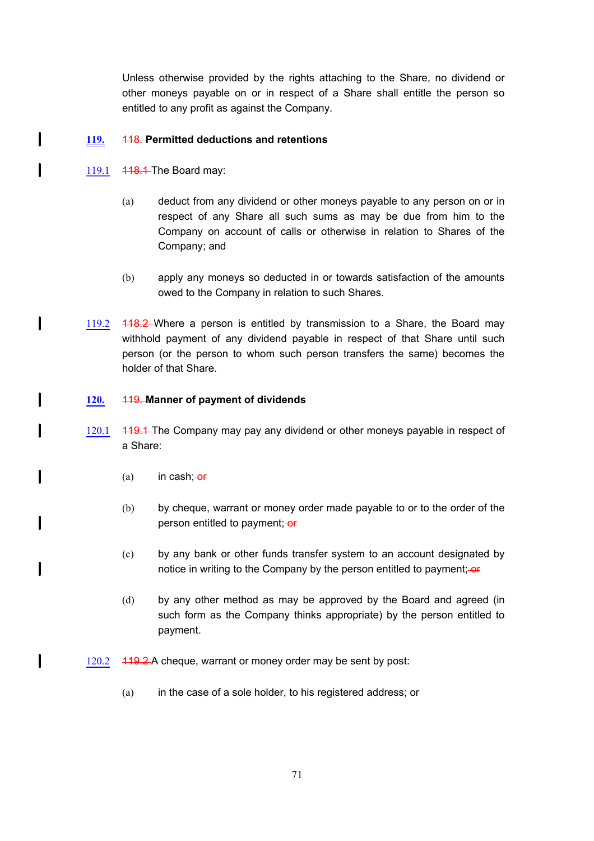Unless otherwise provided by the rights attaching to the Share, no dividend or other moneys payable on or in respect of a Share shall entitle the person so entitled to any profit as against the Company.

## **119.** 118. **Permitted deductions and retentions**

119.1 **448.4** The Board may:

 $\mathbf l$ 

 $\mathbf{I}$ 

 $\mathbf{I}$ 

 $\mathbf l$ 

 $\mathbf l$ 

 $\mathbf l$ 

 $\mathbf l$ 

 $\overline{\phantom{a}}$ 

 $\mathbf l$ 

- (a) deduct from any dividend or other moneys payable to any person on or in respect of any Share all such sums as may be due from him to the Company on account of calls or otherwise in relation to Shares of the Company; and
- (b) apply any moneys so deducted in or towards satisfaction of the amounts owed to the Company in relation to such Shares.
- 119.2 418.2 Where a person is entitled by transmission to a Share, the Board may withhold payment of any dividend payable in respect of that Share until such person (or the person to whom such person transfers the same) becomes the holder of that Share.

## **120.** 119. **Manner of payment of dividends**

- 120.1 419.4 The Company may pay any dividend or other moneys payable in respect of a Share:
	- $(a)$  in cash;- $er$
	- (b) by cheque, warrant or money order made payable to or to the order of the person entitled to payment; or
	- (c) by any bank or other funds transfer system to an account designated by notice in writing to the Company by the person entitled to payment;-or
	- (d) by any other method as may be approved by the Board and agreed (in such form as the Company thinks appropriate) by the person entitled to payment.
- 120.2 119.2 A cheque, warrant or money order may be sent by post:
	- (a) in the case of a sole holder, to his registered address; or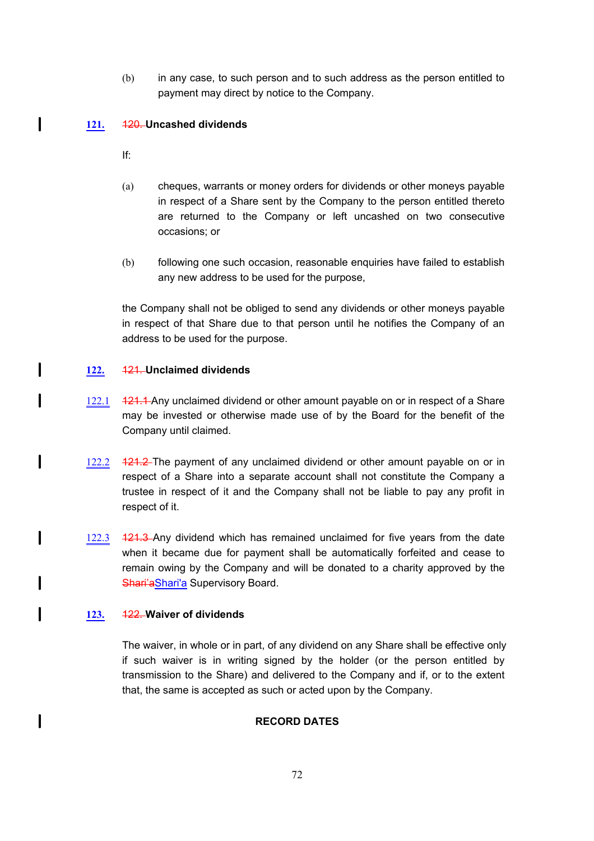(b) in any case, to such person and to such address as the person entitled to payment may direct by notice to the Company.

# **121.** 120. **Uncashed dividends**

If:

l

 $\mathbf l$ 

I

l

I

I

 $\mathbf l$ 

- (a) cheques, warrants or money orders for dividends or other moneys payable in respect of a Share sent by the Company to the person entitled thereto are returned to the Company or left uncashed on two consecutive occasions; or
- (b) following one such occasion, reasonable enquiries have failed to establish any new address to be used for the purpose,

the Company shall not be obliged to send any dividends or other moneys payable in respect of that Share due to that person until he notifies the Company of an address to be used for the purpose.

# **122.** 121. **Unclaimed dividends**

- 122.1 **121.1** Any unclaimed dividend or other amount payable on or in respect of a Share may be invested or otherwise made use of by the Board for the benefit of the Company until claimed.
- 122.2 424.2 The payment of any unclaimed dividend or other amount payable on or in respect of a Share into a separate account shall not constitute the Company a trustee in respect of it and the Company shall not be liable to pay any profit in respect of it.
- 122.3 **121.3** Any dividend which has remained unclaimed for five years from the date when it became due for payment shall be automatically forfeited and cease to remain owing by the Company and will be donated to a charity approved by the Shari'aShari'a Supervisory Board.

# **123.** 122. **Waiver of dividends**

The waiver, in whole or in part, of any dividend on any Share shall be effective only if such waiver is in writing signed by the holder (or the person entitled by transmission to the Share) and delivered to the Company and if, or to the extent that, the same is accepted as such or acted upon by the Company.

# **RECORD DATES**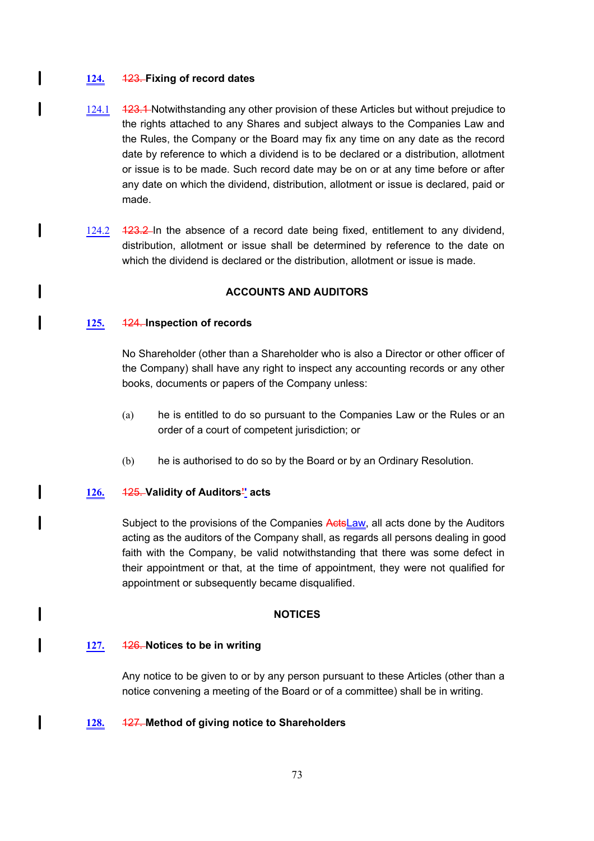### **124.** 123. **Fixing of record dates**

 $\mathbf l$ 

I

 $\mathbf l$ 

1

l

 $\mathbf l$ 

I

 $\mathbf{l}$ 

I

l

- 124.1 123.1 Notwithstanding any other provision of these Articles but without prejudice to the rights attached to any Shares and subject always to the Companies Law and the Rules, the Company or the Board may fix any time on any date as the record date by reference to which a dividend is to be declared or a distribution, allotment or issue is to be made. Such record date may be on or at any time before or after any date on which the dividend, distribution, allotment or issue is declared, paid or made.
- 124.2 **123.2** In the absence of a record date being fixed, entitlement to any dividend, distribution, allotment or issue shall be determined by reference to the date on which the dividend is declared or the distribution, allotment or issue is made.

## **ACCOUNTS AND AUDITORS**

## **125.** 124. **Inspection of records**

No Shareholder (other than a Shareholder who is also a Director or other officer of the Company) shall have any right to inspect any accounting records or any other books, documents or papers of the Company unless:

- (a) he is entitled to do so pursuant to the Companies Law or the Rules or an order of a court of competent jurisdiction; or
- (b) he is authorised to do so by the Board or by an Ordinary Resolution.

#### **126.** 125. **Validity of Auditors'' acts**

Subject to the provisions of the Companies ActsLaw, all acts done by the Auditors acting as the auditors of the Company shall, as regards all persons dealing in good faith with the Company, be valid notwithstanding that there was some defect in their appointment or that, at the time of appointment, they were not qualified for appointment or subsequently became disqualified.

#### **NOTICES**

#### **127.** 126. **Notices to be in writing**

Any notice to be given to or by any person pursuant to these Articles (other than a notice convening a meeting of the Board or of a committee) shall be in writing.

#### **128.** 127. **Method of giving notice to Shareholders**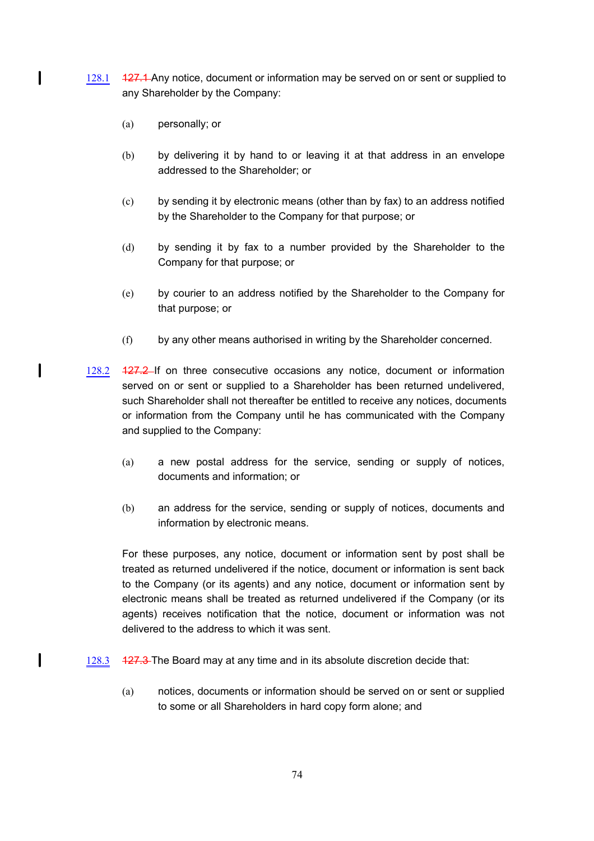- 128.1 427.4 Any notice, document or information may be served on or sent or supplied to any Shareholder by the Company:
	- (a) personally; or

 $\mathbf l$ 

 $\mathbf{I}$ 

l

- (b) by delivering it by hand to or leaving it at that address in an envelope addressed to the Shareholder; or
- (c) by sending it by electronic means (other than by fax) to an address notified by the Shareholder to the Company for that purpose; or
- (d) by sending it by fax to a number provided by the Shareholder to the Company for that purpose; or
- (e) by courier to an address notified by the Shareholder to the Company for that purpose; or
- (f) by any other means authorised in writing by the Shareholder concerned.
- 128.2 127.2 If on three consecutive occasions any notice, document or information served on or sent or supplied to a Shareholder has been returned undelivered, such Shareholder shall not thereafter be entitled to receive any notices, documents or information from the Company until he has communicated with the Company and supplied to the Company:
	- (a) a new postal address for the service, sending or supply of notices, documents and information; or
	- (b) an address for the service, sending or supply of notices, documents and information by electronic means.

For these purposes, any notice, document or information sent by post shall be treated as returned undelivered if the notice, document or information is sent back to the Company (or its agents) and any notice, document or information sent by electronic means shall be treated as returned undelivered if the Company (or its agents) receives notification that the notice, document or information was not delivered to the address to which it was sent.

- 128.3 127.3 The Board may at any time and in its absolute discretion decide that:
	- (a) notices, documents or information should be served on or sent or supplied to some or all Shareholders in hard copy form alone; and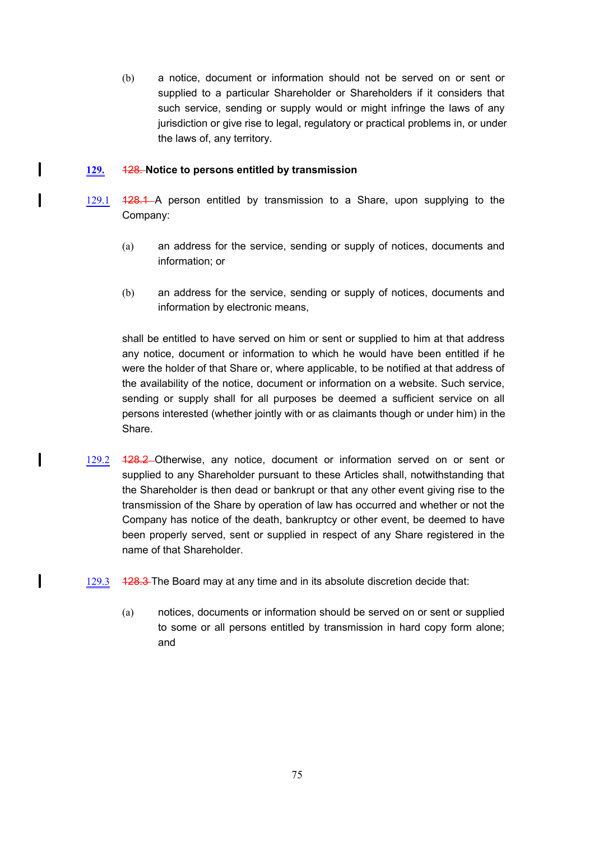(b) a notice, document or information should not be served on or sent or supplied to a particular Shareholder or Shareholders if it considers that such service, sending or supply would or might infringe the laws of any jurisdiction or give rise to legal, regulatory or practical problems in, or under the laws of, any territory.

#### **129.** 128. **Notice to persons entitled by transmission**

 $\mathbf l$ 

 $\mathbf l$ 

 $\mathbf{I}$ 

 $\mathbf l$ 

- 129.1 128.1 A person entitled by transmission to a Share, upon supplying to the Company:
	- (a) an address for the service, sending or supply of notices, documents and information; or
	- (b) an address for the service, sending or supply of notices, documents and information by electronic means,

shall be entitled to have served on him or sent or supplied to him at that address any notice, document or information to which he would have been entitled if he were the holder of that Share or, where applicable, to be notified at that address of the availability of the notice, document or information on a website. Such service, sending or supply shall for all purposes be deemed a sufficient service on all persons interested (whether jointly with or as claimants though or under him) in the Share.

- 129.2 128.2 Otherwise, any notice, document or information served on or sent or supplied to any Shareholder pursuant to these Articles shall, notwithstanding that the Shareholder is then dead or bankrupt or that any other event giving rise to the transmission of the Share by operation of law has occurred and whether or not the Company has notice of the death, bankruptcy or other event, be deemed to have been properly served, sent or supplied in respect of any Share registered in the name of that Shareholder.
- 129.3 128.3 The Board may at any time and in its absolute discretion decide that:
	- (a) notices, documents or information should be served on or sent or supplied to some or all persons entitled by transmission in hard copy form alone; and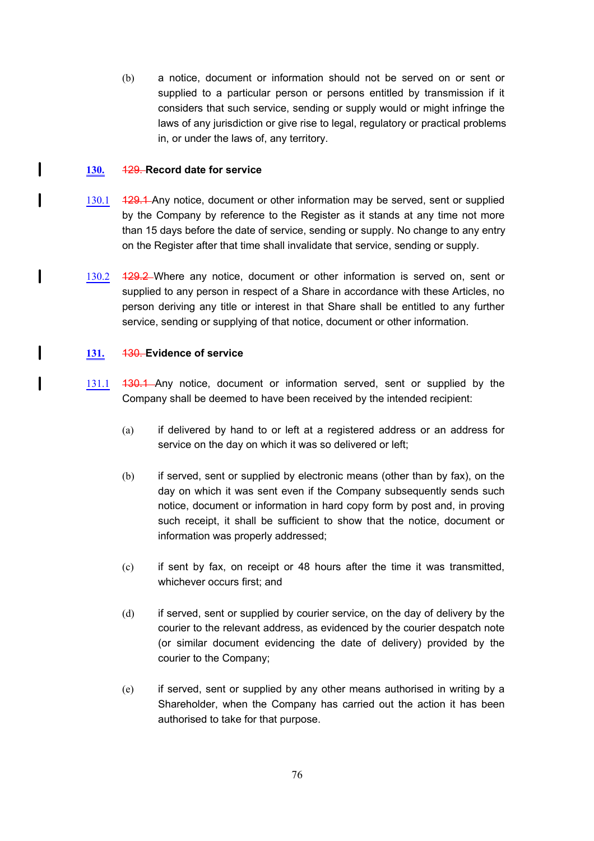(b) a notice, document or information should not be served on or sent or supplied to a particular person or persons entitled by transmission if it considers that such service, sending or supply would or might infringe the laws of any jurisdiction or give rise to legal, regulatory or practical problems in, or under the laws of, any territory.

### **130.** 129. **Record date for service**

 $\mathbf l$ 

I

 $\mathbf{I}$ 

I

l

- 130.1 429.4 Any notice, document or other information may be served, sent or supplied by the Company by reference to the Register as it stands at any time not more than 15 days before the date of service, sending or supply. No change to any entry on the Register after that time shall invalidate that service, sending or supply.
- 130.2 **129.2** Where any notice, document or other information is served on, sent or supplied to any person in respect of a Share in accordance with these Articles, no person deriving any title or interest in that Share shall be entitled to any further service, sending or supplying of that notice, document or other information.

#### **131.** 130. **Evidence of service**

- 131.1 130.1 Any notice, document or information served, sent or supplied by the Company shall be deemed to have been received by the intended recipient:
	- (a) if delivered by hand to or left at a registered address or an address for service on the day on which it was so delivered or left;
	- (b) if served, sent or supplied by electronic means (other than by fax), on the day on which it was sent even if the Company subsequently sends such notice, document or information in hard copy form by post and, in proving such receipt, it shall be sufficient to show that the notice, document or information was properly addressed;
	- (c) if sent by fax, on receipt or 48 hours after the time it was transmitted, whichever occurs first; and
	- (d) if served, sent or supplied by courier service, on the day of delivery by the courier to the relevant address, as evidenced by the courier despatch note (or similar document evidencing the date of delivery) provided by the courier to the Company;
	- (e) if served, sent or supplied by any other means authorised in writing by a Shareholder, when the Company has carried out the action it has been authorised to take for that purpose.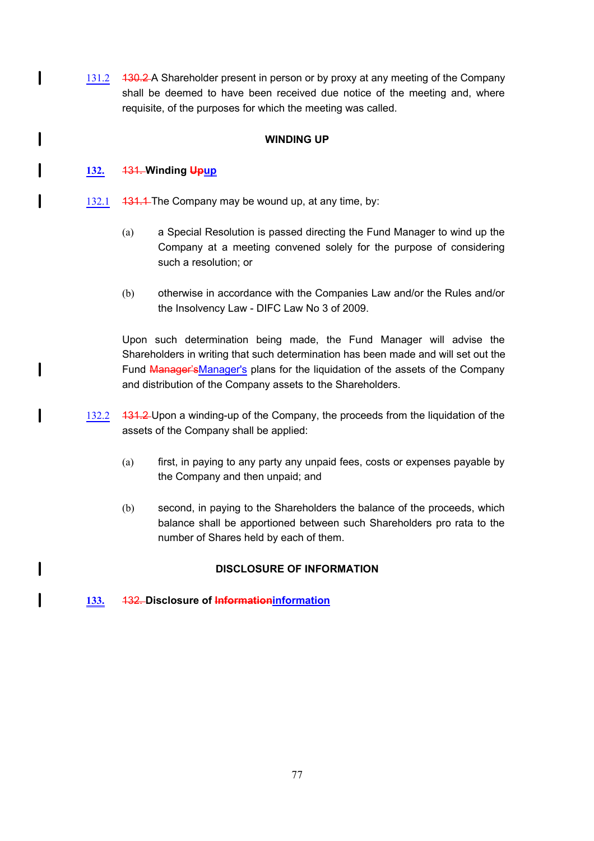131.2 430.2 A Shareholder present in person or by proxy at any meeting of the Company shall be deemed to have been received due notice of the meeting and, where requisite, of the purposes for which the meeting was called.

## **WINDING UP**

## **132.** 131. **Winding Upup**

 $\mathbf l$ 

l

I

I

I

I

1

- 132.1 431.1 The Company may be wound up, at any time, by:
	- (a) a Special Resolution is passed directing the Fund Manager to wind up the Company at a meeting convened solely for the purpose of considering such a resolution; or
	- (b) otherwise in accordance with the Companies Law and/or the Rules and/or the Insolvency Law - DIFC Law No 3 of 2009.

Upon such determination being made, the Fund Manager will advise the Shareholders in writing that such determination has been made and will set out the Fund Manager'sManager's plans for the liquidation of the assets of the Company and distribution of the Company assets to the Shareholders.

- 132.2 131.2 Upon a winding-up of the Company, the proceeds from the liquidation of the assets of the Company shall be applied:
	- (a) first, in paying to any party any unpaid fees, costs or expenses payable by the Company and then unpaid; and
	- (b) second, in paying to the Shareholders the balance of the proceeds, which balance shall be apportioned between such Shareholders pro rata to the number of Shares held by each of them.

# **DISCLOSURE OF INFORMATION**

**133.** 132. **Disclosure of Informationinformation**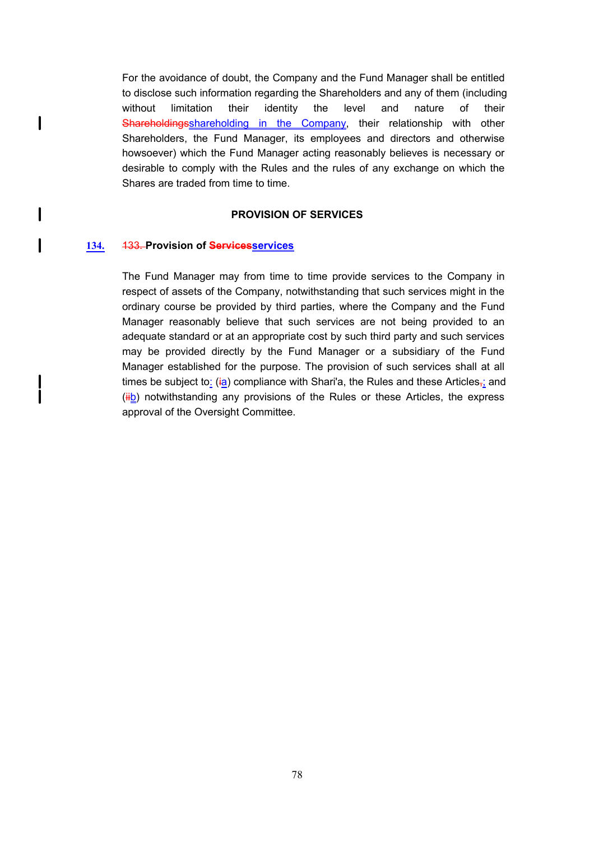For the avoidance of doubt, the Company and the Fund Manager shall be entitled to disclose such information regarding the Shareholders and any of them (including without limitation their identity the level and nature of their Shareholdingsshareholding in the Company, their relationship with other Shareholders, the Fund Manager, its employees and directors and otherwise howsoever) which the Fund Manager acting reasonably believes is necessary or desirable to comply with the Rules and the rules of any exchange on which the Shares are traded from time to time.

### **PROVISION OF SERVICES**

#### **134.** 133. **Provision of Servicesservices**

 $\mathsf{l}$ 

 $\mathbf{I}$ 

 $\mathbf l$ 

 $\mathbf l$ 

The Fund Manager may from time to time provide services to the Company in respect of assets of the Company, notwithstanding that such services might in the ordinary course be provided by third parties, where the Company and the Fund Manager reasonably believe that such services are not being provided to an adequate standard or at an appropriate cost by such third party and such services may be provided directly by the Fund Manager or a subsidiary of the Fund Manager established for the purpose. The provision of such services shall at all times be subject to: (ia) compliance with Shari'a, the Rules and these Articles<sub> $\vec{i}$ </sub> and  $(iib)$  notwithstanding any provisions of the Rules or these Articles, the express approval of the Oversight Committee.